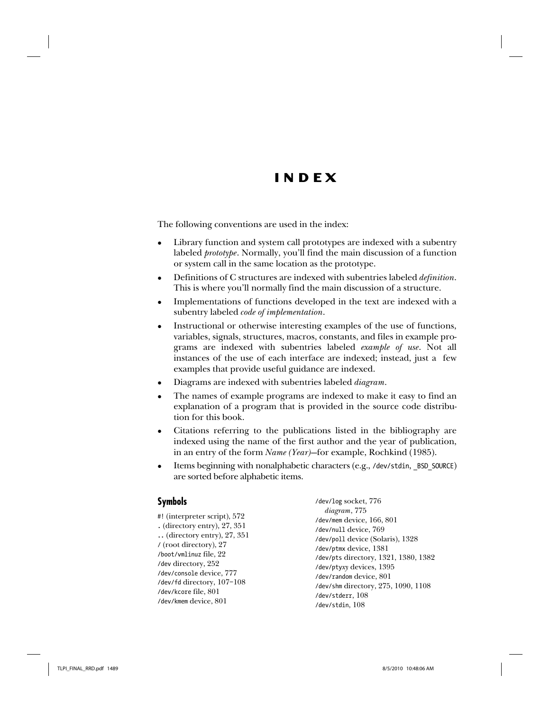# **INDEX**

The following conventions are used in the index:

- Library function and system call prototypes are indexed with a subentry labeled *prototype*. Normally, you'll find the main discussion of a function or system call in the same location as the prototype.
- $\bullet$  Definitions of C structures are indexed with subentries labeled *definition*. This is where you'll normally find the main discussion of a structure.
- Implementations of functions developed in the text are indexed with a subentry labeled *code* of *implementation*.
- Instructional or otherwise interesting examples of the use of functions, variables, signals, structures, macros, constants, and files in example programs are indexed with subentries labeled *example of use*. Not all instances of the use of each interface are indexed; instead, just a few examples that provide useful guidance are indexed.
- Diagrams are indexed with subentries labeled *diagram*.
- The names of example programs are indexed to make it easy to find an explanation of a program that is provided in the source code distribution for this book.
- Citations referring to the publications listed in the bibliography are indexed using the name of the first author and the year of publication, in an entry of the form *Name (Year)*—for example, Rochkind (1985).
- Items beginning with nonalphabetic characters (e.g., /dev/stdin, BSD SOURCE) are sorted before alphabetic items.

#### **Symbols**

| #! (interpreter script), 572        |
|-------------------------------------|
| . (directory entry), $27, 351$      |
| $\ldots$ (directory entry), 27, 351 |
| $\frac{1}{2}$ (root directory), 27  |
| /boot/vmlinuz file, 22              |
| /dev directory, 252                 |
| /dev/console device, 777            |
| /dev/fd directory, 107-108          |
| /dev/kcore file, 801                |
| /dev/kmem device, 801               |

/dev/log socket, 776 diagram, 775 /dev/mem device, 166, 801 /dev/null device, 769 /dev/poll device (Solaris), 1328 /dev/ptmx device, 1381 /dev/pts directory, 1321, 1380, 1382 /dev/ptyxy devices, 1395 /dev/random device, 801 /dev/shm directory, 275, 1090, 1108 /dev/stderr, 108 /dev/stdin, 108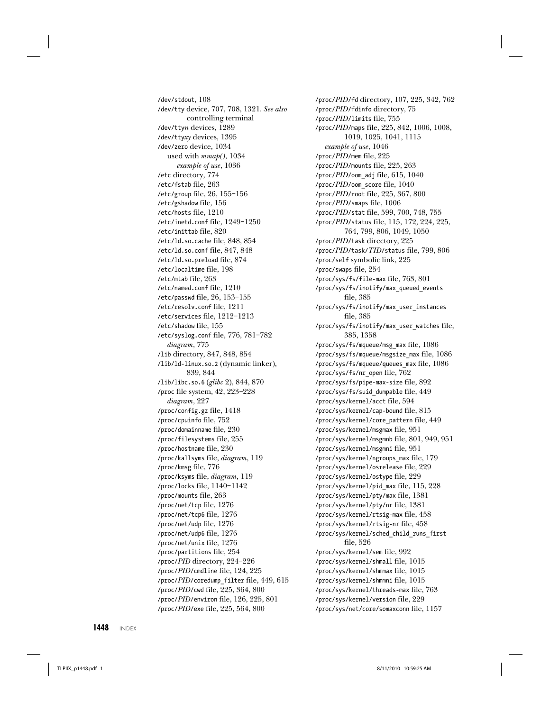/dev/stdout, 108 /dev/tty device, 707, 708, 1321. See also controlling terminal /dev/ttyn devices, 1289 /dev/ttyxy devices, 1395 /dev/zero device, 1034 used with mmap(), 1034 example of use, 1036 /etc directory, 774 /etc/fstab file, 263 /etc/group file, 26, 155–156 /etc/gshadow file, 156 /etc/hosts file, 1210 /etc/inetd.conf file, 1249–1250 /etc/inittab file, 820 /etc/ld.so.cache file, 848, 854 /etc/ld.so.conf file, 847, 848 /etc/ld.so.preload file, 874 /etc/localtime file, 198 /etc/mtab file, 263 /etc/named.conf file, 1210 /etc/passwd file, 26, 153–155 /etc/resolv.conf file, 1211 /etc/services file, 1212–1213 /etc/shadow file, 155 /etc/syslog.conf file, 776, 781–782 diagram, 775 /lib directory, 847, 848, 854 /lib/ld-linux.so.2 (dynamic linker), 839, 844 /lib/libc.so.6 (glibc 2), 844, 870 /proc file system, 42, 223–228 diagram, 227 /proc/config.gz file, 1418 /proc/cpuinfo file, 752 /proc/domainname file, 230 /proc/filesystems file, 255 /proc/hostname file, 230 /proc/kallsyms file, diagram, 119 /proc/kmsg file, 776 /proc/ksyms file, diagram, 119 /proc/locks file, 1140–1142 /proc/mounts file, 263 /proc/net/tcp file, 1276 /proc/net/tcp6 file, 1276 /proc/net/udp file, 1276 /proc/net/udp6 file, 1276 /proc/net/unix file, 1276 /proc/partitions file, 254 /proc/PID directory, 224–226 /proc/PID/cmdline file, 124, 225 /proc/PID/coredump\_filter file, 449, 615 /proc/PID/cwd file, 225, 364, 800 /proc/PID/environ file, 126, 225, 801 /proc/PID/exe file, 225, 564, 800

/proc/PID/fd directory, 107, 225, 342, 762 /proc/PID/fdinfo directory, 75 /proc/PID/limits file, 755 /proc/PID/maps file, 225, 842, 1006, 1008, 1019, 1025, 1041, 1115 example of use, 1046 /proc/PID/mem file, 225 /proc/PID/mounts file, 225, 263 /proc/PID/oom\_adj file, 615, 1040 /proc/PID/oom\_score file, 1040 /proc/PID/root file, 225, 367, 800 /proc/PID/smaps file, 1006 /proc/PID/stat file, 599, 700, 748, 755 /proc/PID/status file, 115, 172, 224, 225, 764, 799, 806, 1049, 1050 /proc/PID/task directory, 225 /proc/PID/task/TID/status file, 799, 806 /proc/self symbolic link, 225 /proc/swaps file, 254 /proc/sys/fs/file-max file, 763, 801 /proc/sys/fs/inotify/max\_queued\_events file, 385 /proc/sys/fs/inotify/max\_user\_instances file, 385 /proc/sys/fs/inotify/max\_user\_watches file, 385, 1358 /proc/sys/fs/mqueue/msg\_max file, 1086 /proc/sys/fs/mqueue/msgsize\_max file, 1086 /proc/sys/fs/mqueue/queues\_max file, 1086 /proc/sys/fs/nr\_open file, 762 /proc/sys/fs/pipe-max-size file, 892 /proc/sys/fs/suid\_dumpable file, 449 /proc/sys/kernel/acct file, 594 /proc/sys/kernel/cap-bound file, 815 /proc/sys/kernel/core\_pattern file, 449 /proc/sys/kernel/msgmax file, 951 /proc/sys/kernel/msgmnb file, 801, 949, 951 /proc/sys/kernel/msgmni file, 951 /proc/sys/kernel/ngroups\_max file, 179 /proc/sys/kernel/osrelease file, 229 /proc/sys/kernel/ostype file, 229 /proc/sys/kernel/pid\_max file, 115, 228 /proc/sys/kernel/pty/max file, 1381 /proc/sys/kernel/pty/nr file, 1381 /proc/sys/kernel/rtsig-max file, 458 /proc/sys/kernel/rtsig-nr file, 458 /proc/sys/kernel/sched\_child\_runs\_first file, 526 /proc/sys/kernel/sem file, 992 /proc/sys/kernel/shmall file, 1015 /proc/sys/kernel/shmmax file, 1015 /proc/sys/kernel/shmmni file, 1015 /proc/sys/kernel/threads-max file, 763 /proc/sys/kernel/version file, 229 /proc/sys/net/core/somaxconn file, 1157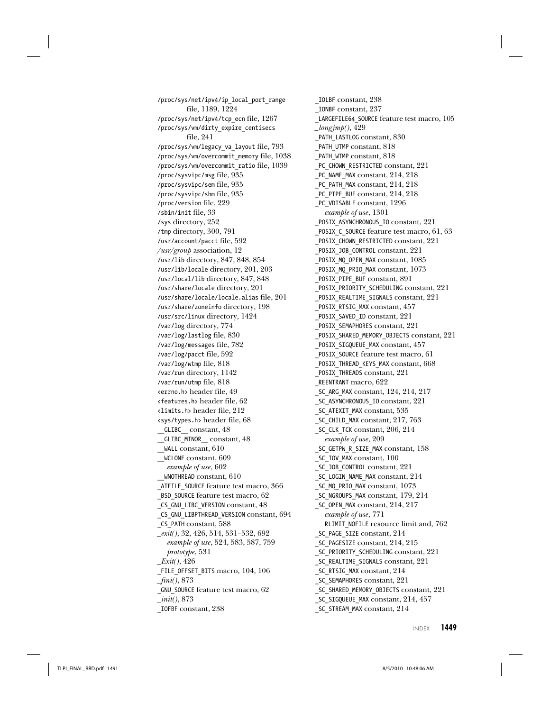/proc/sys/net/ipv4/ip\_local\_port\_range file, 1189, 1224 /proc/sys/net/ipv4/tcp\_ecn file, 1267 /proc/sys/vm/dirty\_expire\_centisecs file, 241 /proc/sys/vm/legacy\_va\_layout file, 793 /proc/sys/vm/overcommit\_memory file, 1038 /proc/sys/vm/overcommit\_ratio file, 1039 /proc/sysvipc/msg file, 935 /proc/sysvipc/sem file, 935 /proc/sysvipc/shm file, 935 /proc/version file, 229 /sbin/init file, 33 /sys directory, 252 /tmp directory, 300, 791 /usr/account/pacct file, 592 /usr/group association, 12 /usr/lib directory, 847, 848, 854 /usr/lib/locale directory, 201, 203 /usr/local/lib directory, 847, 848 /usr/share/locale directory, 201 /usr/share/locale/locale.alias file, 201 /usr/share/zoneinfo directory, 198 /usr/src/linux directory, 1424 /var/log directory, 774 /var/log/lastlog file, 830 /var/log/messages file, 782 /var/log/pacct file, 592 /var/log/wtmp file, 818 /var/run directory, 1142 /var/run/utmp file, 818 <errno.h> header file, 49 <features.h> header file, 62 <limits.h> header file, 212 <sys/types.h> header file, 68 \_\_GLIBC\_\_ constant, 48 \_\_GLIBC\_MINOR\_\_ constant, 48 \_\_WALL constant, 610 \_\_WCLONE constant, 609 example of use, 602 \_\_WNOTHREAD constant, 610 \_ATFILE\_SOURCE feature test macro, 366 \_BSD\_SOURCE feature test macro, 62 \_CS\_GNU\_LIBC\_VERSION constant, 48 \_CS\_GNU\_LIBPTHREAD\_VERSION constant, 694 \_CS\_PATH constant, 588 \_exit(), 32, 426, 514, 531–532, 692 example of use, 524, 583, 587, 759 prototype, 531  $Exit(), 426$ \_FILE\_OFFSET\_BITS macro, 104, 106  $\_fini(), 873$ \_GNU\_SOURCE feature test macro, 62  $\_init(), 873$ \_IOFBF constant, 238

\_IOLBF constant, 238 \_IONBF constant, 237 \_LARGEFILE64\_SOURCE feature test macro, 105  $Longjmp(), 429$ \_PATH\_LASTLOG constant, 830 \_PATH\_UTMP constant, 818 PATH WTMP constant, 818 PC CHOWN RESTRICTED constant, 221 PC NAME MAX constant, 214, 218 PC PATH MAX constant, 214, 218 PC PIPE BUF constant, 214, 218 \_PC\_VDISABLE constant, 1296 example of use, 1301 \_POSIX\_ASYNCHRONOUS\_IO constant, 221 \_POSIX\_C\_SOURCE feature test macro, 61, 63 \_POSIX\_CHOWN\_RESTRICTED constant, 221 \_POSIX\_JOB\_CONTROL constant, 221 \_POSIX\_MQ\_OPEN\_MAX constant, 1085 \_POSIX\_MQ\_PRIO\_MAX constant, 1073 \_POSIX\_PIPE\_BUF constant, 891 \_POSIX\_PRIORITY\_SCHEDULING constant, 221 \_POSIX\_REALTIME\_SIGNALS constant, 221 \_POSIX\_RTSIG\_MAX constant, 457 \_POSIX\_SAVED\_ID constant, 221 \_POSIX\_SEMAPHORES constant, 221 \_POSIX\_SHARED\_MEMORY\_OBJECTS constant, 221 \_POSIX\_SIGQUEUE\_MAX constant, 457 \_POSIX\_SOURCE feature test macro, 61 \_POSIX\_THREAD\_KEYS\_MAX constant, 668 \_POSIX\_THREADS constant, 221 \_REENTRANT macro, 622 \_SC\_ARG\_MAX constant, 124, 214, 217 \_SC\_ASYNCHRONOUS\_IO constant, 221 \_SC\_ATEXIT\_MAX constant, 535 \_SC\_CHILD\_MAX constant, 217, 763 \_SC\_CLK\_TCK constant, 206, 214 example of use, 209 \_SC\_GETPW\_R\_SIZE\_MAX constant, 158 \_SC\_IOV\_MAX constant, 100 \_SC\_JOB\_CONTROL constant, 221 \_SC\_LOGIN\_NAME\_MAX constant, 214 \_SC\_MQ\_PRIO\_MAX constant, 1073 \_SC\_NGROUPS\_MAX constant, 179, 214 SC\_OPEN\_MAX constant, 214, 217 example of use, 771 RLIMIT\_NOFILE resource limit and, 762 \_SC\_PAGE\_SIZE constant, 214 \_SC\_PAGESIZE constant, 214, 215 SC\_PRIORITY\_SCHEDULING constant, 221 \_SC\_REALTIME\_SIGNALS constant, 221 SC\_RTSIG\_MAX constant, 214 SC\_SEMAPHORES constant, 221 SC\_SHARED\_MEMORY\_OBJECTS constant, 221 SC\_SIGQUEUE\_MAX constant, 214, 457 SC\_STREAM\_MAX constant, 214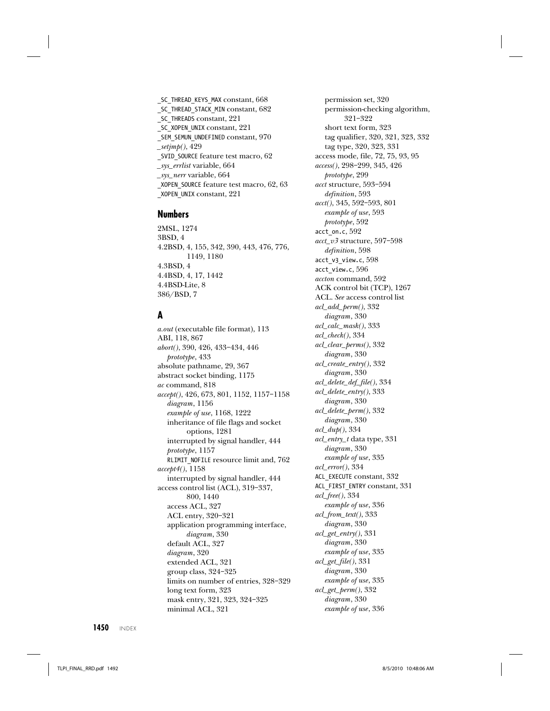\_SC\_THREAD\_KEYS\_MAX constant, 668 \_SC\_THREAD\_STACK\_MIN constant, 682 \_SC\_THREADS constant, 221 \_SC\_XOPEN\_UNIX constant, 221 \_SEM\_SEMUN\_UNDEFINED constant, 970  $_s^{setjmp}$ (), 429 \_SVID\_SOURCE feature test macro, 62 \_sys\_errlist variable, 664 \_sys\_nerr variable, 664 \_XOPEN\_SOURCE feature test macro, 62, 63 \_XOPEN\_UNIX constant, 221

#### **Numbers**

2MSL, 1274 3BSD, 4 4.2BSD, 4, 155, 342, 390, 443, 476, 776, 1149, 1180 4.3BSD, 4 4.4BSD, 4, 17, 1442 4.4BSD-Lite, 8 386/BSD, 7

# **A**

a.out (executable file format), 113 ABI, 118, 867 abort(), 390, 426, 433–434, 446 prototype, 433 absolute pathname, 29, 367 abstract socket binding, 1175 ac command, 818 accept(), 426, 673, 801, 1152, 1157–1158 diagram, 1156 example of use, 1168, 1222 inheritance of file flags and socket options, 1281 interrupted by signal handler, 444 prototype, 1157 RLIMIT\_NOFILE resource limit and, 762 accept4(), 1158 interrupted by signal handler, 444 access control list (ACL), 319–337, 800, 1440 access ACL, 327 ACL entry, 320–321 application programming interface, diagram, 330 default ACL, 327 diagram, 320 extended ACL, 321 group class, 324–325 limits on number of entries, 328–329 long text form, 323 mask entry, 321, 323, 324–325 minimal ACL, 321

permission set, 320 permission-checking algorithm, 321–322 short text form, 323 tag qualifier, 320, 321, 323, 332 tag type, 320, 323, 331 access mode, file, 72, 75, 93, 95 access(), 298–299, 345, 426 prototype, 299 acct structure, 593–594 definition, 593  $acct(), 345, 592-593, 801$ example of use, 593 prototype, 592 acct\_on.c, 592 acct\_v3 structure, 597–598 definition, 598 acct\_v3\_view.c, 598 acct\_view.c, 596 accton command, 592 ACK control bit (TCP), 1267 ACL. See access control list acl\_add\_perm(), 332 diagram, 330 acl\_calc\_mask(), 333 acl\_check(), 334 acl\_clear\_perms(), 332 diagram, 330 acl\_create\_entry(), 332 diagram, 330 acl\_delete\_def\_file(), 334 acl\_delete\_entry(), 333 diagram, 330 acl\_delete\_perm(), 332 diagram, 330 acl  $dub()$ , 334 acl\_entry\_t data type, 331 diagram, 330 example of use, 335 acl\_error(), 334 ACL\_EXECUTE constant, 332 ACL\_FIRST\_ENTRY constant, 331 acl\_free(), 334 example of use, 336 acl\_from\_text(), 333 diagram, 330 acl\_get\_entry(), 331 diagram, 330 example of use, 335 acl\_get\_file(), 331 diagram, 330 example of use, 335 acl\_get\_perm(), 332 diagram, 330 example of use, 336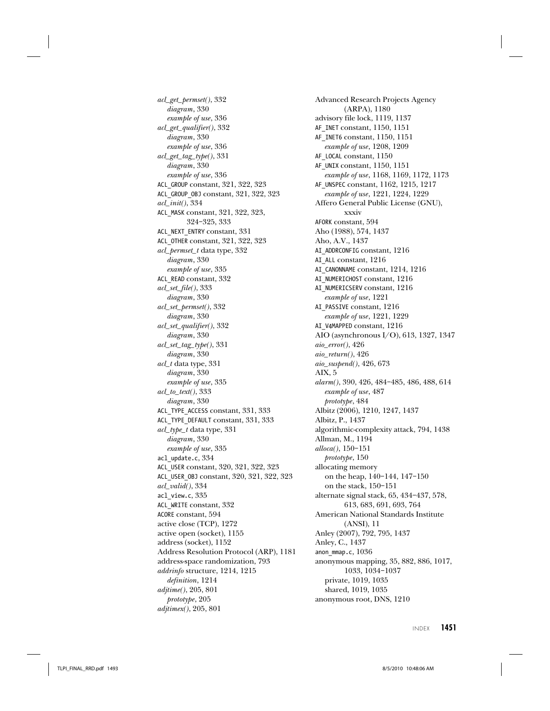$\emph{acl\_get\_permset(),}$ 332 diagram, 330 example of use, 336 acl\_get\_qualifier(), 332 diagram, 330 example of use, 336 acl\_get\_tag\_type(), 331 diagram, 330 example of use, 336 ACL\_GROUP constant, 321, 322, 323 ACL\_GROUP\_OBJ constant, 321, 322, 323 acl\_init(), 334 ACL\_MASK constant, 321, 322, 323, 324–325, 333 ACL\_NEXT\_ENTRY constant, 331 ACL\_OTHER constant, 321, 322, 323 acl\_permset\_t data type, 332 diagram, 330 example of use, 335 ACL\_READ constant, 332 acl\_set\_file(), 333 diagram, 330 acl\_set\_permset(), 332 diagram, 330 acl\_set\_qualifier(), 332 diagram, 330 acl\_set\_tag\_type(), 331 diagram, 330 acl\_t data type, 331 diagram, 330 example of use, 335  $acl\_to\_text()$ , 333 diagram, 330 ACL\_TYPE\_ACCESS constant, 331, 333 ACL\_TYPE\_DEFAULT constant, 331, 333 acl\_type\_t data type, 331 diagram, 330 example of use, 335 acl\_update.c, 334 ACL\_USER constant, 320, 321, 322, 323 ACL\_USER\_OBJ constant, 320, 321, 322, 323 acl\_valid(), 334 acl\_view.c, 335 ACL\_WRITE constant, 332 ACORE constant, 594 active close (TCP), 1272 active open (socket), 1155 address (socket), 1152 Address Resolution Protocol (ARP), 1181 address-space randomization, 793 addrinfo structure, 1214, 1215 definition, 1214 adjtime(), 205, 801 prototype, 205 adjtimex(), 205, 801

Advanced Research Projects Agency (ARPA), 1180 advisory file lock, 1119, 1137 AF\_INET constant, 1150, 1151 AF\_INET6 constant, 1150, 1151 example of use, 1208, 1209 AF\_LOCAL constant,  $1150$ AF\_UNIX constant, 1150, 1151 example of use, 1168, 1169, 1172, 1173 AF\_UNSPEC constant, 1162, 1215, 1217 example of use, 1221, 1224, 1229 Affero General Public License (GNU), xxxiv AFORK constant, 594 Aho (1988), 574, 1437 Aho, A.V., 1437 AI\_ADDRCONFIG constant, 1216 AI\_ALL constant, 1216 AI\_CANONNAME constant, 1214, 1216 AI\_NUMERICHOST constant, 1216 AI\_NUMERICSERV constant, 1216 example of use, 1221 AI\_PASSIVE constant, 1216 example of use, 1221, 1229 AI\_V4MAPPED constant, 1216 AIO (asynchronous I/O), 613, 1327, 1347 aio\_error(), 426 aio\_return(), 426 aio\_suspend(), 426, 673 AIX, 5 alarm(), 390, 426, 484–485, 486, 488, 614 example of use, 487 prototype, 484 Albitz (2006), 1210, 1247, 1437 Albitz, P., 1437 algorithmic-complexity attack, 794, 1438 Allman, M., 1194 alloca(), 150–151 prototype, 150 allocating memory on the heap, 140–144, 147–150 on the stack, 150–151 alternate signal stack, 65, 434–437, 578, 613, 683, 691, 693, 764 American National Standards Institute (ANSI), 11 Anley (2007), 792, 795, 1437 Anley, C., 1437 anon mmap.c, 1036 anonymous mapping, 35, 882, 886, 1017, 1033, 1034–1037 private, 1019, 1035 shared, 1019, 1035 anonymous root, DNS, 1210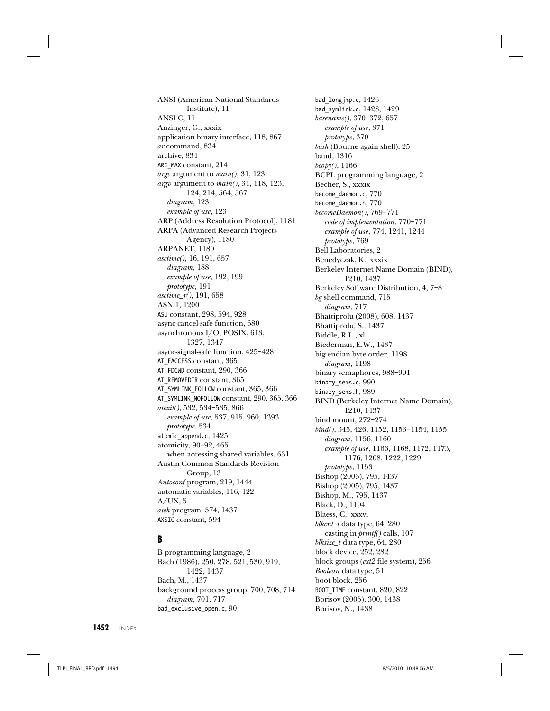ANSI (American National Standards Institute), 11 ANSI C, 11 Anzinger, G., xxxix application binary interface, 118, 867 ar command, 834 archive, 834 ARG\_MAX constant, 214 *argc* argument to  $main($ , 31, 123 *argv* argument to  $main($ , 31, 118, 123, 124, 214, 564, 567 diagram, 123 example of use, 123 ARP (Address Resolution Protocol), 1181 ARPA (Advanced Research Projects Agency), 1180 ARPANET, 1180 asctime(), 16, 191, 657 diagram, 188 example of use, 192, 199 prototype, 191 asctime\_r(), 191, 658 ASN.1, 1200 ASU constant, 298, 594, 928 async-cancel-safe function, 680 asynchronous I/O, POSIX, 613, 1327, 1347 async-signal-safe function, 425–428 AT\_EACCESS constant, 365 AT\_FDCWD constant, 290, 366 AT\_REMOVEDIR constant, 365 AT\_SYMLINK\_FOLLOW constant, 365, 366 AT\_SYMLINK\_NOFOLLOW constant, 290, 365, 366 atexit(), 532, 534–535, 866 example of use, 537, 915, 960, 1393 prototype, 534 atomic\_append.c, 1425 atomicity, 90–92, 465 when accessing shared variables, 631 Austin Common Standards Revision Group, 13 Autoconf program, 219, 1444 automatic variables, 116, 122  $A/UX, 5$ awk program, 574, 1437 AXSIG constant, 594

## **B**

B programming language, 2 Bach (1986), 250, 278, 521, 530, 919, 1422, 1437 Bach, M., 1437 background process group, 700, 708, 714 diagram, 701, 717 bad exclusive open.c, 90

bad\_longjmp.c, 1426 bad\_symlink.c, 1428, 1429 basename(), 370–372, 657 example of use, 371 prototype, 370 bash (Bourne again shell), 25 baud, 1316  $b \mathfrak{c} \mathfrak{o} p \mathfrak{y}$ (), 1166 BCPL programming language, 2 Becher, S., xxxix become\_daemon.c, 770 become\_daemon.h, 770 becomeDaemon(), 769–771 code of implementation, 770–771 example of use, 774, 1241, 1244 prototype, 769 Bell Laboratories, 2 Benedyczak, K., xxxix Berkeley Internet Name Domain (BIND), 1210, 1437 Berkeley Software Distribution, 4, 7–8 bg shell command, 715 diagram, 717 Bhattiprolu (2008), 608, 1437 Bhattiprolu, S., 1437 Biddle, R.L., xl Biederman, E.W., 1437 big-endian byte order, 1198 diagram, 1198 binary semaphores, 988–991 binary\_sems.c, 990 binary\_sems.h, 989 BIND (Berkeley Internet Name Domain), 1210, 1437 bind mount, 272–274 bind(), 345, 426, 1152, 1153–1154, 1155 diagram, 1156, 1160 example of use, 1166, 1168, 1172, 1173, 1176, 1208, 1222, 1229 prototype, 1153 Bishop (2003), 795, 1437 Bishop (2005), 795, 1437 Bishop, M., 795, 1437 Black, D., 1194 Blaess, C., xxxvi blkcnt\_t data type, 64, 280 casting in printf() calls, 107 blksize\_t data type, 64, 280 block device, 252, 282 block groups (ext2 file system), 256 Boolean data type, 51 boot block, 256 BOOT\_TIME constant, 820, 822 Borisov (2005), 300, 1438 Borisov, N., 1438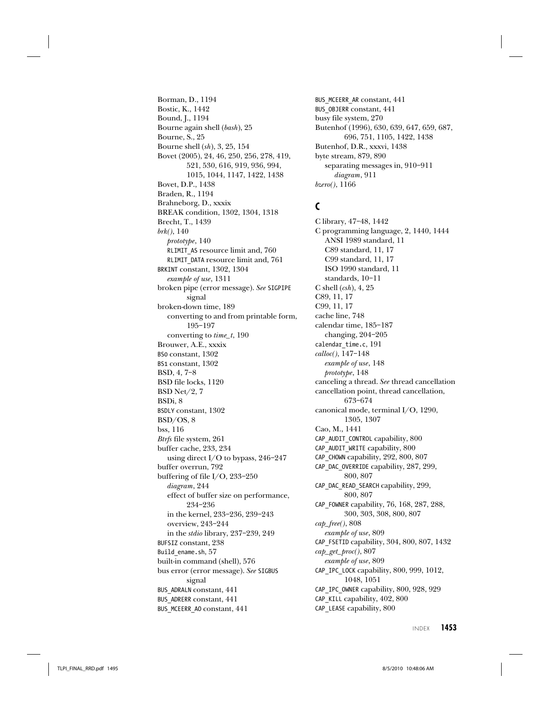Borman, D., 1194 Bostic, K., 1442 Bound, J., 1194 Bourne again shell (bash), 25 Bourne, S., 25 Bourne shell (sh), 3, 25, 154 Bovet (2005), 24, 46, 250, 256, 278, 419, 521, 530, 616, 919, 936, 994, 1015, 1044, 1147, 1422, 1438 Bovet, D.P., 1438 Braden, R., 1194 Brahneborg, D., xxxix BREAK condition, 1302, 1304, 1318 Brecht, T., 1439 brk(), 140 prototype, 140 RLIMIT\_AS resource limit and, 760 RLIMIT\_DATA resource limit and, 761 BRKINT constant, 1302, 1304 example of use, 1311 broken pipe (error message). See SIGPIPE signal broken-down time, 189 converting to and from printable form, 195–197 converting to  $time_t$ , 190 Brouwer, A.E., xxxix BS0 constant, 1302 BS1 constant, 1302 BSD, 4, 7–8 BSD file locks, 1120 BSD Net/2, 7 BSDi, 8 BSDLY constant, 1302 BSD/OS, 8 bss, 116 Btrfs file system, 261 buffer cache, 233, 234 using direct I/O to bypass, 246–247 buffer overrun, 792 buffering of file I/O, 233–250 diagram, 244 effect of buffer size on performance, 234–236 in the kernel, 233–236, 239–243 overview, 243–244 in the stdio library, 237–239, 249 BUFSIZ constant, 238 Build\_ename.sh, 57 built-in command (shell), 576 bus error (error message). See SIGBUS signal BUS ADRALN constant, 441 BUS\_ADRERR constant, 441 BUS MCEERR AO constant, 441

BUS\_MCEERR\_AR constant, 441 BUS\_OBJERR constant, 441 busy file system, 270 Butenhof (1996), 630, 639, 647, 659, 687, 696, 751, 1105, 1422, 1438 Butenhof, D.R., xxxvi, 1438 byte stream, 879, 890 separating messages in, 910–911 diagram, 911 bzero(), 1166

## **C**

C library, 47–48, 1442 C programming language, 2, 1440, 1444 ANSI 1989 standard, 11 C89 standard, 11, 17 C99 standard, 11, 17 ISO 1990 standard, 11 standards, 10–11 C shell  $(csh)$ , 4, 25 C89, 11, 17 C99, 11, 17 cache line, 748 calendar time, 185–187 changing, 204–205 calendar\_time.c, 191 calloc(), 147–148 example of use, 148 prototype, 148 canceling a thread. See thread cancellation cancellation point, thread cancellation, 673–674 canonical mode, terminal I/O, 1290, 1305, 1307 Cao, M., 1441 CAP\_AUDIT\_CONTROL capability, 800 CAP\_AUDIT\_WRITE capability, 800 CAP CHOWN capability, 292, 800, 807 CAP\_DAC\_OVERRIDE capability, 287, 299, 800, 807 CAP\_DAC\_READ\_SEARCH capability, 299, 800, 807 CAP\_FOWNER capability, 76, 168, 287, 288, 300, 303, 308, 800, 807 cap\_free(), 808 example of use, 809 CAP\_FSETID capability, 304, 800, 807, 1432 cap\_get\_proc(), 807 example of use, 809 CAP\_IPC\_LOCK capability, 800, 999, 1012, 1048, 1051 CAP\_IPC\_OWNER capability, 800, 928, 929 CAP\_KILL capability, 402, 800 CAP\_LEASE capability, 800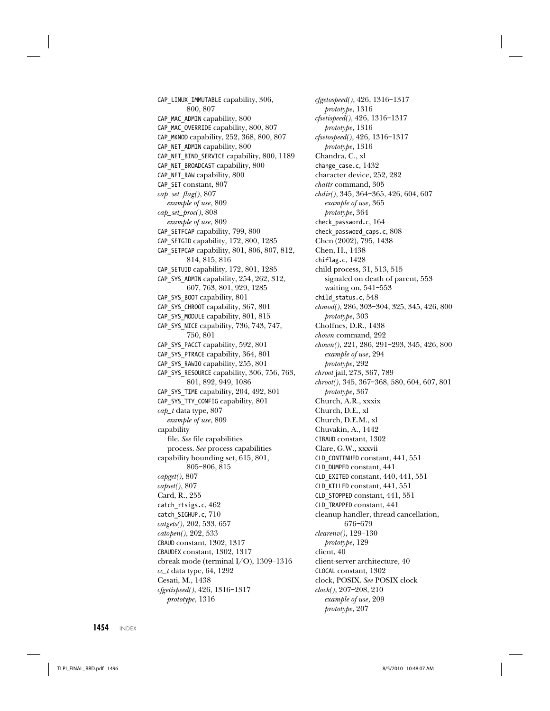CAP\_LINUX\_IMMUTABLE capability, 306, 800, 807 CAP\_MAC\_ADMIN capability, 800 CAP\_MAC\_OVERRIDE capability, 800, 807 CAP\_MKNOD capability, 252, 368, 800, 807 CAP\_NET\_ADMIN capability, 800 CAP\_NET\_BIND\_SERVICE capability, 800, 1189 CAP\_NET\_BROADCAST capability, 800 CAP\_NET\_RAW capability, 800 CAP\_SET constant, 807 cap\_set\_flag(), 807 example of use, 809 cap\_set\_proc(), 808 example of use, 809 CAP\_SETFCAP capability, 799, 800 CAP\_SETGID capability, 172, 800, 1285 CAP\_SETPCAP capability, 801, 806, 807, 812, 814, 815, 816 CAP\_SETUID capability, 172, 801, 1285 CAP\_SYS\_ADMIN capability, 254, 262, 312, 607, 763, 801, 929, 1285 CAP\_SYS\_BOOT capability, 801 CAP\_SYS\_CHROOT capability, 367, 801 CAP\_SYS\_MODULE capability, 801, 815 CAP\_SYS\_NICE capability, 736, 743, 747, 750, 801 CAP\_SYS\_PACCT capability, 592, 801 CAP\_SYS\_PTRACE capability, 364, 801 CAP\_SYS\_RAWIO capability, 255, 801 CAP\_SYS\_RESOURCE capability, 306, 756, 763, 801, 892, 949, 1086 CAP\_SYS\_TIME capability, 204, 492, 801 CAP\_SYS\_TTY\_CONFIG capability, 801  $cap_t$  data type, 807 example of use, 809 capability file. See file capabilities process. See process capabilities capability bounding set, 615, 801, 805–806, 815 capget(), 807  $capset(), 807$ Card, R., 255 catch\_rtsigs.c, 462 catch\_SIGHUP.c, 710 catgets(), 202, 533, 657 catopen(), 202, 533 CBAUD constant, 1302, 1317 CBAUDEX constant, 1302, 1317 cbreak mode (terminal I/O), 1309–1316  $cc_t$  data type, 64, 1292 Cesati, M., 1438 cfgetispeed(), 426, 1316–1317 prototype, 1316

cfgetospeed(), 426, 1316–1317 prototype, 1316 cfsetispeed(), 426, 1316–1317 prototype, 1316 cfsetospeed(), 426, 1316–1317 prototype, 1316 Chandra, C., xl change case.c, 1432 character device, 252, 282 chattr command, 305 chdir(), 345, 364–365, 426, 604, 607 example of use, 365 prototype, 364 check\_password.c, 164 check\_password\_caps.c, 808 Chen (2002), 795, 1438 Chen, H., 1438 chiflag.c, 1428 child process, 31, 513, 515 signaled on death of parent, 553 waiting on, 541–553 child status.c, 548 chmod(), 286, 303–304, 325, 345, 426, 800 prototype, 303 Choffnes, D.R., 1438 chown command, 292 chown(), 221, 286, 291–293, 345, 426, 800 example of use, 294 prototype, 292 chroot jail, 273, 367, 789 chroot(), 345, 367–368, 580, 604, 607, 801 prototype, 367 Church, A.R., xxxix Church, D.E., xl Church, D.E.M., xl Chuvakin, A., 1442 CIBAUD constant, 1302 Clare, G.W., xxxvii CLD\_CONTINUED constant, 441, 551 CLD\_DUMPED constant, 441 CLD\_EXITED constant, 440, 441, 551 CLD\_KILLED constant, 441, 551 CLD\_STOPPED constant, 441, 551 CLD\_TRAPPED constant, 441 cleanup handler, thread cancellation, 676–679 clearenv(), 129–130 prototype, 129 client, 40 client-server architecture, 40 CLOCAL constant, 1302 clock, POSIX. See POSIX clock clock(), 207–208, 210 example of use, 209 prototype, 207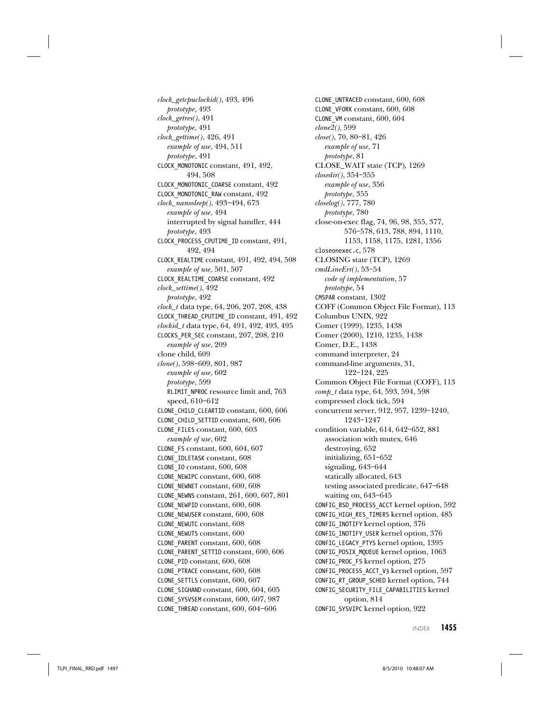clock\_getcpuclockid(), 493, 496 prototype, 493 clock\_getres(), 491 prototype, 491 clock\_gettime(), 426, 491 example of use, 494, 511 prototype, 491 CLOCK\_MONOTONIC constant, 491, 492, 494, 508 CLOCK\_MONOTONIC\_COARSE constant, 492 CLOCK\_MONOTONIC\_RAW constant, 492 clock\_nanosleep(), 493–494, 673 example of use, 494 interrupted by signal handler, 444 prototype, 493 CLOCK\_PROCESS\_CPUTIME\_ID constant, 491, 492, 494 CLOCK\_REALTIME constant, 491, 492, 494, 508 example of use, 501, 507 CLOCK\_REALTIME\_COARSE constant, 492 clock\_settime(), 492 prototype, 492 clock\_t data type, 64, 206, 207, 208, 438 CLOCK\_THREAD\_CPUTIME\_ID constant, 491, 492 clockid\_t data type, 64, 491, 492, 493, 495 CLOCKS\_PER\_SEC constant, 207, 208, 210 example of use, 209 clone child, 609  $clone(), 598-609, 801, 987$ example of use, 602 prototype, 599 RLIMIT\_NPROC resource limit and, 763 speed, 610–612 CLONE\_CHILD\_CLEARTID constant, 600, 606 CLONE\_CHILD\_SETTID constant, 600, 606 CLONE\_FILES constant, 600, 603 example of use, 602 CLONE\_FS constant, 600, 604, 607 CLONE\_IDLETASK constant, 608 CLONE\_IO constant, 600, 608 CLONE\_NEWIPC constant, 600, 608 CLONE\_NEWNET constant, 600, 608 CLONE\_NEWNS constant, 261, 600, 607, 801 CLONE\_NEWPID constant, 600, 608 CLONE\_NEWUSER constant, 600, 608 CLONE\_NEWUTC constant, 608 CLONE\_NEWUTS constant, 600 CLONE\_PARENT constant, 600, 608 CLONE\_PARENT\_SETTID constant, 600, 606 CLONE\_PID constant, 600, 608 CLONE\_PTRACE constant, 600, 608 CLONE\_SETTLS constant, 600, 607 CLONE\_SIGHAND constant, 600, 604, 605 CLONE\_SYSVSEM constant, 600, 607, 987 CLONE\_THREAD constant, 600, 604–606

CLONE\_UNTRACED constant, 600, 608 CLONE\_VFORK constant, 600, 608 CLONE\_VM constant, 600, 604 clone2(), 599 close(), 70, 80–81, 426 example of use, 71 prototype, 81 CLOSE\_WAIT state (TCP), 1269 closedir(), 354–355 example of use, 356 prototype, 355 closelog(), 777, 780 prototype, 780 close-on-exec flag, 74, 96, 98, 355, 377, 576–578, 613, 788, 894, 1110, 1153, 1158, 1175, 1281, 1356 closeonexec.c, 578 CLOSING state (TCP), 1269  $cmdLineErr($ ), 53-54 code of implementation, 57 prototype, 54 CMSPAR constant, 1302 COFF (Common Object File Format), 113 Columbus UNIX, 922 Comer (1999), 1235, 1438 Comer (2000), 1210, 1235, 1438 Comer, D.E., 1438 command interpreter, 24 command-line arguments, 31, 122–124, 225 Common Object File Format (COFF), 113 comp\_t data type, 64, 593, 594, 598 compressed clock tick, 594 concurrent server, 912, 957, 1239–1240, 1243–1247 condition variable, 614, 642–652, 881 association with mutex, 646 destroying, 652 initializing, 651–652 signaling, 643–644 statically allocated, 643 testing associated predicate, 647–648 waiting on, 643–645 CONFIG\_BSD\_PROCESS\_ACCT kernel option, 592 CONFIG\_HIGH\_RES\_TIMERS kernel option, 485 CONFIG\_INOTIFY kernel option, 376 CONFIG\_INOTIFY\_USER kernel option, 376 CONFIG\_LEGACY\_PTYS kernel option, 1395 CONFIG\_POSIX\_MQUEUE kernel option, 1063 CONFIG\_PROC\_FS kernel option, 275 CONFIG\_PROCESS\_ACCT\_V3 kernel option, 597 CONFIG\_RT\_GROUP\_SCHED kernel option, 744 CONFIG\_SECURITY\_FILE\_CAPABILITIES kernel option, 814 CONFIG\_SYSVIPC kernel option, 922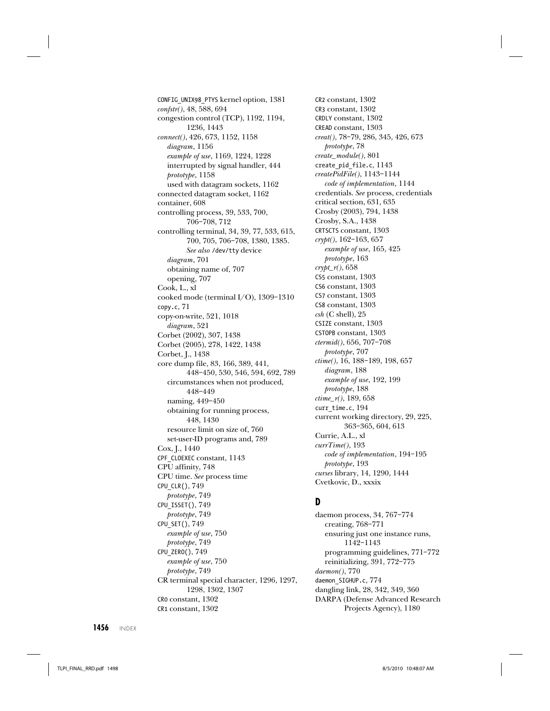CONFIG\_UNIX98\_PTYS kernel option, 1381 confstr(), 48, 588, 694 congestion control (TCP), 1192, 1194, 1236, 1443 connect(), 426, 673, 1152, 1158 diagram, 1156 example of use, 1169, 1224, 1228 interrupted by signal handler, 444 prototype, 1158 used with datagram sockets, 1162 connected datagram socket, 1162 container, 608 controlling process, 39, 533, 700, 706–708, 712 controlling terminal, 34, 39, 77, 533, 615, 700, 705, 706–708, 1380, 1385. See also /dev/tty device diagram, 701 obtaining name of, 707 opening, 707 Cook, L., xl cooked mode (terminal I/O), 1309–1310 copy.c, 71 copy-on-write, 521, 1018 diagram, 521 Corbet (2002), 307, 1438 Corbet (2005), 278, 1422, 1438 Corbet, J., 1438 core dump file, 83, 166, 389, 441, 448–450, 530, 546, 594, 692, 789 circumstances when not produced, 448–449 naming, 449–450 obtaining for running process, 448, 1430 resource limit on size of, 760 set-user-ID programs and, 789 Cox, J., 1440 CPF\_CLOEXEC constant, 1143 CPU affinity, 748 CPU time. See process time CPU\_CLR(), 749 prototype, 749 CPU\_ISSET(), 749 prototype, 749 CPU\_SET(), 749 example of use, 750 prototype, 749 CPU\_ZERO(), 749 example of use, 750 prototype, 749

CR terminal special character, 1296, 1297, 1298, 1302, 1307

CR0 constant, 1302 CR1 constant, 1302

CR2 constant, 1302 CR3 constant, 1302 CRDLY constant, 1302 CREAD constant, 1303 creat(), 78–79, 286, 345, 426, 673 prototype, 78 create\_module(), 801 create\_pid\_file.c, 1143 createPidFile(), 1143–1144 code of implementation, 1144 credentials. See process, credentials critical section, 631, 635 Crosby (2003), 794, 1438 Crosby, S.A., 1438 CRTSCTS constant, 1303 crypt(), 162–163, 657 example of use, 165, 425 prototype, 163  $crypt_r()$ , 658 CS5 constant, 1303 CS6 constant, 1303 CS7 constant, 1303 CS8 constant, 1303  $csh$  (C shell), 25 CSIZE constant, 1303 CSTOPB constant, 1303 ctermid(), 656, 707–708 prototype, 707 ctime(), 16, 188–189, 198, 657 diagram, 188 example of use, 192, 199 prototype, 188 ctime\_r(), 189, 658 curr time.c, 194 current working directory, 29, 225, 363–365, 604, 613 Currie, A.L., xl  $currTime(), 193$ code of implementation, 194–195 prototype, 193 curses library, 14, 1290, 1444 Cvetkovic, D., xxxix

#### **D**

daemon process, 34, 767–774 creating, 768–771 ensuring just one instance runs, 1142–1143 programming guidelines, 771–772 reinitializing, 391, 772–775 daemon(), 770 daemon\_SIGHUP.c, 774 dangling link, 28, 342, 349, 360 DARPA (Defense Advanced Research Projects Agency), 1180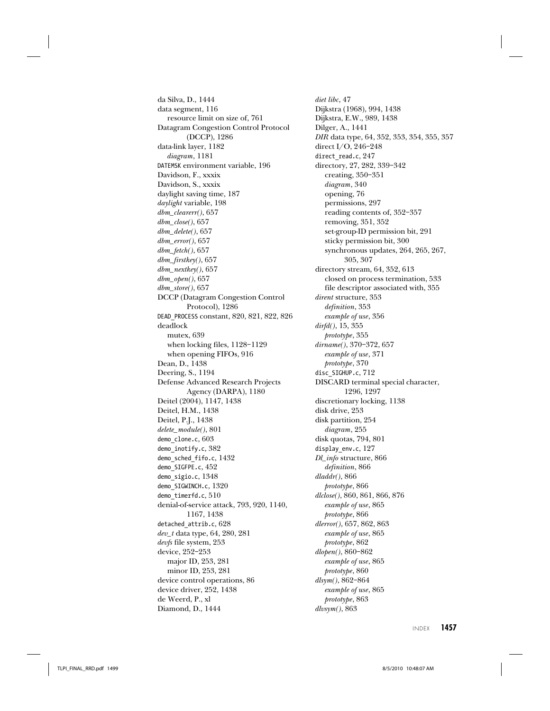da Silva, D., 1444 data segment, 116 resource limit on size of, 761 Datagram Congestion Control Protocol (DCCP), 1286 data-link layer, 1182 diagram, 1181 DATEMSK environment variable, 196 Davidson, F., xxxix Davidson, S., xxxix daylight saving time, 187 daylight variable, 198 dbm\_clearerr(), 657 dbm\_close(), 657 dbm\_delete(), 657 dbm\_error(), 657  $dbm_f etch(), 657$ dbm\_firstkey(), 657  $dbm\_nextkey(), 657$ dbm\_open(), 657 dbm\_store(), 657 DCCP (Datagram Congestion Control Protocol), 1286 DEAD\_PROCESS constant, 820, 821, 822, 826 deadlock mutex, 639 when locking files, 1128–1129 when opening FIFOs, 916 Dean, D., 1438 Deering, S., 1194 Defense Advanced Research Projects Agency (DARPA), 1180 Deitel (2004), 1147, 1438 Deitel, H.M., 1438 Deitel, P.J., 1438 delete\_module(), 801 demo\_clone.c, 603 demo\_inotify.c, 382 demo\_sched\_fifo.c, 1432 demo\_SIGFPE.c, 452 demo\_sigio.c, 1348 demo\_SIGWINCH.c, 1320 demo timerfd.c, 510 denial-of-service attack, 793, 920, 1140, 1167, 1438 detached\_attrib.c, 628 dev\_t data type, 64, 280, 281 devfs file system, 253 device, 252–253 major ID, 253, 281 minor ID, 253, 281 device control operations, 86 device driver, 252, 1438 de Weerd, P., xl

Diamond, D., 1444

diet libc, 47 Dijkstra (1968), 994, 1438 Dijkstra, E.W., 989, 1438 Dilger, A., 1441 DIR data type, 64, 352, 353, 354, 355, 357 direct I/O, 246–248 direct\_read.c, 247 directory, 27, 282, 339–342 creating, 350–351 diagram, 340 opening, 76 permissions, 297 reading contents of, 352–357 removing, 351, 352 set-group-ID permission bit, 291 sticky permission bit, 300 synchronous updates, 264, 265, 267, 305, 307 directory stream, 64, 352, 613 closed on process termination, 533 file descriptor associated with, 355 dirent structure, 353 definition, 353 example of use, 356 dirfd(), 15, 355 prototype, 355 dirname(), 370–372, 657 example of use, 371 prototype, 370 disc\_SIGHUP.c, 712 DISCARD terminal special character, 1296, 1297 discretionary locking, 1138 disk drive, 253 disk partition, 254 diagram, 255 disk quotas, 794, 801 display\_env.c, 127 Dl\_info structure, 866 definition, 866 dladdr(), 866 prototype, 866 dlclose(), 860, 861, 866, 876 example of use, 865 prototype, 866 dlerror(), 657, 862, 863 example of use, 865 prototype, 862 dlopen(), 860–862 example of use, 865 prototype, 860 dlsym(), 862–864 example of use, 865 prototype, 863 dlvsym(), 863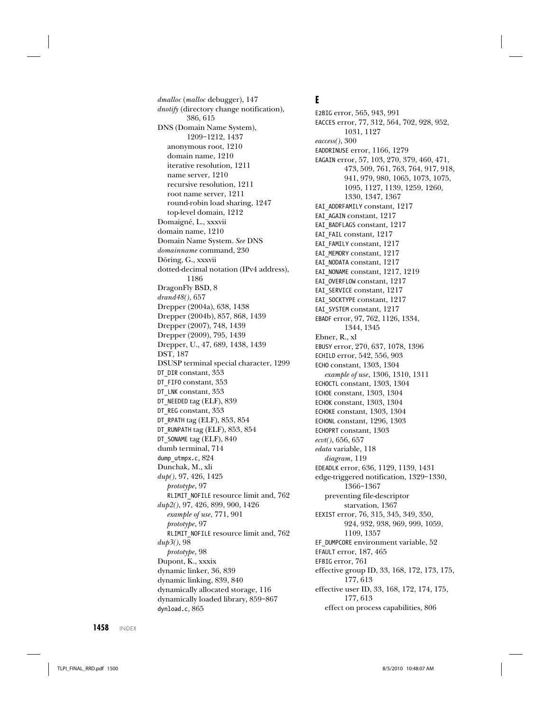dmalloc (malloc debugger), 147 dnotify (directory change notification), 386, 615 DNS (Domain Name System), 1209–1212, 1437 anonymous root, 1210 domain name, 1210 iterative resolution, 1211 name server, 1210 recursive resolution, 1211 root name server, 1211 round-robin load sharing, 1247 top-level domain, 1212 Domaigné, L., xxxvii domain name, 1210 Domain Name System. See DNS domainname command, 230 Döring, G., xxxvii dotted-decimal notation (IPv4 address), 1186 DragonFly BSD, 8 drand48(), 657 Drepper (2004a), 638, 1438 Drepper (2004b), 857, 868, 1439 Drepper (2007), 748, 1439 Drepper (2009), 795, 1439 Drepper, U., 47, 689, 1438, 1439 DST, 187 DSUSP terminal special character, 1299 DT\_DIR constant, 353 DT\_FIFO constant, 353 DT\_LNK constant, 353 DT\_NEEDED tag (ELF), 839 DT\_REG constant, 353 DT\_RPATH tag (ELF), 853, 854 DT\_RUNPATH tag (ELF), 853, 854 DT\_SONAME tag (ELF), 840 dumb terminal, 714 dump\_utmpx.c, 824 Dunchak, M., xli dup(), 97, 426, 1425 prototype, 97 RLIMIT\_NOFILE resource limit and, 762 dup2(), 97, 426, 899, 900, 1426 example of use, 771, 901 prototype, 97 RLIMIT\_NOFILE resource limit and, 762 dup3(), 98 prototype, 98 Dupont, K., xxxix dynamic linker, 36, 839 dynamic linking, 839, 840 dynamically allocated storage, 116 dynamically loaded library, 859–867 dynload.c, 865

## **E**

E2BIG error, 565, 943, 991 EACCES error, 77, 312, 564, 702, 928, 952, 1031, 1127 eaccess(), 300 EADDRINUSE error, 1166, 1279 EAGAIN error, 57, 103, 270, 379, 460, 471, 473, 509, 761, 763, 764, 917, 918, 941, 979, 980, 1065, 1073, 1075, 1095, 1127, 1139, 1259, 1260, 1330, 1347, 1367 EAI\_ADDRFAMILY constant, 1217 EAI\_AGAIN constant, 1217 EAI\_BADFLAGS constant, 1217 EAI\_FAIL constant, 1217 EAI\_FAMILY constant, 1217 EAI\_MEMORY constant, 1217 EAI\_NODATA constant, 1217 EAI\_NONAME constant, 1217, 1219 EAI\_OVERFLOW constant, 1217 EAI\_SERVICE constant, 1217 EAI\_SOCKTYPE constant, 1217 EAI\_SYSTEM constant, 1217 EBADF error, 97, 762, 1126, 1334, 1344, 1345 Ebner, R., xl EBUSY error, 270, 637, 1078, 1396 ECHILD error, 542, 556, 903 ECHO constant, 1303, 1304 example of use, 1306, 1310, 1311 ECHOCTL constant, 1303, 1304 ECHOE constant, 1303, 1304 ECHOK constant, 1303, 1304 ECHOKE constant, 1303, 1304 ECHONL constant, 1296, 1303 ECHOPRT constant, 1303 ecvt(), 656, 657 edata variable, 118 diagram, 119 EDEADLK error, 636, 1129, 1139, 1431 edge-triggered notification, 1329–1330, 1366–1367 preventing file-descriptor starvation, 1367 EEXIST error, 76, 315, 345, 349, 350, 924, 932, 938, 969, 999, 1059, 1109, 1357 EF\_DUMPCORE environment variable, 52 EFAULT error, 187, 465 EFBIG error, 761 effective group ID, 33, 168, 172, 173, 175, 177, 613 effective user ID, 33, 168, 172, 174, 175, 177, 613 effect on process capabilities, 806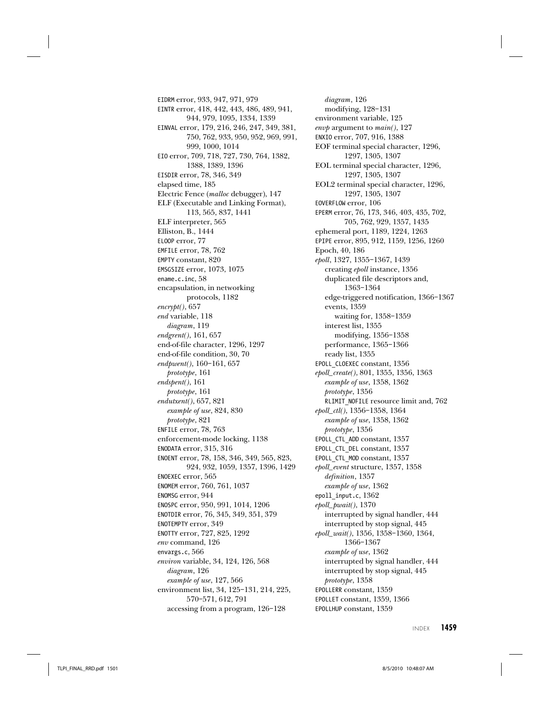EIDRM error, 933, 947, 971, 979 EINTR error, 418, 442, 443, 486, 489, 941, 944, 979, 1095, 1334, 1339 EINVAL error, 179, 216, 246, 247, 349, 381, 750, 762, 933, 950, 952, 969, 991, 999, 1000, 1014 EIO error, 709, 718, 727, 730, 764, 1382, 1388, 1389, 1396 EISDIR error, 78, 346, 349 elapsed time, 185 Electric Fence (malloc debugger), 147 ELF (Executable and Linking Format), 113, 565, 837, 1441 ELF interpreter, 565 Elliston, B., 1444 ELOOP error, 77 EMFILE error, 78, 762 EMPTY constant, 820 EMSGSIZE error, 1073, 1075 ename.c.inc, 58 encapsulation, in networking protocols, 1182  $\textit{encrypt}(), 657$ end variable, 118 diagram, 119 endgrent(), 161, 657 end-of-file character, 1296, 1297 end-of-file condition, 30, 70 endpwent(), 160–161, 657 prototype, 161 endspent(), 161 prototype, 161 endutxent(), 657, 821 example of use, 824, 830 prototype, 821 ENFILE error, 78, 763 enforcement-mode locking, 1138 ENODATA error, 315, 316 ENOENT error, 78, 158, 346, 349, 565, 823, 924, 932, 1059, 1357, 1396, 1429 ENOEXEC error, 565 ENOMEM error, 760, 761, 1037 ENOMSG error, 944 ENOSPC error, 950, 991, 1014, 1206 ENOTDIR error, 76, 345, 349, 351, 379 ENOTEMPTY error, 349 ENOTTY error, 727, 825, 1292 env command, 126 envargs.c, 566 environ variable, 34, 124, 126, 568 diagram, 126 example of use, 127, 566 environment list, 34, 125–131, 214, 225, 570–571, 612, 791 accessing from a program, 126–128

diagram, 126 modifying, 128–131 environment variable, 125 env $p$  argument to main(), 127 ENXIO error, 707, 916, 1388 EOF terminal special character, 1296, 1297, 1305, 1307 EOL terminal special character, 1296, 1297, 1305, 1307 EOL2 terminal special character, 1296, 1297, 1305, 1307 EOVERFLOW error, 106 EPERM error, 76, 173, 346, 403, 435, 702, 705, 762, 929, 1357, 1435 ephemeral port, 1189, 1224, 1263 EPIPE error, 895, 912, 1159, 1256, 1260 Epoch, 40, 186 epoll, 1327, 1355–1367, 1439 creating epoll instance, 1356 duplicated file descriptors and, 1363–1364 edge-triggered notification, 1366–1367 events, 1359 waiting for, 1358–1359 interest list, 1355 modifying, 1356–1358 performance, 1365–1366 ready list, 1355 EPOLL\_CLOEXEC constant, 1356 epoll\_create(), 801, 1355, 1356, 1363 example of use, 1358, 1362 prototype, 1356 RLIMIT\_NOFILE resource limit and, 762 epoll\_ctl(), 1356–1358, 1364 example of use, 1358, 1362 prototype, 1356 EPOLL\_CTL\_ADD constant, 1357 EPOLL\_CTL\_DEL constant, 1357 EPOLL\_CTL\_MOD constant, 1357 epoll\_event structure, 1357, 1358 definition, 1357 example of use, 1362 epoll input.c, 1362 epoll\_pwait(), 1370 interrupted by signal handler, 444 interrupted by stop signal, 445 epoll\_wait(), 1356, 1358–1360, 1364, 1366–1367 example of use, 1362 interrupted by signal handler, 444 interrupted by stop signal, 445 prototype, 1358 EPOLLERR constant, 1359 EPOLLET constant, 1359, 1366 EPOLLHUP constant, 1359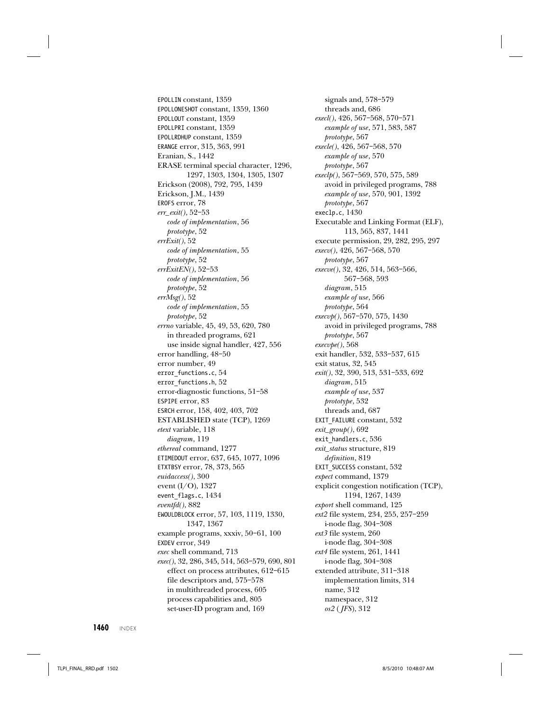EPOLLIN constant, 1359 EPOLLONESHOT constant, 1359, 1360 EPOLLOUT constant, 1359 EPOLLPRI constant, 1359 EPOLLRDHUP constant, 1359 ERANGE error, 315, 363, 991 Eranian, S., 1442 ERASE terminal special character, 1296, 1297, 1303, 1304, 1305, 1307 Erickson (2008), 792, 795, 1439 Erickson, J.M., 1439 EROFS error, 78 err\_exit(), 52–53 code of implementation, 56 prototype, 52 errExit(), 52 code of implementation, 55 prototype, 52 errExitEN(), 52–53 code of implementation, 56 prototype, 52  $errMsg()$ , 52 code of implementation, 55 prototype, 52 errno variable, 45, 49, 53, 620, 780 in threaded programs, 621 use inside signal handler, 427, 556 error handling, 48–50 error number, 49 error\_functions.c, 54 error\_functions.h, 52 error-diagnostic functions, 51–58 ESPIPE error, 83 ESRCH error, 158, 402, 403, 702 ESTABLISHED state (TCP), 1269 etext variable, 118 diagram, 119 ethereal command, 1277 ETIMEDOUT error, 637, 645, 1077, 1096 ETXTBSY error, 78, 373, 565 euidaccess(), 300 event (I/O), 1327 event\_flags.c, 1434 eventfd(), 882 EWOULDBLOCK error, 57, 103, 1119, 1330, 1347, 1367 example programs, xxxiv, 50–61, 100 EXDEV error, 349 exec shell command, 713 exec(), 32, 286, 345, 514, 563–579, 690, 801 effect on process attributes, 612–615 file descriptors and, 575–578 in multithreaded process, 605 process capabilities and, 805 set-user-ID program and, 169

signals and, 578–579 threads and, 686 execl(), 426, 567–568, 570–571 example of use, 571, 583, 587 prototype, 567 execle(), 426, 567–568, 570 example of use, 570 prototype, 567 execlp(), 567–569, 570, 575, 589 avoid in privileged programs, 788 example of use, 570, 901, 1392 prototype, 567 execlp.c, 1430 Executable and Linking Format (ELF), 113, 565, 837, 1441 execute permission, 29, 282, 295, 297 execv(), 426, 567–568, 570 prototype, 567 execve(), 32, 426, 514, 563–566, 567–568, 593 diagram, 515 example of use, 566 prototype, 564 execvp(), 567–570, 575, 1430 avoid in privileged programs, 788 prototype, 567 execvpe(), 568 exit handler, 532, 533–537, 615 exit status, 32, 545 exit(), 32, 390, 513, 531–533, 692 diagram, 515 example of use, 537 prototype, 532 threads and, 687 EXIT\_FAILURE constant, 532 exit\_group(), 692 exit\_handlers.c, 536 exit\_status structure, 819 definition, 819 EXIT\_SUCCESS constant, 532 expect command, 1379 explicit congestion notification (TCP), 1194, 1267, 1439 export shell command, 125 ext2 file system, 234, 255, 257–259 i-node flag, 304–308 ext3 file system, 260 i-node flag, 304–308 ext4 file system, 261, 1441 i-node flag, 304–308 extended attribute, 311–318 implementation limits, 314 name, 312 namespace, 312 os2 ( JFS), 312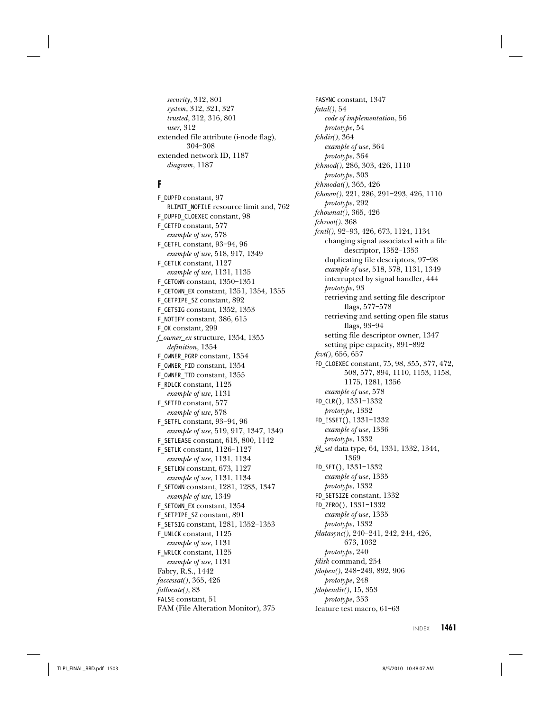security, 312, 801 system, 312, 321, 327 trusted, 312, 316, 801 user, 312 extended file attribute (i-node flag), 304–308 extended network ID, 1187 diagram, 1187

## **F**

F\_DUPFD constant, 97 RLIMIT\_NOFILE resource limit and, 762 F\_DUPFD\_CLOEXEC constant, 98 F\_GETFD constant, 577 example of use, 578 F\_GETFL constant, 93–94, 96 example of use, 518, 917, 1349 F\_GETLK constant, 1127 example of use, 1131, 1135 F\_GETOWN constant, 1350–1351 F\_GETOWN\_EX constant, 1351, 1354, 1355 F\_GETPIPE\_SZ constant, 892 F\_GETSIG constant, 1352, 1353 F\_NOTIFY constant, 386, 615 F\_OK constant, 299 f\_owner\_ex structure, 1354, 1355 definition, 1354 F\_OWNER\_PGRP constant, 1354 F\_OWNER\_PID constant, 1354 F\_OWNER\_TID constant, 1355 F\_RDLCK constant, 1125 example of use, 1131 F\_SETFD constant, 577 example of use, 578 F\_SETFL constant, 93–94, 96 example of use, 519, 917, 1347, 1349 F\_SETLEASE constant, 615, 800, 1142 F\_SETLK constant, 1126–1127 example of use, 1131, 1134 F\_SETLKW constant, 673, 1127 example of use, 1131, 1134 F\_SETOWN constant, 1281, 1283, 1347 example of use, 1349 F\_SETOWN\_EX constant, 1354 F\_SETPIPE\_SZ constant, 891 F\_SETSIG constant, 1281, 1352–1353 F\_UNLCK constant, 1125 example of use, 1131 F\_WRLCK constant, 1125 example of use, 1131 Fabry, R.S., 1442 faccessat(), 365, 426 fallocate(), 83 FALSE constant, 51 FAM (File Alteration Monitor), 375

FASYNC constant, 1347  $fatal(), 54$ code of implementation, 56 prototype, 54 fchdir(), 364 example of use, 364 prototype, 364 fchmod(), 286, 303, 426, 1110 prototype, 303 fchmodat(), 365, 426 fchown(), 221, 286, 291–293, 426, 1110 prototype, 292 fchownat(), 365, 426 fchroot(), 368 fcntl(), 92–93, 426, 673, 1124, 1134 changing signal associated with a file descriptor, 1352–1353 duplicating file descriptors, 97–98 example of use, 518, 578, 1131, 1349 interrupted by signal handler, 444 prototype, 93 retrieving and setting file descriptor flags, 577–578 retrieving and setting open file status flags, 93–94 setting file descriptor owner, 1347 setting pipe capacity, 891–892 fcvt(), 656, 657 FD\_CLOEXEC constant, 75, 98, 355, 377, 472, 508, 577, 894, 1110, 1153, 1158, 1175, 1281, 1356 example of use, 578 FD\_CLR(), 1331–1332 prototype, 1332 FD\_ISSET(), 1331–1332 example of use, 1336 prototype, 1332 fd\_set data type, 64, 1331, 1332, 1344, 1369 FD\_SET(), 1331–1332 example of use, 1335 prototype, 1332 FD\_SETSIZE constant, 1332 FD\_ZERO(), 1331–1332 example of use, 1335 prototype, 1332 fdatasync(), 240–241, 242, 244, 426, 673, 1032 prototype, 240 fdisk command, 254 fdopen(), 248–249, 892, 906 prototype, 248 fdopendir(), 15, 353 prototype, 353 feature test macro, 61–63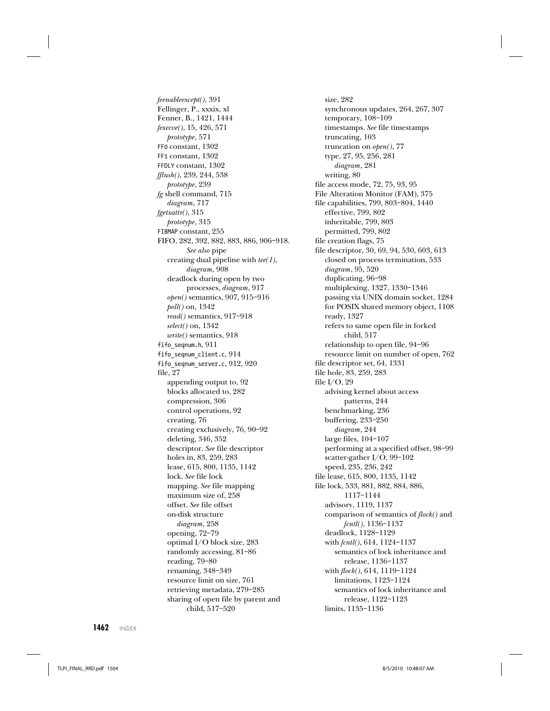feenableexcept(), 391 Fellinger, P., xxxix, xl Fenner, B., 1421, 1444 fexecve(), 15, 426, 571 prototype, 571 FF0 constant, 1302 FF1 constant, 1302 FFDLY constant, 1302 fflush(), 239, 244, 538 prototype, 239 fg shell command, 715 diagram, 717 fgetxattr(), 315 prototype, 315 FIBMAP constant, 255 FIFO, 282, 392, 882, 883, 886, 906–918. See also pipe creating dual pipeline with  $tee(1)$ , diagram, 908 deadlock during open by two processes, diagram, 917 open() semantics, 907, 915–916 poll() on, 1342 read() semantics, 917–918 select() on, 1342 write() semantics, 918 fifo\_seqnum.h, 911 fifo\_seqnum\_client.c, 914 fifo\_seqnum\_server.c, 912, 920 file, 27 appending output to, 92 blocks allocated to, 282 compression, 306 control operations, 92 creating, 76 creating exclusively, 76, 90–92 deleting, 346, 352 descriptor. See file descriptor holes in, 83, 259, 283 lease, 615, 800, 1135, 1142 lock. See file lock mapping. See file mapping maximum size of, 258 offset. See file offset on-disk structure diagram, 258 opening, 72–79 optimal I/O block size, 283 randomly accessing, 81–86 reading, 79–80 renaming, 348–349 resource limit on size, 761 retrieving metadata, 279–285 sharing of open file by parent and child, 517–520

size, 282 synchronous updates, 264, 267, 307 temporary, 108–109 timestamps. See file timestamps truncating, 103 truncation on  $open(), 77$ type, 27, 95, 256, 281 diagram, 281 writing, 80 file access mode, 72, 75, 93, 95 File Alteration Monitor (FAM), 375 file capabilities, 799, 803–804, 1440 effective, 799, 802 inheritable, 799, 803 permitted, 799, 802 file creation flags, 75 file descriptor, 30, 69, 94, 530, 603, 613 closed on process termination, 533 diagram, 95, 520 duplicating, 96–98 multiplexing, 1327, 1330–1346 passing via UNIX domain socket, 1284 for POSIX shared memory object, 1108 ready, 1327 refers to same open file in forked child, 517 relationship to open file, 94–96 resource limit on number of open, 762 file descriptor set, 64, 1331 file hole, 83, 259, 283 file I/O, 29 advising kernel about access patterns, 244 benchmarking, 236 buffering, 233–250 diagram, 244 large files, 104–107 performing at a specified offset, 98–99 scatter-gather I/O, 99–102 speed, 235, 236, 242 file lease, 615, 800, 1135, 1142 file lock, 533, 881, 882, 884, 886, 1117–1144 advisory, 1119, 1137 comparison of semantics of flock() and fcntl(), 1136–1137 deadlock, 1128–1129 with fcntl(), 614, 1124–1137 semantics of lock inheritance and release, 1136–1137 with flock(), 614, 1119–1124 limitations, 1123–1124 semantics of lock inheritance and release, 1122–1123 limits, 1135–1136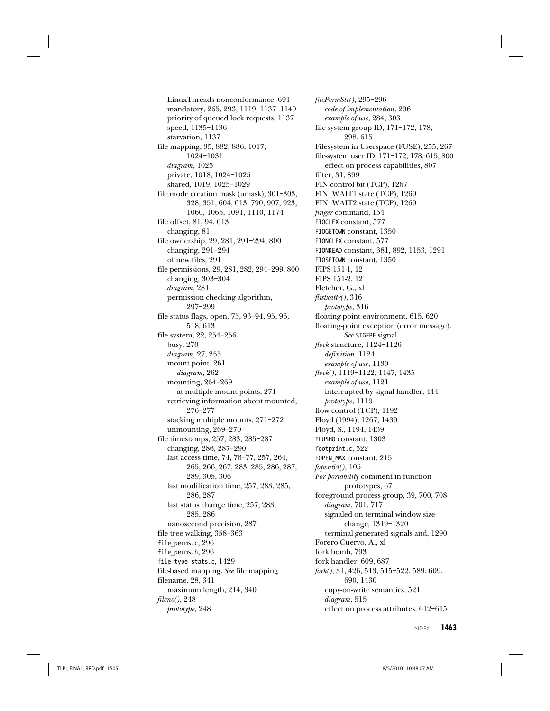LinuxThreads nonconformance, 691 mandatory, 265, 293, 1119, 1137–1140 priority of queued lock requests, 1137 speed, 1135–1136 starvation, 1137 file mapping, 35, 882, 886, 1017, 1024–1031 diagram, 1025 private, 1018, 1024–1025 shared, 1019, 1025–1029 file mode creation mask (umask), 301–303, 328, 351, 604, 613, 790, 907, 923, 1060, 1065, 1091, 1110, 1174 file offset, 81, 94, 613 changing, 81 file ownership, 29, 281, 291–294, 800 changing, 291–294 of new files, 291 file permissions, 29, 281, 282, 294–299, 800 changing, 303–304 diagram, 281 permission-checking algorithm, 297–299 file status flags, open, 75, 93–94, 95, 96, 518, 613 file system, 22, 254–256 busy, 270 diagram, 27, 255 mount point, 261 diagram, 262 mounting, 264–269 at multiple mount points, 271 retrieving information about mounted, 276–277 stacking multiple mounts, 271–272 unmounting, 269–270 file timestamps, 257, 283, 285–287 changing, 286, 287–290 last access time, 74, 76–77, 257, 264, 265, 266, 267, 283, 285, 286, 287, 289, 305, 306 last modification time, 257, 283, 285, 286, 287 last status change time, 257, 283, 285, 286 nanosecond precision, 287 file tree walking, 358–363 file\_perms.c, 296 file\_perms.h, 296 file type stats.c,  $1429$ file-based mapping. See file mapping filename, 28, 341 maximum length, 214, 340 fileno(), 248 prototype, 248

filePermStr(), 295–296 code of implementation, 296 example of use, 284, 303 file-system group ID, 171–172, 178, 298, 615 Filesystem in Userspace (FUSE), 255, 267 file-system user ID, 171–172, 178, 615, 800 effect on process capabilities, 807 filter, 31, 899 FIN control bit (TCP), 1267 FIN\_WAIT1 state (TCP), 1269 FIN\_WAIT2 state (TCP), 1269 finger command, 154 FIOCLEX constant, 577 FIOGETOWN constant, 1350 FIONCLEX constant, 577 FIONREAD constant, 381, 892, 1153, 1291 FIOSETOWN constant, 1350 FIPS 151-1, 12 FIPS 151-2, 12 Fletcher, G., xl flistxattr(), 316 prototype, 316 floating-point environment, 615, 620 floating-point exception (error message). See SIGFPE signal flock structure, 1124–1126 definition, 1124 example of use, 1130 flock(), 1119–1122, 1147, 1435 example of use, 1121 interrupted by signal handler, 444 prototype, 1119 flow control (TCP), 1192 Floyd (1994), 1267, 1439 Floyd, S., 1194, 1439 FLUSHO constant, 1303 footprint.c, 522 FOPEN\_MAX constant, 215 fopen64(), 105 For portability comment in function prototypes, 67 foreground process group, 39, 700, 708 diagram, 701, 717 signaled on terminal window size change, 1319–1320 terminal-generated signals and, 1290 Forero Cuervo, A., xl fork bomb, 793 fork handler, 609, 687 fork(), 31, 426, 513, 515–522, 589, 609, 690, 1430 copy-on-write semantics, 521 diagram, 515 effect on process attributes, 612–615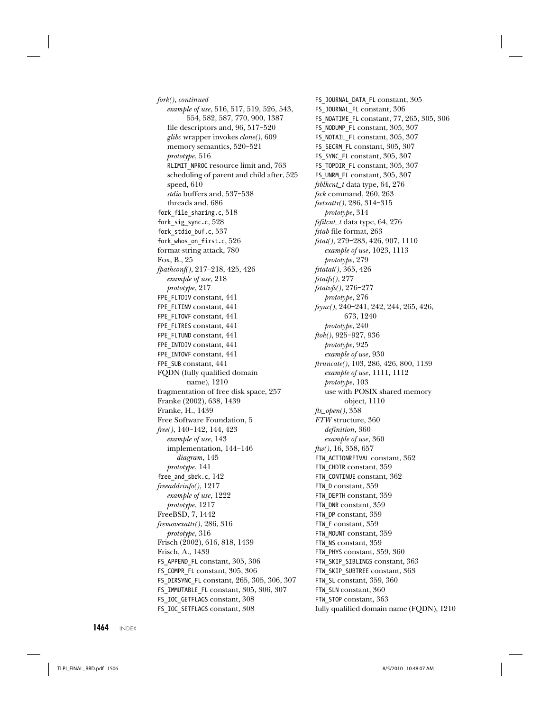fork(), continued example of use, 516, 517, 519, 526, 543, 554, 582, 587, 770, 900, 1387 file descriptors and, 96, 517–520 glibc wrapper invokes clone(), 609 memory semantics, 520–521 prototype, 516 RLIMIT\_NPROC resource limit and, 763 scheduling of parent and child after, 525 speed, 610 stdio buffers and, 537–538 threads and, 686 fork\_file\_sharing.c, 518 fork\_sig\_sync.c, 528 fork\_stdio\_buf.c, 537 fork\_whos\_on\_first.c, 526 format-string attack, 780 Fox, B., 25 fpathconf(), 217–218, 425, 426 example of use, 218 prototype, 217 FPE\_FLTDIV constant, 441 FPE\_FLTINV constant, 441 FPE\_FLTOVF constant, 441 FPE\_FLTRES constant, 441 FPE\_FLTUND constant, 441 FPE\_INTDIV constant, 441 FPE\_INTOVF constant, 441 FPE\_SUB constant, 441 FQDN (fully qualified domain name), 1210 fragmentation of free disk space, 257 Franke (2002), 638, 1439 Franke, H., 1439 Free Software Foundation, 5 free(), 140–142, 144, 423 example of use, 143 implementation, 144–146 diagram, 145 prototype, 141 free\_and\_sbrk.c, 142 freeaddrinfo(), 1217 example of use, 1222 prototype, 1217 FreeBSD, 7, 1442 fremovexattr(), 286, 316 prototype, 316 Frisch (2002), 616, 818, 1439 Frisch, A., 1439 FS\_APPEND\_FL constant, 305, 306 FS\_COMPR\_FL constant, 305, 306 FS\_DIRSYNC\_FL constant, 265, 305, 306, 307 FS\_IMMUTABLE\_FL constant, 305, 306, 307 FS\_IOC\_GETFLAGS constant, 308 FS\_IOC\_SETFLAGS constant, 308

FS\_JOURNAL\_DATA\_FL constant, 305 FS\_JOURNAL\_FL constant, 306 FS\_NOATIME\_FL constant, 77, 265, 305, 306 FS\_NODUMP\_FL constant, 305, 307 FS\_NOTAIL\_FL constant, 305, 307 FS\_SECRM\_FL constant, 305, 307 FS\_SYNC\_FL constant, 305, 307 FS TOPDIR FL constant, 305, 307 FS UNRM FL constant, 305, 307 fsblkcnt\_t data type, 64, 276 fsck command, 260, 263 fsetxattr(), 286, 314–315 prototype, 314 fsfilcnt\_t data type, 64, 276 fstab file format, 263 fstat(), 279–283, 426, 907, 1110 example of use, 1023, 1113 prototype, 279 fstatat(), 365, 426 fstatfs(), 277 fstatvfs(), 276–277 prototype, 276 fsync(), 240–241, 242, 244, 265, 426, 673, 1240 prototype, 240  $ftok()$ , 925-927, 936 prototype, 925 example of use, 930 ftruncate(), 103, 286, 426, 800, 1139 example of use, 1111, 1112 prototype, 103 use with POSIX shared memory object, 1110 fts\_open(), 358 FTW structure, 360 definition, 360 example of use, 360 ftw(), 16, 358, 657 FTW\_ACTIONRETVAL constant, 362 FTW\_CHDIR constant, 359 FTW\_CONTINUE constant, 362 FTW D constant, 359 FTW DEPTH constant, 359 FTW\_DNR constant, 359 FTW\_DP constant, 359 FTW F constant, 359 FTW MOUNT constant, 359 FTW NS constant, 359 FTW\_PHYS constant, 359, 360 FTW SKIP SIBLINGS constant, 363 FTW\_SKIP\_SUBTREE constant, 363 FTW SL constant, 359, 360 FTW\_SLN constant, 360 FTW STOP constant, 363 fully qualified domain name (FQDN), 1210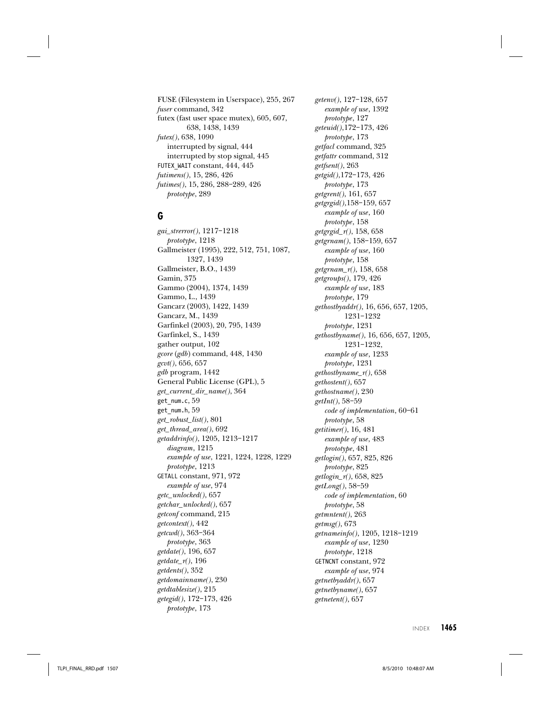FUSE (Filesystem in Userspace), 255, 267 fuser command, 342 futex (fast user space mutex), 605, 607, 638, 1438, 1439 futex(), 638, 1090 interrupted by signal, 444 interrupted by stop signal, 445 FUTEX WAIT constant, 444, 445 futimens(), 15, 286, 426 futimes(), 15, 286, 288–289, 426 prototype, 289

### **G**

gai\_strerror(), 1217–1218 prototype, 1218 Gallmeister (1995), 222, 512, 751, 1087, 1327, 1439 Gallmeister, B.O., 1439 Gamin, 375 Gammo (2004), 1374, 1439 Gammo, L., 1439 Gancarz (2003), 1422, 1439 Gancarz, M., 1439 Garfinkel (2003), 20, 795, 1439 Garfinkel, S., 1439 gather output, 102 gcore (gdb) command, 448, 1430 gcvt(), 656, 657 gdb program, 1442 General Public License (GPL), 5 get\_current\_dir\_name(), 364 get\_num.c, 59 get\_num.h, 59 get\_robust\_list(), 801 get\_thread\_area(), 692 getaddrinfo(), 1205, 1213–1217 diagram, 1215 example of use, 1221, 1224, 1228, 1229 prototype, 1213 GETALL constant, 971, 972 example of use, 974 getc\_unlocked(), 657 getchar\_unlocked(), 657 getconf command, 215 getcontext(), 442 getcwd(), 363–364 prototype, 363 getdate(), 196, 657  $getdate_r(), 196$ getdents(), 352 getdomainname(), 230 getdtablesize(), 215 getegid(), 172–173, 426 prototype, 173

getenv(), 127–128, 657 example of use, 1392 prototype, 127 geteuid(),172–173, 426 prototype, 173 getfacl command, 325 getfattr command, 312 getfsent(), 263 getgid(),172–173, 426 prototype, 173 getgrent(), 161, 657 getgrgid(),158–159, 657 example of use, 160 prototype, 158 getgrgid\_r(), 158, 658 getgrnam(), 158–159, 657 example of use, 160 prototype, 158 getgrnam\_r(), 158, 658 getgroups(), 179, 426 example of use, 183 prototype, 179 gethostbyaddr(), 16, 656, 657, 1205, 1231–1232 prototype, 1231 gethostbyname(), 16, 656, 657, 1205, 1231–1232, example of use, 1233 prototype, 1231 gethostbyname\_r(), 658 gethostent(), 657 gethostname(), 230 getInt(), 58–59 code of implementation, 60–61 prototype, 58 getitimer(), 16, 481 example of use, 483 prototype, 481 getlogin(), 657, 825, 826 prototype, 825 getlogin\_r(), 658, 825 getLong(), 58–59 code of implementation, 60 prototype, 58 getmntent(), 263 getmsg(), 673 getnameinfo(), 1205, 1218–1219 example of use, 1230 prototype, 1218 GETNCNT constant, 972 example of use, 974 getnetbyaddr(), 657 getnetbyname(), 657 getnetent(), 657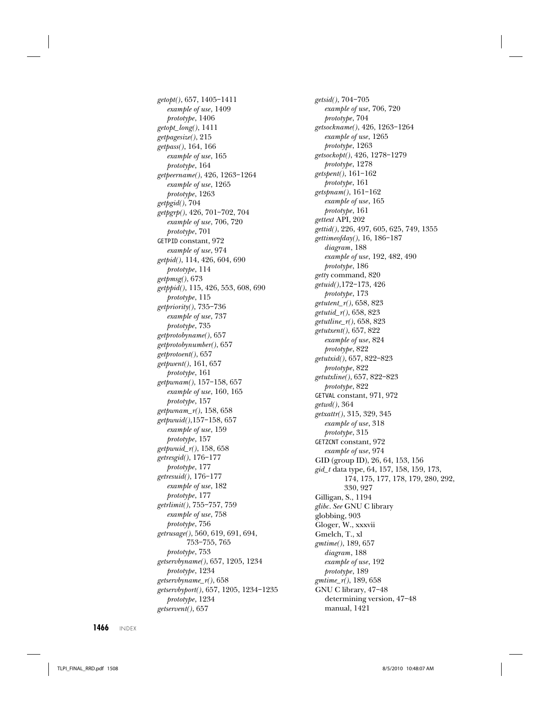getopt(), 657, 1405–1411 example of use, 1409 prototype, 1406 getopt\_long(), 1411 getpagesize(), 215 getpass(), 164, 166 example of use, 165 prototype, 164 getpeername(), 426, 1263–1264 example of use, 1265 prototype, 1263 getpgid(), 704 getpgrp(), 426, 701–702, 704 example of use, 706, 720 prototype, 701 GETPID constant, 972 example of use, 974 getpid(), 114, 426, 604, 690 prototype, 114 getpmsg(), 673 getppid(), 115, 426, 553, 608, 690 prototype, 115 getpriority(), 735–736 example of use, 737 prototype, 735 getprotobyname(), 657 getprotobynumber(), 657 getprotoent(), 657 getpwent(), 161, 657 prototype, 161 getpwnam(), 157–158, 657 example of use, 160, 165 prototype, 157 getpwnam\_r(), 158, 658 getpwuid(),157–158, 657 example of use, 159 prototype, 157 getpwuid\_r(), 158, 658 getresgid(), 176–177 prototype, 177 getresuid(), 176–177 example of use, 182 prototype, 177 getrlimit(), 755–757, 759 example of use, 758 prototype, 756 getrusage(), 560, 619, 691, 694, 753–755, 765 prototype, 753 getservbyname(), 657, 1205, 1234 prototype, 1234 getservbyname\_r(), 658 getservbyport(), 657, 1205, 1234–1235 prototype, 1234 getservent(), 657

getsid(), 704–705 example of use, 706, 720 prototype, 704 getsockname(), 426, 1263–1264 example of use, 1265 prototype, 1263 getsockopt(), 426, 1278–1279 prototype, 1278 getspent(), 161–162 prototype, 161 getspnam(), 161–162 example of use, 165 prototype, 161 gettext API, 202 gettid(), 226, 497, 605, 625, 749, 1355 gettimeofday(), 16, 186–187 diagram, 188 example of use, 192, 482, 490 prototype, 186 getty command, 820 getuid(),172–173, 426 prototype, 173 getutent\_r(), 658, 823 getutid\_r(), 658, 823 getutline\_r(), 658, 823 getutxent(), 657, 822 example of use, 824 prototype, 822 getutxid(), 657, 822–823 prototype, 822 getutxline(), 657, 822–823 prototype, 822 GETVAL constant, 971, 972 getwd(), 364 getxattr(), 315, 329, 345 example of use, 318 prototype, 315 GETZCNT constant, 972 example of use, 974 GID (group ID), 26, 64, 153, 156 gid\_t data type, 64, 157, 158, 159, 173, 174, 175, 177, 178, 179, 280, 292, 330, 927 Gilligan, S., 1194 glibc. See GNU C library globbing, 903 Gloger, W., xxxvii Gmelch, T., xl gmtime(), 189, 657 diagram, 188 example of use, 192 prototype, 189 gmtime\_r(), 189, 658 GNU C library, 47–48 determining version, 47–48 manual, 1421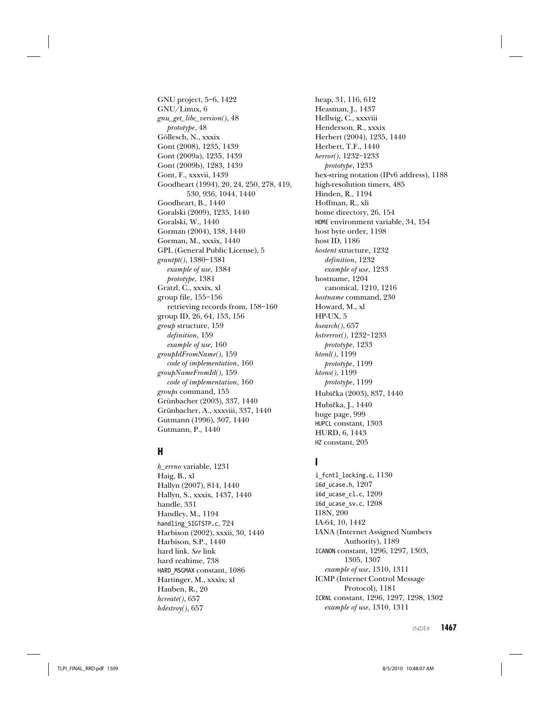GNU project, 5–6, 1422 GNU/Linux, 6 gnu\_get\_libc\_version(), 48 prototype, 48 Göllesch, N., xxxix Gont (2008), 1235, 1439 Gont (2009a), 1235, 1439 Gont (2009b), 1283, 1439 Gont, F., xxxvii, 1439 Goodheart (1994), 20, 24, 250, 278, 419, 530, 936, 1044, 1440 Goodheart, B., 1440 Goralski (2009), 1235, 1440 Goralski, W., 1440 Gorman (2004), 138, 1440 Gorman, M., xxxix, 1440 GPL (General Public License), 5 grantpt(), 1380–1381 example of use, 1384 prototype, 1381 Gratzl, C., xxxix, xl group file, 155–156 retrieving records from, 158–160 group ID, 26, 64, 153, 156 group structure, 159 definition, 159 example of use, 160 groupIdFromName(), 159 code of implementation, 160 groupNameFromId(), 159 code of implementation, 160 groups command, 155 Grünbacher (2003), 337, 1440 Grünbacher, A., xxxviii, 337, 1440 Gutmann (1996), 307, 1440 Gutmann, P., 1440

## **H**

h\_errno variable, 1231 Haig, B., xl Hallyn (2007), 814, 1440 Hallyn, S., xxxix, 1437, 1440 handle, 331 Handley, M., 1194 handling\_SIGTSTP.c, 724 Harbison (2002), xxxii, 30, 1440 Harbison, S.P., 1440 hard link. See link hard realtime, 738 HARD\_MSGMAX constant, 1086 Hartinger, M., xxxix, xl Hauben, R., 20 hcreate(), 657  $hdestroy(), 657$ 

heap, 31, 116, 612 Heasman, J., 1437 Hellwig, C., xxxviii Henderson, R., xxxix Herbert (2004), 1235, 1440 Herbert, T.F., 1440 herror(), 1232–1233 prototype, 1233 hex-string notation (IPv6 address), 1188 high-resolution timers, 485 Hinden, R., 1194 Hoffman, R., xli home directory, 26, 154 HOME environment variable, 34, 154 host byte order, 1198 host ID, 1186 hostent structure, 1232 definition, 1232 example of use, 1233 hostname, 1204 canonical, 1210, 1216 hostname command, 230 Howard, M., xl HP-UX, 5  $hs\text{100}$ , 657 hstrerror(), 1232–1233 prototype, 1233 htonl(), 1199 prototype, 1199 htons(), 1199 prototype, 1199 Hubicka (2003), 837, 1440 û Hubicka, J., 1440 û huge page, 999 HUPCL constant, 1303 HURD, 6, 1443 HZ constant, 205

### **I**

i\_fcntl\_locking.c, 1130 i6d\_ucase.h, 1207 i6d\_ucase\_cl.c, 1209 i6d\_ucase\_sv.c, 1208 I18N, 200 IA-64, 10, 1442 IANA (Internet Assigned Numbers Authority), 1189 ICANON constant, 1296, 1297, 1303, 1305, 1307 example of use, 1310, 1311 ICMP (Internet Control Message Protocol), 1181 ICRNL constant, 1296, 1297, 1298, 1302 example of use, 1310, 1311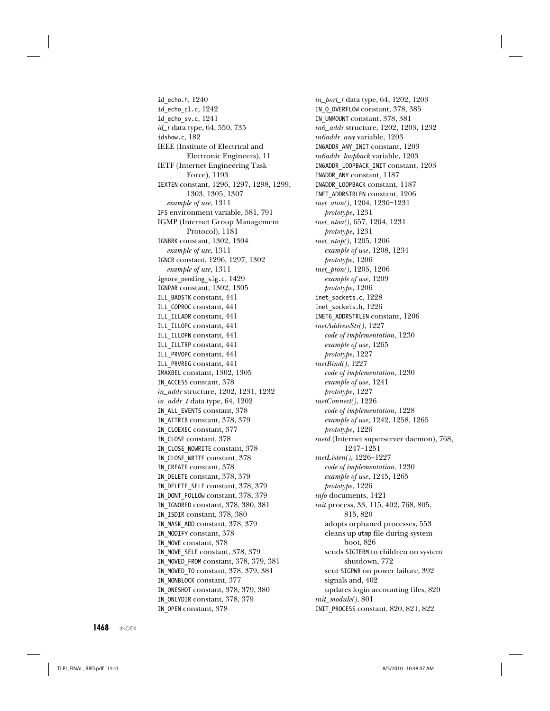id\_echo.h, 1240 id\_echo\_cl.c, 1242 id\_echo\_sv.c, 1241 id\_t data type, 64, 550, 735 idshow.c, 182 IEEE (Institute of Electrical and Electronic Engineers), 11 IETF (Internet Engineering Task Force), 1193 IEXTEN constant, 1296, 1297, 1298, 1299, 1303, 1305, 1307 example of use, 1311 IFS environment variable, 581, 791 IGMP (Internet Group Management Protocol), 1181 IGNBRK constant, 1302, 1304 example of use, 1311 IGNCR constant, 1296, 1297, 1302 example of use, 1311 ignore\_pending\_sig.c, 1429 IGNPAR constant, 1302, 1305 ILL\_BADSTK constant, 441 ILL\_COPROC constant, 441 ILL\_ILLADR constant, 441 ILL\_ILLOPC constant, 441 ILL\_ILLOPN constant, 441 ILL\_ILLTRP constant, 441 ILL\_PRVOPC constant, 441 ILL\_PRVREG constant, 441 IMAXBEL constant, 1302, 1305 IN\_ACCESS constant, 378 in\_addr structure, 1202, 1231, 1232 in\_addr\_t data type, 64, 1202 IN\_ALL\_EVENTS constant, 378 IN\_ATTRIB constant, 378, 379 IN\_CLOEXEC constant, 377 IN\_CLOSE constant, 378 IN\_CLOSE\_NOWRITE constant, 378 IN\_CLOSE\_WRITE constant, 378 IN\_CREATE constant, 378 IN\_DELETE constant, 378, 379 IN\_DELETE\_SELF constant, 378, 379 IN\_DONT\_FOLLOW constant, 378, 379 IN\_IGNORED constant, 378, 380, 381 IN\_ISDIR constant, 378, 380 IN\_MASK\_ADD constant, 378, 379 IN\_MODIFY constant, 378 IN\_MOVE constant, 378 IN MOVE SELF constant, 378, 379 IN\_MOVED\_FROM constant, 378, 379, 381 IN\_MOVED\_TO constant, 378, 379, 381 IN\_NONBLOCK constant, 377 IN\_ONESHOT constant, 378, 379, 380 IN ONLYDIR constant, 378, 379 IN\_OPEN constant, 378

in\_port\_t data type, 64, 1202, 1203 IN\_Q\_OVERFLOW constant, 378, 385 IN\_UNMOUNT constant, 378, 381 in6\_addr structure, 1202, 1203, 1232 in6addr\_any variable, 1203 IN6ADDR\_ANY\_INIT constant, 1203 in6addr\_loopback variable, 1203 IN6ADDR\_LOOPBACK\_INIT constant, 1203 INADDR\_ANY constant, 1187 INADDR\_LOOPBACK constant, 1187 INET\_ADDRSTRLEN constant, 1206 inet\_aton(), 1204, 1230–1231 prototype, 1231 inet\_ntoa(), 657, 1204, 1231 prototype, 1231 inet\_ntop(), 1205, 1206 example of use, 1208, 1234 prototype, 1206 inet\_pton(), 1205, 1206 example of use, 1209 prototype, 1206 inet sockets.c, 1228 inet\_sockets.h, 1226 INET6\_ADDRSTRLEN constant, 1206 inetAddressStr(), 1227 code of implementation, 1230 example of use, 1265 prototype, 1227 inetBind(), 1227 code of implementation, 1230 example of use, 1241 prototype, 1227 inetConnect(), 1226 code of implementation, 1228 example of use, 1242, 1258, 1265 prototype, 1226 inetd (Internet superserver daemon), 768, 1247–1251 inetListen(), 1226–1227 code of implementation, 1230 example of use, 1245, 1265 prototype, 1226 info documents, 1421 init process, 33, 115, 402, 768, 805, 815, 820 adopts orphaned processes, 553 cleans up utmp file during system boot, 826 sends SIGTERM to children on system shutdown, 772 sent SIGPWR on power failure, 392 signals and, 402 updates login accounting files, 820 init\_module(), 801 INIT\_PROCESS constant, 820, 821, 822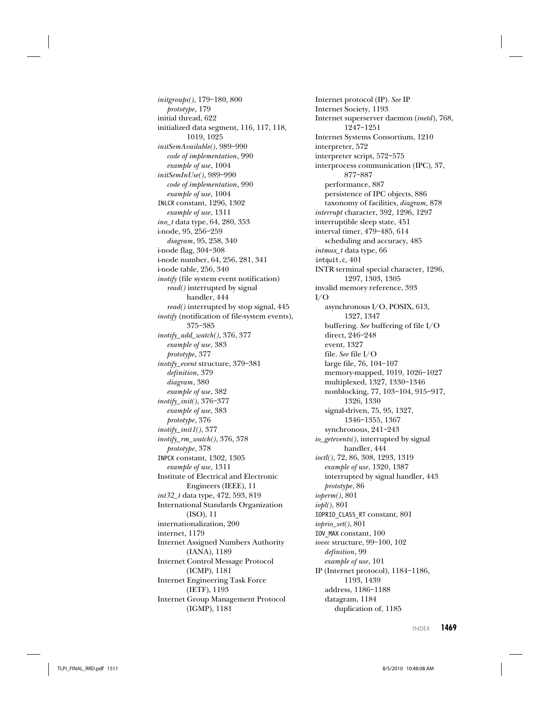initgroups(), 179–180, 800 prototype, 179 initial thread, 622 initialized data segment, 116, 117, 118, 1019, 1025 initSemAvailable(), 989–990 code of implementation, 990 example of use, 1004 initSemInUse(), 989–990 code of implementation, 990 example of use, 1004 INLCR constant, 1296, 1302 example of use, 1311 ino\_t data type, 64, 280, 353 i-node, 95, 256–259 diagram, 95, 258, 340 i-node flag, 304–308 i-node number, 64, 256, 281, 341 i-node table, 256, 340 inotify (file system event notification) read() interrupted by signal handler, 444 read() interrupted by stop signal, 445 inotify (notification of file-system events), 375–385 inotify\_add\_watch(), 376, 377 example of use, 383 prototype, 377 inotify\_event structure, 379–381 definition, 379 diagram, 380 example of use, 382 inotify\_init(), 376–377 example of use, 383 prototype, 376  $\text{inotif}\_\text{init1}(), 377$ inotify\_rm\_watch(), 376, 378 prototype, 378 INPCK constant, 1302, 1305 example of use, 1311 Institute of Electrical and Electronic Engineers (IEEE), 11 int32\_t data type, 472, 593, 819 International Standards Organization (ISO), 11 internationalization, 200 internet, 1179 Internet Assigned Numbers Authority (IANA), 1189 Internet Control Message Protocol (ICMP), 1181 Internet Engineering Task Force (IETF), 1193 Internet Group Management Protocol (IGMP), 1181

Internet protocol (IP). See IP Internet Society, 1193 Internet superserver daemon (inetd), 768, 1247–1251 Internet Systems Consortium, 1210 interpreter, 572 interpreter script, 572–575 interprocess communication (IPC), 37, 877–887 performance, 887 persistence of IPC objects, 886 taxonomy of facilities, diagram, 878 interrupt character, 392, 1296, 1297 interruptible sleep state, 451 interval timer, 479–485, 614 scheduling and accuracy, 485 intmax\_t data type, 66 intquit.c, 401 INTR terminal special character, 1296, 1297, 1303, 1305 invalid memory reference, 393 I/O asynchronous I/O, POSIX, 613, 1327, 1347 buffering. See buffering of file I/O direct, 246–248 event, 1327 file. See file I/O large file, 76, 104–107 memory-mapped, 1019, 1026–1027 multiplexed, 1327, 1330–1346 nonblocking, 77, 103–104, 915–917, 1326, 1330 signal-driven, 75, 95, 1327, 1346–1355, 1367 synchronous, 241–243 io\_getevents(), interrupted by signal handler, 444 ioctl(), 72, 86, 308, 1293, 1319 example of use, 1320, 1387 interrupted by signal handler, 443 prototype, 86 ioperm(), 801 iopl(), 801 IOPRIO\_CLASS\_RT constant, 801 ioprio\_set(), 801 IOV\_MAX constant, 100 iovec structure, 99–100, 102 definition, 99 example of use, 101 IP (Internet protocol), 1184–1186, 1193, 1439 address, 1186–1188 datagram, 1184 duplication of, 1185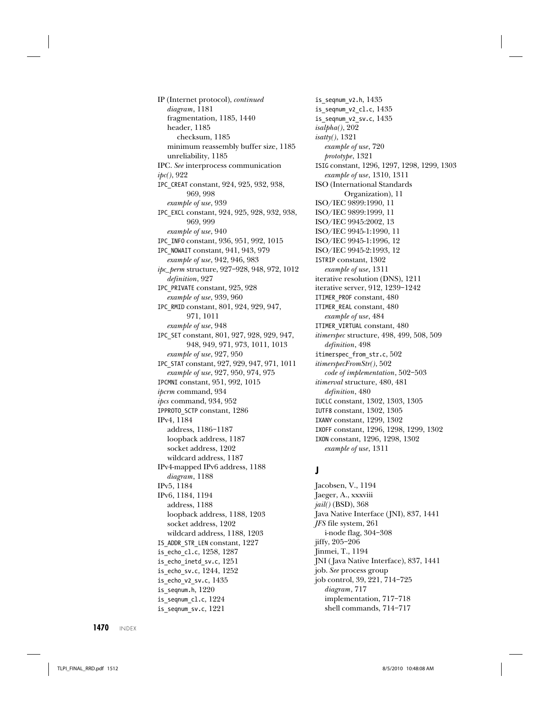IP (Internet protocol), continued diagram, 1181 fragmentation, 1185, 1440 header, 1185 checksum, 1185 minimum reassembly buffer size, 1185 unreliability, 1185 IPC. See interprocess communication ipc(), 922 IPC\_CREAT constant, 924, 925, 932, 938, 969, 998 example of use, 939 IPC\_EXCL constant, 924, 925, 928, 932, 938, 969, 999 example of use, 940 IPC\_INFO constant, 936, 951, 992, 1015 IPC\_NOWAIT constant, 941, 943, 979 example of use, 942, 946, 983 ipc\_perm structure, 927–928, 948, 972, 1012 definition, 927 IPC\_PRIVATE constant, 925, 928 example of use, 939, 960 IPC\_RMID constant, 801, 924, 929, 947, 971, 1011 example of use, 948 IPC\_SET constant, 801, 927, 928, 929, 947, 948, 949, 971, 973, 1011, 1013 example of use, 927, 950 IPC\_STAT constant, 927, 929, 947, 971, 1011 example of use, 927, 950, 974, 975 IPCMNI constant, 951, 992, 1015 ipcrm command, 934 ipcs command, 934, 952 IPPROTO\_SCTP constant, 1286 IPv4, 1184 address, 1186–1187 loopback address, 1187 socket address, 1202 wildcard address, 1187 IPv4-mapped IPv6 address, 1188 diagram, 1188 IPv5, 1184 IPv6, 1184, 1194 address, 1188 loopback address, 1188, 1203 socket address, 1202 wildcard address, 1188, 1203 IS ADDR STR LEN constant, 1227 is echo cl.c, 1258, 1287 is echo inetd sv.c, 1251 is echo sv.c, 1244, 1252 is echo v2 sv.c,  $1435$ is seqnum.h,  $1220$ 

is\_seqnum\_v2.h, 1435 is\_seqnum\_v2\_cl.c, 1435 is\_seqnum\_v2\_sv.c, 1435 isalpha(), 202 isatty(), 1321 example of use, 720 prototype, 1321 ISIG constant, 1296, 1297, 1298, 1299, 1303 example of use, 1310, 1311 ISO (International Standards Organization), 11 ISO/IEC 9899:1990, 11 ISO/IEC 9899:1999, 11 ISO/IEC 9945:2002, 13 ISO/IEC 9945-1:1990, 11 ISO/IEC 9945-1:1996, 12 ISO/IEC 9945-2:1993, 12 ISTRIP constant, 1302 example of use, 1311 iterative resolution (DNS), 1211 iterative server, 912, 1239–1242 ITIMER\_PROF constant, 480 ITIMER\_REAL constant, 480 example of use, 484 ITIMER\_VIRTUAL constant, 480 itimerspec structure, 498, 499, 508, 509 definition, 498 itimerspec\_from\_str.c, 502 itimerspecFromStr(), 502 code of implementation, 502–503 itimerval structure, 480, 481 definition, 480 IUCLC constant, 1302, 1303, 1305 IUTF8 constant, 1302, 1305 IXANY constant, 1299, 1302 IXOFF constant, 1296, 1298, 1299, 1302 IXON constant, 1296, 1298, 1302 example of use, 1311

## **J**

Jacobsen, V., 1194 Jaeger, A., xxxviii jail() (BSD), 368 Java Native Interface (JNI), 837, 1441 JFS file system, 261 i-node flag, 304–308 jiffy, 205–206 Jinmei, T., 1194 JNI ( Java Native Interface), 837, 1441 job. See process group job control, 39, 221, 714–725 diagram, 717 implementation, 717–718 shell commands, 714–717

**1470** INDEX

is seqnum  $cl.c$ ,  $1224$ is seqnum  $sv.c$ ,  $1221$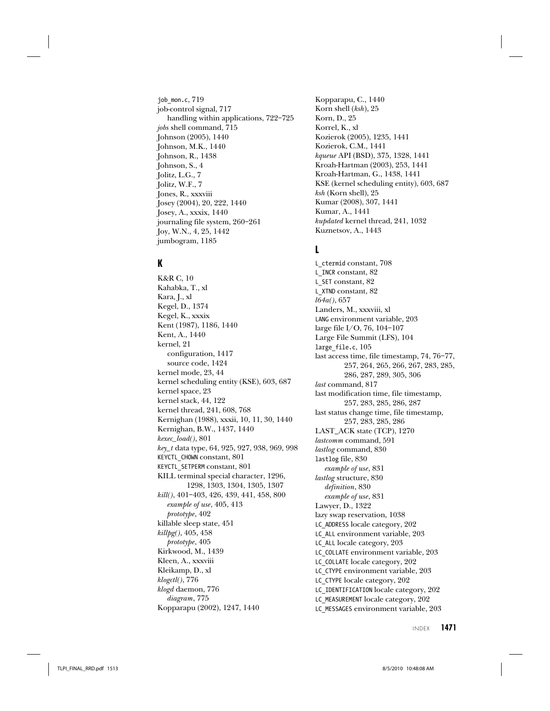job\_mon.c, 719 job-control signal, 717 handling within applications, 722–725 jobs shell command, 715 Johnson (2005), 1440 Johnson, M.K., 1440 Johnson, R., 1438 Johnson, S., 4 Jolitz, L.G., 7 Jolitz, W.F., 7 Jones, R., xxxviii Josey (2004), 20, 222, 1440 Josey, A., xxxix, 1440 journaling file system, 260–261 Joy, W.N., 4, 25, 1442 jumbogram, 1185

# **K**

K&R C, 10 Kahabka, T., xl Kara, J., xl Kegel, D., 1374 Kegel, K., xxxix Kent (1987), 1186, 1440 Kent, A., 1440 kernel, 21 configuration, 1417 source code, 1424 kernel mode, 23, 44 kernel scheduling entity (KSE), 603, 687 kernel space, 23 kernel stack, 44, 122 kernel thread, 241, 608, 768 Kernighan (1988), xxxii, 10, 11, 30, 1440 Kernighan, B.W., 1437, 1440 kexec\_load(), 801 key\_t data type, 64, 925, 927, 938, 969, 998 KEYCTL\_CHOWN constant, 801 KEYCTL\_SETPERM constant, 801 KILL terminal special character, 1296, 1298, 1303, 1304, 1305, 1307 kill(), 401–403, 426, 439, 441, 458, 800 example of use, 405, 413 prototype, 402 killable sleep state, 451 killpg(), 405, 458 prototype, 405 Kirkwood, M., 1439 Kleen, A., xxxviii Kleikamp, D., xl klogctl(), 776 klogd daemon, 776 diagram, 775 Kopparapu (2002), 1247, 1440

Kopparapu, C., 1440 Korn shell (ksh), 25 Korn, D., 25 Korrel, K., xl Kozierok (2005), 1235, 1441 Kozierok, C.M., 1441 kqueue API (BSD), 375, 1328, 1441 Kroah-Hartman (2003), 253, 1441 Kroah-Hartman, G., 1438, 1441 KSE (kernel scheduling entity), 603, 687 ksh (Korn shell), 25 Kumar (2008), 307, 1441 Kumar, A., 1441 kupdated kernel thread, 241, 1032 Kuznetsov, A., 1443

#### **L**

L\_ctermid constant, 708 L\_INCR constant, 82 L\_SET constant, 82 L\_XTND constant, 82 l64a(), 657 Landers, M., xxxviii, xl LANG environment variable, 203 large file I/O, 76, 104–107 Large File Summit (LFS), 104 large\_file.c, 105 last access time, file timestamp, 74, 76–77, 257, 264, 265, 266, 267, 283, 285, 286, 287, 289, 305, 306 last command, 817 last modification time, file timestamp, 257, 283, 285, 286, 287 last status change time, file timestamp, 257, 283, 285, 286 LAST\_ACK state (TCP), 1270 lastcomm command, 591 lastlog command, 830 lastlog file, 830 example of use, 831 lastlog structure, 830 definition, 830 example of use, 831 Lawyer, D., 1322 lazy swap reservation, 1038 LC\_ADDRESS locale category, 202 LC\_ALL environment variable, 203 LC\_ALL locale category, 203 LC\_COLLATE environment variable, 203 LC\_COLLATE locale category, 202 LC CTYPE environment variable, 203 LC\_CTYPE locale category, 202 LC\_IDENTIFICATION locale category, 202 LC\_MEASUREMENT locale category, 202 LC\_MESSAGES environment variable, 203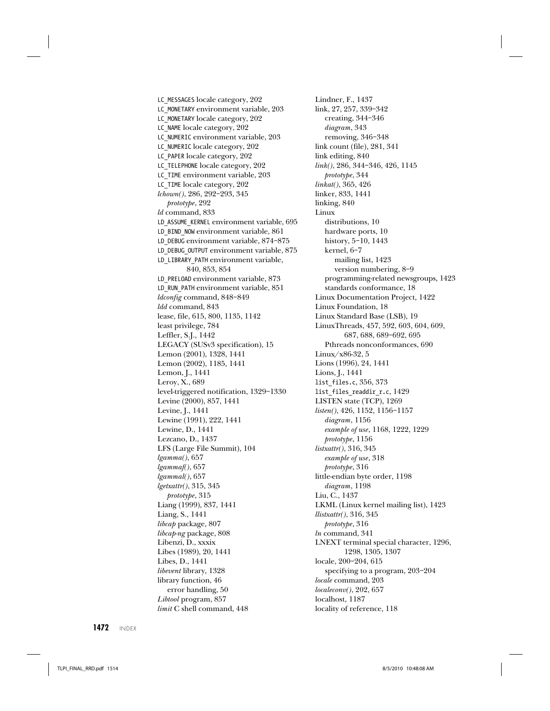LC MESSAGES locale category, 202 LC\_MONETARY environment variable, 203 LC\_MONETARY locale category, 202 LC\_NAME locale category, 202 LC\_NUMERIC environment variable, 203 LC\_NUMERIC locale category, 202 LC\_PAPER locale category, 202 LC\_TELEPHONE locale category, 202 LC TIME environment variable, 203 LC TIME locale category, 202 lchown(), 286, 292–293, 345 prototype, 292 ld command, 833 LD\_ASSUME\_KERNEL environment variable, 695 LD\_BIND\_NOW environment variable, 861 LD\_DEBUG environment variable, 874–875 LD\_DEBUG\_OUTPUT environment variable, 875 LD\_LIBRARY\_PATH environment variable, 840, 853, 854 LD\_PRELOAD environment variable, 873 LD\_RUN\_PATH environment variable, 851 ldconfig command, 848–849 ldd command, 843 lease, file, 615, 800, 1135, 1142 least privilege, 784 Leffler, S.J., 1442 LEGACY (SUSv3 specification), 15 Lemon (2001), 1328, 1441 Lemon (2002), 1185, 1441 Lemon, J., 1441 Leroy, X., 689 level-triggered notification, 1329–1330 Levine (2000), 857, 1441 Levine, J., 1441 Lewine (1991), 222, 1441 Lewine, D., 1441 Lezcano, D., 1437 LFS (Large File Summit), 104 lgamma(), 657 lgammaf(), 657 lgammal(), 657 lgetxattr(), 315, 345 prototype, 315 Liang (1999), 837, 1441 Liang, S., 1441 libcap package, 807 libcap-ng package, 808 Libenzi, D., xxxix Libes (1989), 20, 1441 Libes, D., 1441 libevent library, 1328 library function, 46 error handling, 50 Libtool program, 857 limit C shell command, 448

Lindner, F., 1437 link, 27, 257, 339–342 creating, 344–346 diagram, 343 removing, 346–348 link count (file), 281, 341 link editing, 840 link(), 286, 344–346, 426, 1145 prototype, 344 linkat(), 365, 426 linker, 833, 1441 linking, 840 Linux distributions, 10 hardware ports, 10 history, 5–10, 1443 kernel, 6–7 mailing list, 1423 version numbering, 8–9 programming-related newsgroups, 1423 standards conformance, 18 Linux Documentation Project, 1422 Linux Foundation, 18 Linux Standard Base (LSB), 19 LinuxThreads, 457, 592, 603, 604, 609, 687, 688, 689–692, 695 Pthreads nonconformances, 690 Linux/x86-32, 5 Lions (1996), 24, 1441 Lions, J., 1441 list\_files.c, 356, 373 list\_files\_readdir\_r.c, 1429 LISTEN state (TCP), 1269 listen(), 426, 1152, 1156–1157 diagram, 1156 example of use, 1168, 1222, 1229 prototype, 1156 listxattr(), 316, 345 example of use, 318 prototype, 316 little-endian byte order, 1198 diagram, 1198 Liu, C., 1437 LKML (Linux kernel mailing list), 1423 llistxattr(), 316, 345 prototype, 316 ln command, 341 LNEXT terminal special character, 1296, 1298, 1305, 1307 locale, 200–204, 615 specifying to a program, 203–204 locale command, 203 localeconv(), 202, 657 localhost, 1187 locality of reference, 118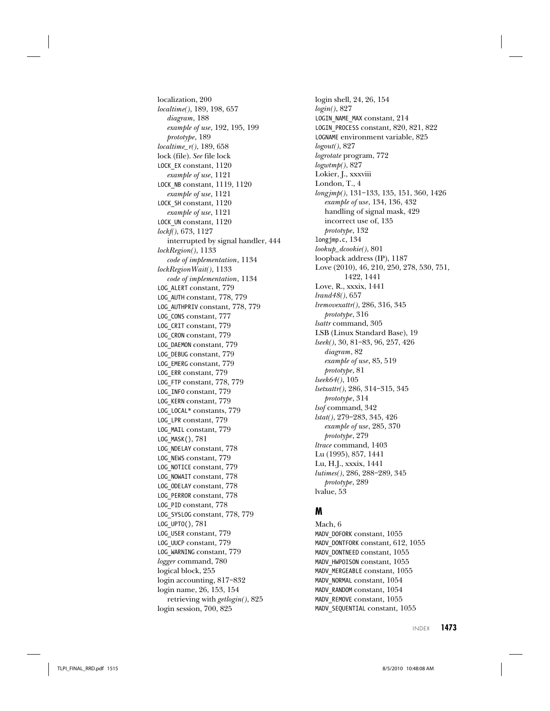localization, 200 localtime(), 189, 198, 657 diagram, 188 example of use, 192, 195, 199 prototype, 189 localtime\_r(), 189, 658 lock (file). See file lock LOCK\_EX constant, 1120 example of use, 1121 LOCK\_NB constant, 1119, 1120 example of use, 1121 LOCK\_SH constant, 1120 example of use, 1121 LOCK\_UN constant, 1120 lockf(), 673, 1127 interrupted by signal handler, 444 lockRegion(), 1133 code of implementation, 1134 lockRegionWait(), 1133 code of implementation, 1134 LOG\_ALERT constant, 779 LOG\_AUTH constant, 778, 779 LOG\_AUTHPRIV constant, 778, 779 LOG\_CONS constant, 777 LOG\_CRIT constant, 779 LOG\_CRON constant, 779 LOG\_DAEMON constant, 779 LOG\_DEBUG constant, 779 LOG\_EMERG constant, 779 LOG\_ERR constant, 779 LOG\_FTP constant, 778, 779 LOG\_INFO constant, 779 LOG\_KERN constant, 779 LOG\_LOCAL\* constants, 779 LOG\_LPR constant, 779 LOG\_MAIL constant, 779 LOG\_MASK(), 781 LOG\_NDELAY constant, 778 LOG\_NEWS constant, 779 LOG\_NOTICE constant, 779 LOG\_NOWAIT constant, 778 LOG\_ODELAY constant, 778 LOG\_PERROR constant, 778 LOG\_PID constant, 778 LOG\_SYSLOG constant, 778, 779 LOG\_UPTO(), 781 LOG\_USER constant, 779 LOG\_UUCP constant, 779 LOG\_WARNING constant, 779 logger command, 780 logical block, 255 login accounting, 817–832 login name, 26, 153, 154 retrieving with *getlogin*(), 825 login session, 700, 825

login shell, 24, 26, 154 login(), 827 LOGIN\_NAME\_MAX constant, 214 LOGIN\_PROCESS constant, 820, 821, 822 LOGNAME environment variable, 825 logout(), 827 logrotate program, 772 logwtmp(), 827 Lokier, J., xxxviii London, T., 4 longjmp(), 131–133, 135, 151, 360, 1426 example of use, 134, 136, 432 handling of signal mask, 429 incorrect use of, 135 prototype, 132 longjmp.c, 134 lookup dcookie(), 801 loopback address (IP), 1187 Love (2010), 46, 210, 250, 278, 530, 751, 1422, 1441 Love, R., xxxix, 1441 lrand48(), 657 lremovexattr(), 286, 316, 345 prototype, 316 lsattr command, 305 LSB (Linux Standard Base), 19 lseek(), 30, 81–83, 96, 257, 426 diagram, 82 example of use, 85, 519 prototype, 81 lseek64(), 105 lsetxattr(), 286, 314–315, 345 prototype, 314 lsof command, 342 lstat(), 279–283, 345, 426 example of use, 285, 370 prototype, 279 ltrace command, 1403 Lu (1995), 857, 1441 Lu, H.J., xxxix, 1441 lutimes(), 286, 288–289, 345 prototype, 289 lvalue, 53

### **M**

Mach, 6 MADV\_DOFORK constant, 1055 MADV\_DONTFORK constant, 612, 1055 MADV\_DONTNEED constant, 1055 MADV HWPOISON constant, 1055 MADV MERGEABLE constant, 1055 MADV\_NORMAL constant, 1054 MADV\_RANDOM constant, 1054 MADV\_REMOVE constant, 1055 MADV SEQUENTIAL constant, 1055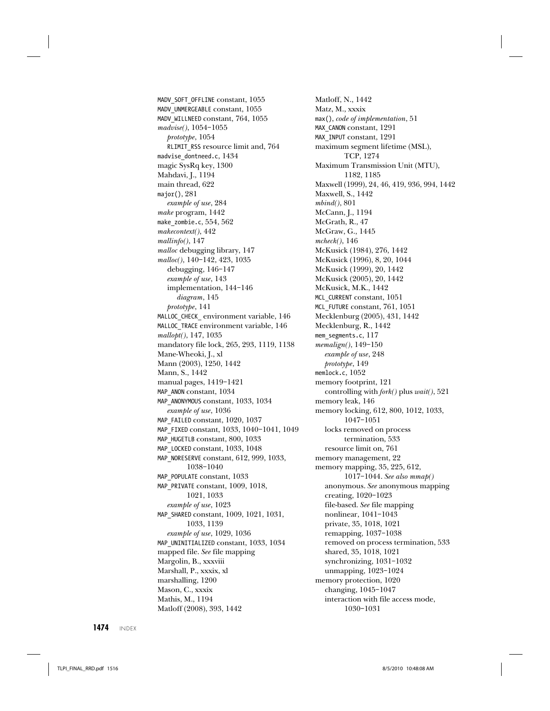MADV\_SOFT\_OFFLINE constant, 1055 MADV\_UNMERGEABLE constant, 1055 MADV\_WILLNEED constant, 764, 1055 madvise(), 1054–1055 prototype, 1054 RLIMIT\_RSS resource limit and, 764 madvise dontneed.c, 1434 magic SysRq key, 1300 Mahdavi, J., 1194 main thread, 622 major(), 281 example of use, 284 make program, 1442 make\_zombie.c, 554, 562 makecontext(), 442 mallinfo(), 147 malloc debugging library, 147 malloc(), 140–142, 423, 1035 debugging, 146–147 example of use, 143 implementation, 144–146 diagram, 145 prototype, 141 MALLOC\_CHECK\_ environment variable, 146 MALLOC\_TRACE environment variable, 146 mallopt(), 147, 1035 mandatory file lock, 265, 293, 1119, 1138 Mane-Wheoki, J., xl Mann (2003), 1250, 1442 Mann, S., 1442 manual pages, 1419–1421 MAP\_ANON constant, 1034 MAP\_ANONYMOUS constant, 1033, 1034 example of use, 1036 MAP\_FAILED constant, 1020, 1037 MAP\_FIXED constant, 1033, 1040–1041, 1049 MAP\_HUGETLB constant, 800, 1033 MAP\_LOCKED constant, 1033, 1048 MAP\_NORESERVE constant, 612, 999, 1033, 1038–1040 MAP\_POPULATE constant, 1033 MAP\_PRIVATE constant, 1009, 1018, 1021, 1033 example of use, 1023 MAP\_SHARED constant, 1009, 1021, 1031, 1033, 1139 example of use, 1029, 1036 MAP\_UNINITIALIZED constant, 1033, 1034 mapped file. See file mapping Margolin, B., xxxviii Marshall, P., xxxix, xl marshalling, 1200 Mason, C., xxxix Mathis, M., 1194 Matloff (2008), 393, 1442

Matloff, N., 1442 Matz, M., xxxix max(), code of implementation, 51 MAX CANON constant, 1291 MAX\_INPUT constant, 1291 maximum segment lifetime (MSL), TCP, 1274 Maximum Transmission Unit (MTU), 1182, 1185 Maxwell (1999), 24, 46, 419, 936, 994, 1442 Maxwell, S., 1442 mbind(), 801 McCann, J., 1194 McGrath, R., 47 McGraw, G., 1445 mcheck(), 146 McKusick (1984), 276, 1442 McKusick (1996), 8, 20, 1044 McKusick (1999), 20, 1442 McKusick (2005), 20, 1442 McKusick, M.K., 1442 MCL\_CURRENT constant, 1051 MCL\_FUTURE constant, 761, 1051 Mecklenburg (2005), 431, 1442 Mecklenburg, R., 1442 mem\_segments.c, 117 memalign(), 149–150 example of use, 248 prototype, 149 memlock.c, 1052 memory footprint, 121 controlling with fork() plus wait(), 521 memory leak, 146 memory locking, 612, 800, 1012, 1033, 1047–1051 locks removed on process termination, 533 resource limit on, 761 memory management, 22 memory mapping, 35, 225, 612, 1017–1044. See also mmap() anonymous. See anonymous mapping creating, 1020–1023 file-based. See file mapping nonlinear, 1041–1043 private, 35, 1018, 1021 remapping, 1037–1038 removed on process termination, 533 shared, 35, 1018, 1021 synchronizing, 1031–1032 unmapping, 1023–1024 memory protection, 1020 changing, 1045–1047 interaction with file access mode, 1030–1031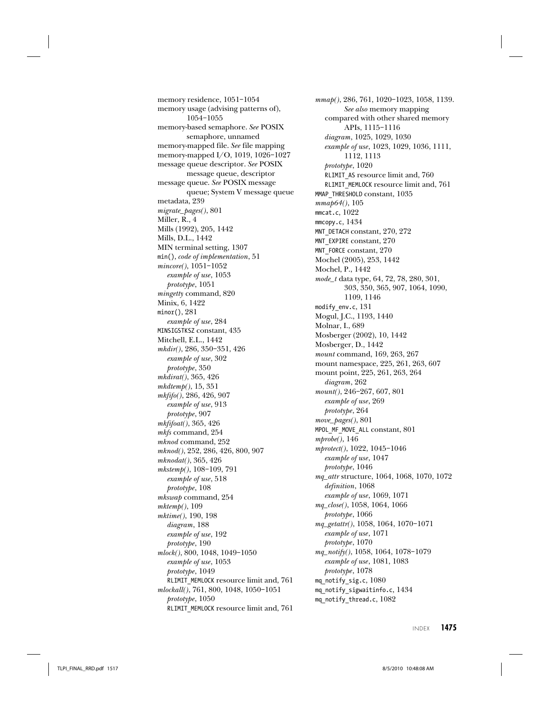memory residence, 1051–1054 memory usage (advising patterns of), 1054–1055 memory-based semaphore. See POSIX semaphore, unnamed memory-mapped file. See file mapping memory-mapped I/O, 1019, 1026–1027 message queue descriptor. See POSIX message queue, descriptor message queue. See POSIX message queue; System V message queue metadata, 239 migrate\_pages(), 801 Miller, R., 4 Mills (1992), 205, 1442 Mills, D.L., 1442 MIN terminal setting, 1307 min(), code of implementation, 51 mincore(), 1051–1052 example of use, 1053 prototype, 1051 mingetty command, 820 Minix, 6, 1422 minor(), 281 example of use, 284 MINSIGSTKSZ constant, 435 Mitchell, E.L., 1442 mkdir(), 286, 350–351, 426 example of use, 302 prototype, 350 mkdirat(), 365, 426 mkdtemp(), 15, 351 mkfifo(), 286, 426, 907 example of use, 913 prototype, 907 mkfifoat(), 365, 426 mkfs command, 254 mknod command, 252 mknod(), 252, 286, 426, 800, 907 mknodat(), 365, 426 mkstemp(), 108–109, 791 example of use, 518 prototype, 108 mkswap command, 254 mktemp(), 109 mktime(), 190, 198 diagram, 188 example of use, 192 prototype, 190 mlock(), 800, 1048, 1049–1050 example of use, 1053 prototype, 1049 RLIMIT\_MEMLOCK resource limit and, 761 mlockall(), 761, 800, 1048, 1050–1051 prototype, 1050 RLIMIT\_MEMLOCK resource limit and, 761

mmap(), 286, 761, 1020–1023, 1058, 1139. See also memory mapping compared with other shared memory APIs, 1115–1116 diagram, 1025, 1029, 1030 example of use, 1023, 1029, 1036, 1111, 1112, 1113 prototype, 1020 RLIMIT AS resource limit and, 760 RLIMIT\_MEMLOCK resource limit and, 761 MMAP\_THRESHOLD constant, 1035 mmap64(), 105 mmcat.c, 1022 mmcopy.c, 1434 MNT\_DETACH constant, 270, 272 MNT\_EXPIRE constant, 270 MNT\_FORCE constant, 270 Mochel (2005), 253, 1442 Mochel, P., 1442 mode\_t data type, 64, 72, 78, 280, 301, 303, 350, 365, 907, 1064, 1090, 1109, 1146 modify\_env.c, 131 Mogul, J.C., 1193, 1440 Molnar, I., 689 Mosberger (2002), 10, 1442 Mosberger, D., 1442 mount command, 169, 263, 267 mount namespace, 225, 261, 263, 607 mount point, 225, 261, 263, 264 diagram, 262 mount(), 246–267, 607, 801 example of use, 269 prototype, 264 move\_pages(), 801 MPOL\_MF\_MOVE\_ALL constant, 801 mprobe(), 146 mprotect(), 1022, 1045–1046 example of use, 1047 prototype, 1046 mq\_attr structure, 1064, 1068, 1070, 1072 definition, 1068 example of use, 1069, 1071 mq\_close(), 1058, 1064, 1066 prototype, 1066 mq\_getattr(), 1058, 1064, 1070–1071 example of use, 1071 prototype, 1070 mq\_notify(), 1058, 1064, 1078–1079 example of use, 1081, 1083 prototype, 1078 mq notify sig.c,  $1080$ mq notify sigwaitinfo.c, 1434 mq notify thread.c, 1082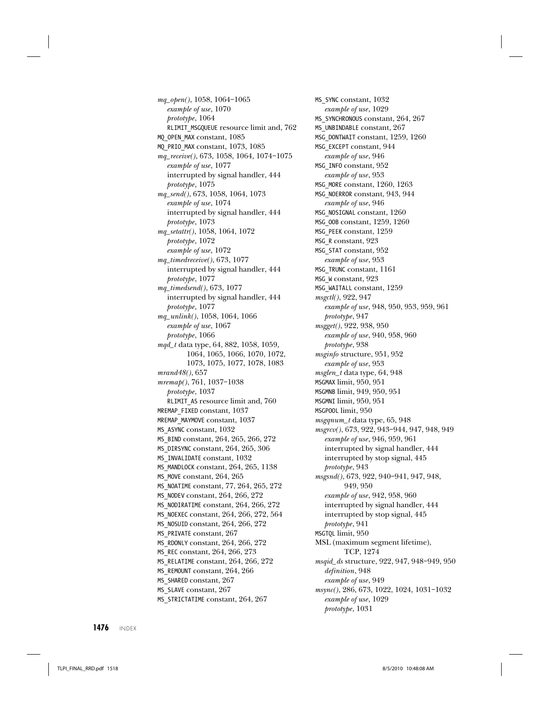mq\_open(), 1058, 1064–1065 example of use, 1070 prototype, 1064 RLIMIT\_MSGQUEUE resource limit and, 762 MQ\_OPEN\_MAX constant, 1085 MQ\_PRIO\_MAX constant, 1073, 1085 mq\_receive(), 673, 1058, 1064, 1074–1075 example of use, 1077 interrupted by signal handler, 444 prototype, 1075 mq\_send(), 673, 1058, 1064, 1073 example of use, 1074 interrupted by signal handler, 444 prototype, 1073 mq\_setattr(), 1058, 1064, 1072 prototype, 1072 example of use, 1072 mq\_timedreceive(), 673, 1077 interrupted by signal handler, 444 prototype, 1077 mq\_timedsend(), 673, 1077 interrupted by signal handler, 444 prototype, 1077 mq\_unlink(), 1058, 1064, 1066 example of use, 1067 prototype, 1066 mqd\_t data type, 64, 882, 1058, 1059, 1064, 1065, 1066, 1070, 1072, 1073, 1075, 1077, 1078, 1083 mrand48(), 657 mremap(), 761, 1037–1038 prototype, 1037 RLIMIT\_AS resource limit and, 760 MREMAP\_FIXED constant, 1037 MREMAP\_MAYMOVE constant, 1037 MS\_ASYNC constant, 1032 MS\_BIND constant, 264, 265, 266, 272 MS\_DIRSYNC constant, 264, 265, 306 MS\_INVALIDATE constant, 1032 MS\_MANDLOCK constant, 264, 265, 1138 MS\_MOVE constant, 264, 265 MS\_NOATIME constant, 77, 264, 265, 272 MS\_NODEV constant, 264, 266, 272 MS NODIRATIME constant, 264, 266, 272 MS\_NOEXEC constant, 264, 266, 272, 564 MS\_NOSUID constant, 264, 266, 272 MS\_PRIVATE constant, 267 MS\_RDONLY constant, 264, 266, 272 MS\_REC constant, 264, 266, 273 MS RELATIME constant, 264, 266, 272 MS\_REMOUNT constant, 264, 266 MS SHARED constant, 267 MS SLAVE constant, 267 MS\_STRICTATIME constant, 264, 267

MS\_SYNC constant, 1032 example of use, 1029 MS\_SYNCHRONOUS constant, 264, 267 MS\_UNBINDABLE constant, 267 MSG\_DONTWAIT constant, 1259, 1260 MSG\_EXCEPT constant, 944 example of use, 946 MSG\_INFO constant, 952 example of use, 953 MSG\_MORE constant, 1260, 1263 MSG\_NOERROR constant, 943, 944 example of use, 946 MSG\_NOSIGNAL constant, 1260 MSG\_OOB constant, 1259, 1260 MSG\_PEEK constant, 1259 MSG\_R constant, 923 MSG\_STAT constant, 952 example of use, 953 MSG\_TRUNC constant, 1161 MSG\_W constant, 923 MSG\_WAITALL constant, 1259 msgctl(), 922, 947 example of use, 948, 950, 953, 959, 961 prototype, 947 msgget(), 922, 938, 950 example of use, 940, 958, 960 prototype, 938 msginfo structure, 951, 952 example of use, 953 msglen\_t data type, 64, 948 MSGMAX limit, 950, 951 MSGMNB limit, 949, 950, 951 MSGMNI limit, 950, 951 MSGPOOL limit, 950 msgqnum\_t data type, 65, 948 msgrcv(), 673, 922, 943–944, 947, 948, 949 example of use, 946, 959, 961 interrupted by signal handler, 444 interrupted by stop signal, 445 prototype, 943 msgsnd(), 673, 922, 940–941, 947, 948, 949, 950 example of use, 942, 958, 960 interrupted by signal handler, 444 interrupted by stop signal, 445 prototype, 941 MSGTQL limit, 950 MSL (maximum segment lifetime), TCP, 1274 msqid\_ds structure, 922, 947, 948–949, 950 definition, 948 example of use, 949 msync(), 286, 673, 1022, 1024, 1031–1032 example of use, 1029 prototype, 1031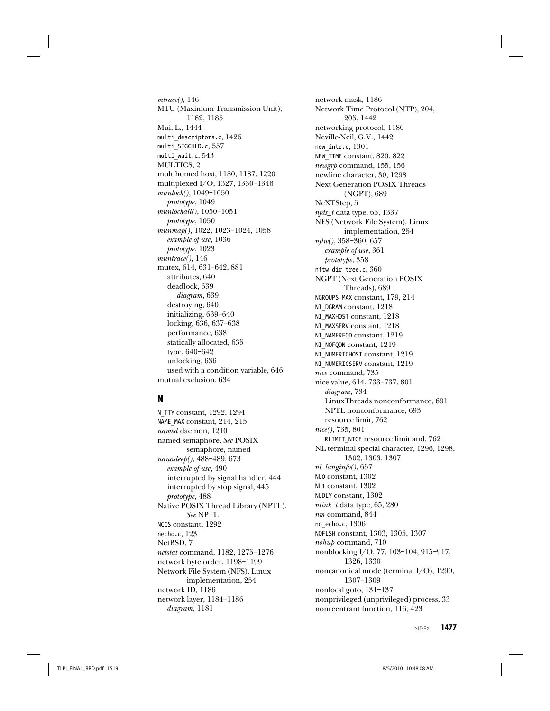mtrace(), 146 MTU (Maximum Transmission Unit), 1182, 1185 Mui, L., 1444 multi\_descriptors.c, 1426 multi\_SIGCHLD.c, 557 multi wait.c,  $543$ MULTICS, 2 multihomed host, 1180, 1187, 1220 multiplexed I/O, 1327, 1330–1346 munlock(), 1049–1050 prototype, 1049 munlockall(), 1050–1051 prototype, 1050 munmap(), 1022, 1023–1024, 1058 example of use, 1036 prototype, 1023 muntrace(), 146 mutex, 614, 631–642, 881 attributes, 640 deadlock, 639 diagram, 639 destroying, 640 initializing, 639–640 locking, 636, 637–638 performance, 638 statically allocated, 635 type, 640–642 unlocking, 636 used with a condition variable, 646 mutual exclusion, 634

# **N**

N\_TTY constant, 1292, 1294 NAME\_MAX constant, 214, 215 named daemon, 1210 named semaphore. See POSIX semaphore, named nanosleep(), 488–489, 673 example of use, 490 interrupted by signal handler, 444 interrupted by stop signal, 445 prototype, 488 Native POSIX Thread Library (NPTL). See NPTL NCCS constant, 1292 necho.c, 123 NetBSD, 7 netstat command, 1182, 1275–1276 network byte order, 1198–1199 Network File System (NFS), Linux implementation, 254 network ID, 1186 network layer, 1184–1186 diagram, 1181

network mask, 1186 Network Time Protocol (NTP), 204, 205, 1442 networking protocol, 1180 Neville-Neil, G.V., 1442 new intr.c, 1301 NEW TIME constant, 820, 822 newgrp command, 155, 156 newline character, 30, 1298 Next Generation POSIX Threads (NGPT), 689 NeXTStep, 5 nfds\_t data type, 65, 1337 NFS (Network File System), Linux implementation, 254 nftw(), 358–360, 657 example of use, 361 prototype, 358 nftw\_dir\_tree.c, 360 NGPT (Next Generation POSIX Threads), 689 NGROUPS\_MAX constant, 179, 214 NI\_DGRAM constant, 1218 NI\_MAXHOST constant, 1218 NI\_MAXSERV constant, 1218 NI\_NAMEREQD constant, 1219 NI\_NOFQDN constant, 1219 NI\_NUMERICHOST constant, 1219 NI\_NUMERICSERV constant, 1219 nice command, 735 nice value, 614, 733–737, 801 diagram, 734 LinuxThreads nonconformance, 691 NPTL nonconformance, 693 resource limit, 762 nice(), 735, 801 RLIMIT\_NICE resource limit and, 762 NL terminal special character, 1296, 1298, 1302, 1303, 1307 nl\_langinfo(), 657 NL0 constant, 1302 NL1 constant, 1302 NLDLY constant, 1302 nlink\_t data type, 65, 280 nm command, 844 no echo.c, 1306 NOFLSH constant, 1303, 1305, 1307 nohup command, 710 nonblocking I/O, 77, 103–104, 915–917, 1326, 1330 noncanonical mode (terminal I/O), 1290, 1307–1309 nonlocal goto, 131–137 nonprivileged (unprivileged) process, 33 nonreentrant function, 116, 423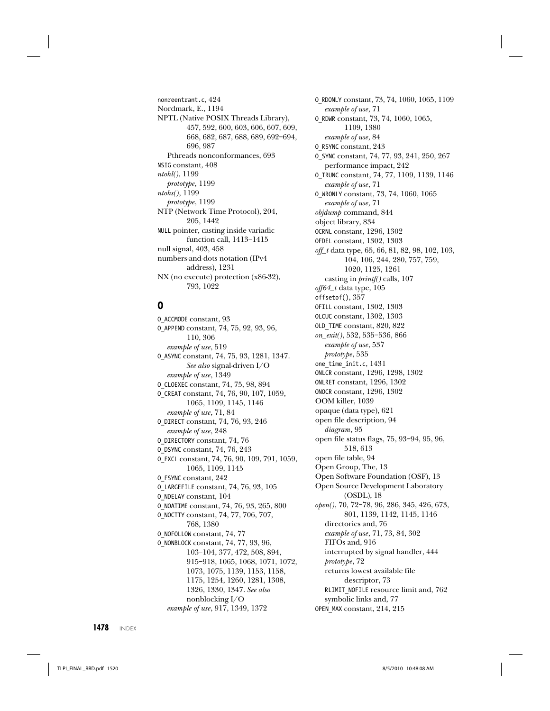nonreentrant.c, 424 Nordmark, E., 1194 NPTL (Native POSIX Threads Library), 457, 592, 600, 603, 606, 607, 609, 668, 682, 687, 688, 689, 692–694, 696, 987 Pthreads nonconformances, 693 NSIG constant, 408 ntohl(), 1199 prototype, 1199 ntohs(), 1199 prototype, 1199 NTP (Network Time Protocol), 204, 205, 1442 NULL pointer, casting inside variadic function call, 1413–1415 null signal, 403, 458 numbers-and-dots notation (IPv4 address), 1231 NX (no execute) protection (x86-32), 793, 1022

## **O**

O\_ACCMODE constant, 93 O\_APPEND constant, 74, 75, 92, 93, 96, 110, 306 example of use, 519 O\_ASYNC constant, 74, 75, 93, 1281, 1347. See also signal-driven I/O example of use, 1349 O\_CLOEXEC constant, 74, 75, 98, 894 O\_CREAT constant, 74, 76, 90, 107, 1059, 1065, 1109, 1145, 1146 example of use, 71, 84 O\_DIRECT constant, 74, 76, 93, 246 example of use, 248 O\_DIRECTORY constant, 74, 76 O\_DSYNC constant, 74, 76, 243 O\_EXCL constant, 74, 76, 90, 109, 791, 1059, 1065, 1109, 1145 O\_FSYNC constant, 242 O\_LARGEFILE constant, 74, 76, 93, 105 O\_NDELAY constant, 104 O\_NOATIME constant, 74, 76, 93, 265, 800 O\_NOCTTY constant, 74, 77, 706, 707, 768, 1380 O\_NOFOLLOW constant, 74, 77 O\_NONBLOCK constant, 74, 77, 93, 96, 103–104, 377, 472, 508, 894, 915–918, 1065, 1068, 1071, 1072, 1073, 1075, 1139, 1153, 1158, 1175, 1254, 1260, 1281, 1308, 1326, 1330, 1347. See also nonblocking I/O example of use, 917, 1349, 1372

O\_RDONLY constant, 73, 74, 1060, 1065, 1109 example of use, 71 O\_RDWR constant, 73, 74, 1060, 1065, 1109, 1380 example of use, 84 O\_RSYNC constant, 243 O\_SYNC constant, 74, 77, 93, 241, 250, 267 performance impact, 242 O\_TRUNC constant, 74, 77, 1109, 1139, 1146 example of use, 71 O\_WRONLY constant, 73, 74, 1060, 1065 example of use, 71 objdump command, 844 object library, 834 OCRNL constant, 1296, 1302 OFDEL constant, 1302, 1303 off\_t data type, 65, 66, 81, 82, 98, 102, 103, 104, 106, 244, 280, 757, 759, 1020, 1125, 1261 casting in printf() calls, 107 off64\_t data type, 105 offsetof(), 357 OFILL constant, 1302, 1303 OLCUC constant, 1302, 1303 OLD\_TIME constant, 820, 822 on\_exit(), 532, 535–536, 866 example of use, 537 prototype, 535 one\_time\_init.c, 1431 ONLCR constant, 1296, 1298, 1302 ONLRET constant, 1296, 1302 ONOCR constant, 1296, 1302 OOM killer, 1039 opaque (data type), 621 open file description, 94 diagram, 95 open file status flags, 75, 93–94, 95, 96, 518, 613 open file table, 94 Open Group, The, 13 Open Software Foundation (OSF), 13 Open Source Development Laboratory (OSDL), 18 open(), 70, 72–78, 96, 286, 345, 426, 673, 801, 1139, 1142, 1145, 1146 directories and, 76 example of use, 71, 73, 84, 302 FIFOs and, 916 interrupted by signal handler, 444 prototype, 72 returns lowest available file descriptor, 73 RLIMIT\_NOFILE resource limit and, 762 symbolic links and, 77 OPEN\_MAX constant, 214, 215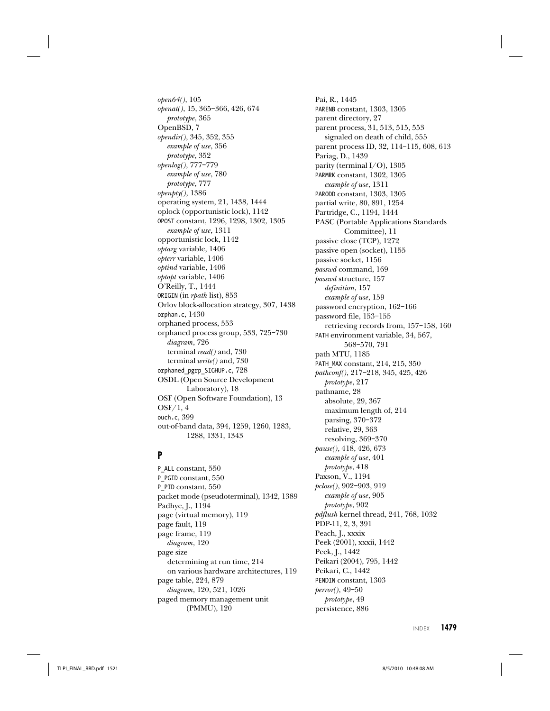open64(), 105 openat(), 15, 365–366, 426, 674 prototype, 365 OpenBSD, 7 opendir(), 345, 352, 355 example of use, 356 prototype, 352 openlog(), 777–779 example of use, 780 prototype, 777 openpty(), 1386 operating system, 21, 1438, 1444 oplock (opportunistic lock), 1142 OPOST constant, 1296, 1298, 1302, 1305 example of use, 1311 opportunistic lock, 1142 optarg variable, 1406 opterr variable, 1406 optind variable, 1406 optopt variable, 1406 O'Reilly, T., 1444 ORIGIN (in rpath list), 853 Orlov block-allocation strategy, 307, 1438 orphan.c, 1430 orphaned process, 553 orphaned process group, 533, 725–730 diagram, 726 terminal read() and, 730 terminal write() and, 730 orphaned\_pgrp\_SIGHUP.c, 728 OSDL (Open Source Development Laboratory), 18 OSF (Open Software Foundation), 13 OSF/1, 4 ouch.c, 399 out-of-band data, 394, 1259, 1260, 1283, 1288, 1331, 1343

## **P**

P ALL constant, 550 P\_PGID constant, 550 P\_PID constant, 550 packet mode (pseudoterminal), 1342, 1389 Padhye, J., 1194 page (virtual memory), 119 page fault, 119 page frame, 119 diagram, 120 page size determining at run time, 214 on various hardware architectures, 119 page table, 224, 879 diagram, 120, 521, 1026 paged memory management unit (PMMU), 120

Pai, R., 1445 PARENB constant, 1303, 1305 parent directory, 27 parent process, 31, 513, 515, 553 signaled on death of child, 555 parent process ID, 32, 114–115, 608, 613 Pariag, D., 1439 parity (terminal I/O), 1305 PARMRK constant, 1302, 1305 example of use, 1311 PARODD constant, 1303, 1305 partial write, 80, 891, 1254 Partridge, C., 1194, 1444 PASC (Portable Applications Standards Committee), 11 passive close (TCP), 1272 passive open (socket), 1155 passive socket, 1156 passwd command, 169 passwd structure, 157 definition, 157 example of use, 159 password encryption, 162–166 password file, 153–155 retrieving records from, 157–158, 160 PATH environment variable, 34, 567, 568–570, 791 path MTU, 1185 PATH\_MAX constant, 214, 215, 350 pathconf(), 217–218, 345, 425, 426 prototype, 217 pathname, 28 absolute, 29, 367 maximum length of, 214 parsing, 370–372 relative, 29, 363 resolving, 369–370 pause(), 418, 426, 673 example of use, 401 prototype, 418 Paxson, V., 1194 pclose(), 902–903, 919 example of use, 905 prototype, 902 pdflush kernel thread, 241, 768, 1032 PDP-11, 2, 3, 391 Peach, J., xxxix Peek (2001), xxxii, 1442 Peek, J., 1442 Peikari (2004), 795, 1442 Peikari, C., 1442 PENDIN constant, 1303 perror(), 49–50 prototype, 49 persistence, 886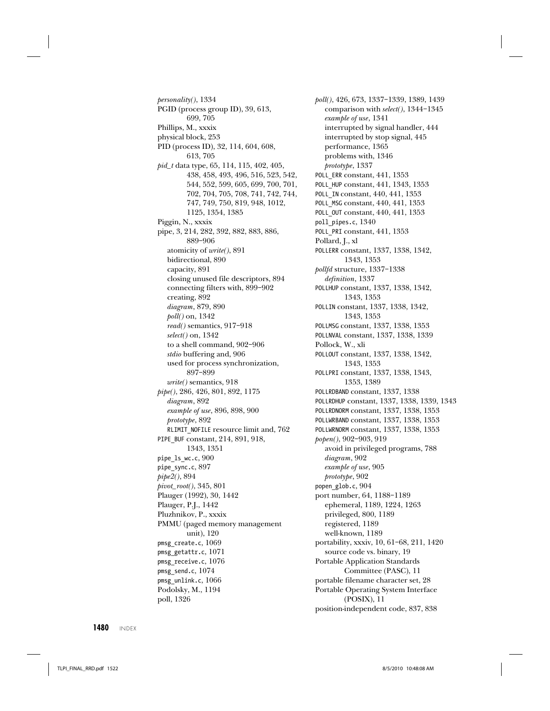personality(), 1334 PGID (process group ID), 39, 613, 699, 705 Phillips, M., xxxix physical block, 253 PID (process ID), 32, 114, 604, 608, 613, 705 pid\_t data type, 65, 114, 115, 402, 405, 438, 458, 493, 496, 516, 523, 542, 544, 552, 599, 605, 699, 700, 701, 702, 704, 705, 708, 741, 742, 744, 747, 749, 750, 819, 948, 1012, 1125, 1354, 1385 Piggin, N., xxxix pipe, 3, 214, 282, 392, 882, 883, 886, 889–906 atomicity of write(), 891 bidirectional, 890 capacity, 891 closing unused file descriptors, 894 connecting filters with, 899–902 creating, 892 diagram, 879, 890 poll() on, 1342 read() semantics, 917–918 select() on, 1342 to a shell command, 902–906 stdio buffering and, 906 used for process synchronization, 897–899 write() semantics, 918 pipe(), 286, 426, 801, 892, 1175 diagram, 892 example of use, 896, 898, 900 prototype, 892 RLIMIT\_NOFILE resource limit and, 762 PIPE\_BUF constant, 214, 891, 918, 1343, 1351 pipe\_ls\_wc.c, 900 pipe\_sync.c, 897 pipe2(), 894 pivot\_root(), 345, 801 Plauger (1992), 30, 1442 Plauger, P.J., 1442 Pluzhnikov, P., xxxix PMMU (paged memory management unit), 120 pmsg\_create.c, 1069 pmsg\_getattr.c, 1071 pmsg\_receive.c, 1076 pmsg\_send.c,  $1074$ pmsg\_unlink.c, 1066 Podolsky, M., 1194 poll, 1326

poll(), 426, 673, 1337–1339, 1389, 1439 comparison with select(), 1344–1345 example of use, 1341 interrupted by signal handler, 444 interrupted by stop signal, 445 performance, 1365 problems with, 1346 prototype, 1337 POLL ERR constant, 441, 1353 POLL\_HUP constant, 441, 1343, 1353 POLL\_IN constant, 440, 441, 1353 POLL\_MSG constant, 440, 441, 1353 POLL\_OUT constant, 440, 441, 1353 poll\_pipes.c, 1340 POLL\_PRI constant, 441, 1353 Pollard, J., xl POLLERR constant, 1337, 1338, 1342, 1343, 1353 pollfd structure, 1337–1338 definition, 1337 POLLHUP constant, 1337, 1338, 1342, 1343, 1353 POLLIN constant, 1337, 1338, 1342, 1343, 1353 POLLMSG constant, 1337, 1338, 1353 POLLNVAL constant, 1337, 1338, 1339 Pollock, W., xli POLLOUT constant, 1337, 1338, 1342, 1343, 1353 POLLPRI constant, 1337, 1338, 1343, 1353, 1389 POLLRDBAND constant, 1337, 1338 POLLRDHUP constant, 1337, 1338, 1339, 1343 POLLRDNORM constant, 1337, 1338, 1353 POLLWRBAND constant, 1337, 1338, 1353 POLLWRNORM constant, 1337, 1338, 1353 popen(), 902–903, 919 avoid in privileged programs, 788 diagram, 902 example of use, 905 prototype, 902 popen\_glob.c, 904 port number, 64, 1188–1189 ephemeral, 1189, 1224, 1263 privileged, 800, 1189 registered, 1189 well-known, 1189 portability, xxxiv, 10, 61–68, 211, 1420 source code vs. binary, 19 Portable Application Standards Committee (PASC), 11 portable filename character set, 28 Portable Operating System Interface (POSIX), 11 position-independent code, 837, 838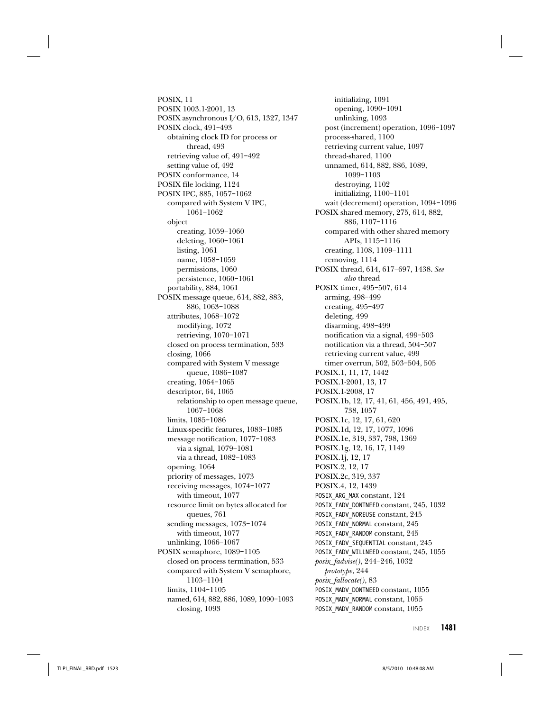POSIX, 11 POSIX 1003.1-2001, 13 POSIX asynchronous I/O, 613, 1327, 1347 POSIX clock, 491–493 obtaining clock ID for process or thread, 493 retrieving value of, 491–492 setting value of, 492 POSIX conformance, 14 POSIX file locking, 1124 POSIX IPC, 885, 1057–1062 compared with System V IPC, 1061–1062 object creating, 1059–1060 deleting, 1060–1061 listing, 1061 name, 1058–1059 permissions, 1060 persistence, 1060–1061 portability, 884, 1061 POSIX message queue, 614, 882, 883, 886, 1063–1088 attributes, 1068–1072 modifying, 1072 retrieving, 1070–1071 closed on process termination, 533 closing, 1066 compared with System V message queue, 1086–1087 creating, 1064–1065 descriptor, 64, 1065 relationship to open message queue, 1067–1068 limits, 1085–1086 Linux-specific features, 1083–1085 message notification, 1077–1083 via a signal, 1079–1081 via a thread, 1082–1083 opening, 1064 priority of messages, 1073 receiving messages, 1074–1077 with timeout, 1077 resource limit on bytes allocated for queues, 761 sending messages, 1073–1074 with timeout, 1077 unlinking, 1066–1067 POSIX semaphore, 1089–1105 closed on process termination, 533 compared with System V semaphore, 1103–1104 limits, 1104–1105 named, 614, 882, 886, 1089, 1090–1093

closing, 1093

initializing, 1091 opening, 1090–1091 unlinking, 1093 post (increment) operation, 1096–1097 process-shared, 1100 retrieving current value, 1097 thread-shared, 1100 unnamed, 614, 882, 886, 1089, 1099–1103 destroying, 1102 initializing, 1100–1101 wait (decrement) operation, 1094–1096 POSIX shared memory, 275, 614, 882, 886, 1107–1116 compared with other shared memory APIs, 1115–1116 creating, 1108, 1109–1111 removing, 1114 POSIX thread, 614, 617–697, 1438. See also thread POSIX timer, 495–507, 614 arming, 498–499 creating, 495–497 deleting, 499 disarming, 498–499 notification via a signal, 499–503 notification via a thread, 504–507 retrieving current value, 499 timer overrun, 502, 503–504, 505 POSIX.1, 11, 17, 1442 POSIX.1-2001, 13, 17 POSIX.1-2008, 17 POSIX.1b, 12, 17, 41, 61, 456, 491, 495, 738, 1057 POSIX.1c, 12, 17, 61, 620 POSIX.1d, 12, 17, 1077, 1096 POSIX.1e, 319, 337, 798, 1369 POSIX.1g, 12, 16, 17, 1149 POSIX.1j, 12, 17 POSIX.2, 12, 17 POSIX.2c, 319, 337 POSIX.4, 12, 1439 POSIX ARG MAX constant, 124 POSIX\_FADV\_DONTNEED constant, 245, 1032 POSIX\_FADV\_NOREUSE constant, 245 POSIX\_FADV\_NORMAL constant, 245 POSIX\_FADV\_RANDOM constant, 245 POSIX\_FADV\_SEQUENTIAL constant, 245 POSIX\_FADV\_WILLNEED constant, 245, 1055 posix\_fadvise(), 244–246, 1032 prototype, 244 posix\_fallocate(), 83 POSIX\_MADV\_DONTNEED constant, 1055 POSIX\_MADV\_NORMAL constant, 1055 POSIX\_MADV\_RANDOM constant, 1055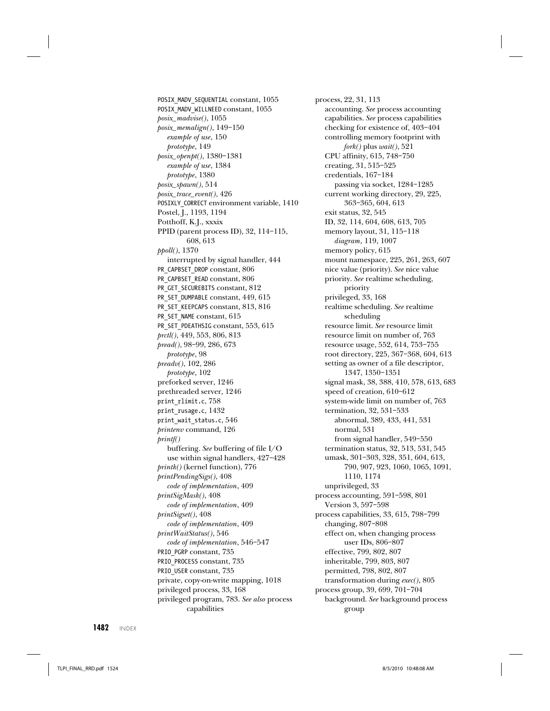POSIX\_MADV\_SEQUENTIAL constant, 1055 POSIX\_MADV\_WILLNEED constant, 1055 posix\_madvise(), 1055 posix\_memalign(), 149–150 example of use, 150 prototype, 149 posix\_openpt(), 1380–1381 example of use, 1384 prototype, 1380  $posix\_spam(), 514$ posix\_trace\_event(), 426 POSIXLY\_CORRECT environment variable, 1410 Postel, J., 1193, 1194 Potthoff, K.J., xxxix PPID (parent process ID), 32, 114–115, 608, 613 ppoll(), 1370 interrupted by signal handler, 444 PR\_CAPBSET\_DROP constant, 806 PR\_CAPBSET\_READ constant, 806 PR\_GET\_SECUREBITS constant, 812 PR\_SET\_DUMPABLE constant, 449, 615 PR\_SET\_KEEPCAPS constant, 813, 816 PR\_SET\_NAME constant, 615 PR\_SET\_PDEATHSIG constant, 553, 615 prctl(), 449, 553, 806, 813 pread(), 98–99, 286, 673 prototype, 98 preadv(), 102, 286 prototype, 102 preforked server, 1246 prethreaded server, 1246 print\_rlimit.c, 758 print\_rusage.c, 1432 print\_wait\_status.c, 546 printenv command, 126 printf() buffering. See buffering of file I/O use within signal handlers, 427–428 printk() (kernel function), 776 printPendingSigs(), 408 code of implementation, 409 printSigMask(), 408 code of implementation, 409 printSigset(), 408 code of implementation, 409 printWaitStatus(), 546 code of implementation, 546–547 PRIO\_PGRP constant, 735 PRIO\_PROCESS constant, 735 PRIO USER constant, 735 private, copy-on-write mapping, 1018 privileged process, 33, 168 privileged program, 783. See also process capabilities

process, 22, 31, 113 accounting. See process accounting capabilities. See process capabilities checking for existence of, 403–404 controlling memory footprint with fork() plus wait(), 521 CPU affinity, 615, 748–750 creating, 31, 515–525 credentials, 167–184 passing via socket, 1284–1285 current working directory, 29, 225, 363–365, 604, 613 exit status, 32, 545 ID, 32, 114, 604, 608, 613, 705 memory layout, 31, 115–118 diagram, 119, 1007 memory policy, 615 mount namespace, 225, 261, 263, 607 nice value (priority). See nice value priority. See realtime scheduling, priority privileged, 33, 168 realtime scheduling. See realtime scheduling resource limit. See resource limit resource limit on number of, 763 resource usage, 552, 614, 753–755 root directory, 225, 367–368, 604, 613 setting as owner of a file descriptor, 1347, 1350–1351 signal mask, 38, 388, 410, 578, 613, 683 speed of creation, 610–612 system-wide limit on number of, 763 termination, 32, 531–533 abnormal, 389, 433, 441, 531 normal, 531 from signal handler, 549–550 termination status, 32, 513, 531, 545 umask, 301–303, 328, 351, 604, 613, 790, 907, 923, 1060, 1065, 1091, 1110, 1174 unprivileged, 33 process accounting, 591–598, 801 Version 3, 597–598 process capabilities, 33, 615, 798–799 changing, 807–808 effect on, when changing process user IDs, 806–807 effective, 799, 802, 807 inheritable, 799, 803, 807 permitted, 798, 802, 807 transformation during exec(), 805 process group, 39, 699, 701–704 background. See background process group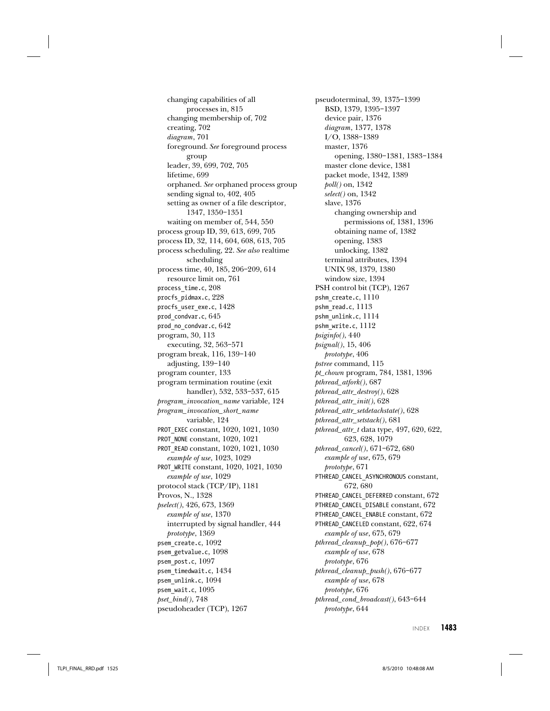changing capabilities of all processes in, 815 changing membership of, 702 creating, 702 diagram, 701 foreground. See foreground process group leader, 39, 699, 702, 705 lifetime, 699 orphaned. See orphaned process group sending signal to, 402, 405 setting as owner of a file descriptor, 1347, 1350–1351 waiting on member of, 544, 550 process group ID, 39, 613, 699, 705 process ID, 32, 114, 604, 608, 613, 705 process scheduling, 22. See also realtime scheduling process time, 40, 185, 206–209, 614 resource limit on, 761 process\_time.c, 208 procfs\_pidmax.c, 228 procfs\_user\_exe.c, 1428 prod\_condvar.c, 645 prod\_no\_condvar.c, 642 program, 30, 113 executing, 32, 563–571 program break, 116, 139–140 adjusting, 139–140 program counter, 133 program termination routine (exit handler), 532, 533–537, 615 program\_invocation\_name variable, 124 program\_invocation\_short\_name variable, 124 PROT\_EXEC constant, 1020, 1021, 1030 PROT\_NONE constant, 1020, 1021 PROT\_READ constant, 1020, 1021, 1030 example of use, 1023, 1029 PROT\_WRITE constant, 1020, 1021, 1030 example of use, 1029 protocol stack (TCP/IP), 1181 Provos, N., 1328 pselect(), 426, 673, 1369 example of use, 1370 interrupted by signal handler, 444 prototype, 1369 psem create.c, 1092 psem\_getvalue.c, 1098 psem post.c, 1097 psem\_timedwait.c, 1434 psem\_unlink.c, 1094 psem wait.c, 1095  $pset\_bind(), 748$ pseudoheader (TCP), 1267

pseudoterminal, 39, 1375–1399 BSD, 1379, 1395–1397 device pair, 1376 diagram, 1377, 1378 I/O, 1388–1389 master, 1376 opening, 1380–1381, 1383–1384 master clone device, 1381 packet mode, 1342, 1389 poll() on, 1342 select() on, 1342 slave, 1376 changing ownership and permissions of, 1381, 1396 obtaining name of, 1382 opening, 1383 unlocking, 1382 terminal attributes, 1394 UNIX 98, 1379, 1380 window size, 1394 PSH control bit (TCP), 1267 pshm\_create.c, 1110 pshm\_read.c, 1113 pshm\_unlink.c, 1114 pshm\_write.c, 1112 psiginfo(), 440 psignal(), 15, 406 prototype, 406 pstree command, 115 pt\_chown program, 784, 1381, 1396 pthread\_atfork(), 687 pthread\_attr\_destroy(), 628 pthread\_attr\_init(), 628 pthread\_attr\_setdetachstate(), 628 pthread\_attr\_setstack(), 681 pthread\_attr\_t data type, 497, 620, 622, 623, 628, 1079 pthread\_cancel(), 671–672, 680 example of use, 675, 679 prototype, 671 PTHREAD\_CANCEL\_ASYNCHRONOUS constant, 672, 680 PTHREAD\_CANCEL\_DEFERRED constant, 672 PTHREAD CANCEL DISABLE constant, 672 PTHREAD\_CANCEL\_ENABLE constant, 672 PTHREAD\_CANCELED constant, 622, 674 example of use, 675, 679 pthread\_cleanup\_pop(), 676–677 example of use, 678 prototype, 676 pthread\_cleanup\_push(), 676–677 example of use, 678 prototype, 676 pthread\_cond\_broadcast(), 643–644 prototype, 644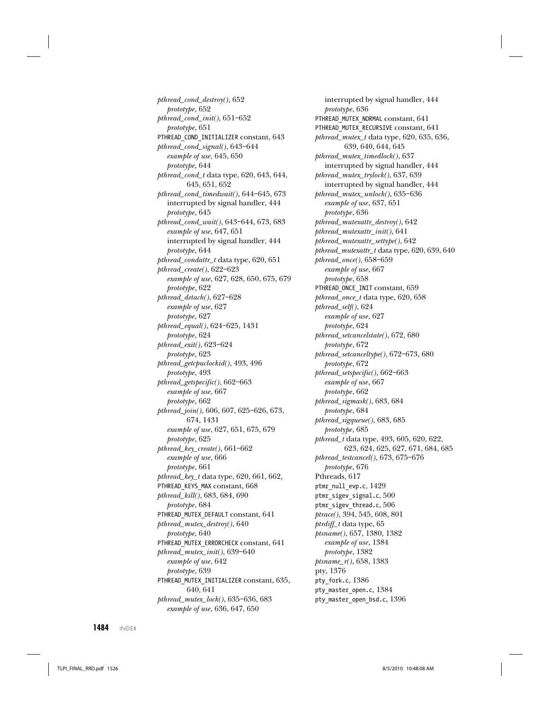pthread\_cond\_destroy(), 652 prototype, 652 pthread\_cond\_init(), 651–652 prototype, 651 PTHREAD COND INITIALIZER constant, 643 pthread\_cond\_signal(), 643–644 example of use, 645, 650 prototype, 644 pthread\_cond\_t data type, 620, 643, 644, 645, 651, 652 pthread\_cond\_timedwait(), 644–645, 673 interrupted by signal handler, 444 prototype, 645 pthread\_cond\_wait(), 643–644, 673, 683 example of use, 647, 651 interrupted by signal handler, 444 prototype, 644 pthread\_condattr\_t data type, 620, 651 pthread\_create(), 622–623 example of use, 627, 628, 650, 675, 679 prototype, 622 pthread\_detach(), 627–628 example of use, 627 prototype, 627 pthread\_equal(), 624–625, 1431 prototype, 624 pthread\_exit(), 623–624 prototype, 623 pthread\_getcpuclockid(), 493, 496 prototype, 493 pthread\_getspecific(), 662–663 example of use, 667 prototype, 662 pthread\_join(), 606, 607, 625–626, 673, 674, 1431 example of use, 627, 651, 675, 679 prototype, 625 pthread\_key\_create(), 661–662 example of use, 666 prototype, 661 pthread\_key\_t data type, 620, 661, 662, PTHREAD\_KEYS\_MAX constant, 668 pthread\_kill(), 683, 684, 690 prototype, 684 PTHREAD\_MUTEX\_DEFAULT constant, 641 pthread\_mutex\_destroy(), 640 prototype, 640 PTHREAD\_MUTEX\_ERRORCHECK constant, 641 pthread\_mutex\_init(), 639–640 example of use, 642 prototype, 639 PTHREAD MUTEX INITIALIZER constant, 635, 640, 641 pthread\_mutex\_lock(), 635–636, 683 example of use, 636, 647, 650

interrupted by signal handler, 444 prototype, 636 PTHREAD\_MUTEX\_NORMAL constant, 641 PTHREAD\_MUTEX\_RECURSIVE constant, 641 pthread\_mutex\_t data type, 620, 635, 636, 639, 640, 644, 645 pthread\_mutex\_timedlock(), 637 interrupted by signal handler, 444 pthread\_mutex\_trylock(), 637, 639 interrupted by signal handler, 444 pthread\_mutex\_unlock(), 635–636 example of use, 637, 651 prototype, 636 pthread\_mutexattr\_destroy(), 642 pthread\_mutexattr\_init(), 641 pthread\_mutexattr\_settype(), 642 pthread\_mutexattr\_t data type, 620, 639, 640 pthread\_once(), 658–659 example of use, 667 prototype, 658 PTHREAD\_ONCE\_INIT constant, 659 pthread\_once\_t data type, 620, 658 pthread\_self(), 624 example of use, 627 prototype, 624 pthread\_setcancelstate(), 672, 680 prototype, 672 pthread\_setcanceltype(), 672–673, 680 prototype, 672 pthread\_setspecific(), 662–663 example of use, 667 prototype, 662 pthread\_sigmask(), 683, 684 prototype, 684 pthread\_sigqueue(), 683, 685 prototype, 685 pthread\_t data type, 493, 605, 620, 622, 623, 624, 625, 627, 671, 684, 685 pthread\_testcancel(), 673, 675–676 prototype, 676 Pthreads, 617 ptmr\_null\_evp.c, 1429 ptmr\_sigev\_signal.c, 500 ptmr\_sigev\_thread.c, 506 ptrace(), 394, 545, 608, 801 ptrdiff\_t data type, 65 ptsname(), 657, 1380, 1382 example of use, 1384 prototype, 1382 ptsname\_r(), 658, 1383 pty, 1376 pty\_fork.c, 1386 pty master open.c, 1384 pty\_master\_open\_bsd.c, 1396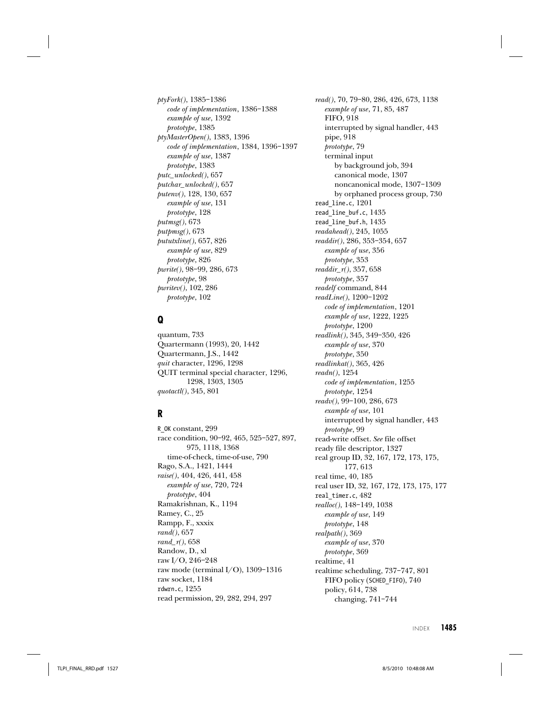ptyFork(), 1385–1386 code of implementation, 1386–1388 example of use, 1392 prototype, 1385 ptyMasterOpen(), 1383, 1396 code of implementation, 1384, 1396–1397 example of use, 1387 prototype, 1383 putc\_unlocked(), 657 putchar\_unlocked(), 657 putenv(), 128, 130, 657 example of use, 131 prototype, 128 putmsg(), 673 putpmsg(), 673 pututxline(), 657, 826 example of use, 829 prototype, 826 pwrite(), 98–99, 286, 673 prototype, 98 pwritev(), 102, 286 prototype, 102

# **Q**

quantum, 733 Quartermann (1993), 20, 1442 Quartermann, J.S., 1442 quit character, 1296, 1298 QUIT terminal special character, 1296, 1298, 1303, 1305 quotactl(), 345, 801

# **R**

R\_OK constant, 299 race condition, 90–92, 465, 525–527, 897, 975, 1118, 1368 time-of-check, time-of-use, 790 Rago, S.A., 1421, 1444 raise(), 404, 426, 441, 458 example of use, 720, 724 prototype, 404 Ramakrishnan, K., 1194 Ramey, C., 25 Rampp, F., xxxix rand(), 657 rand\_ $r()$ , 658 Randow, D., xl raw I/O, 246–248 raw mode (terminal I/O), 1309–1316 raw socket, 1184 rdwrn.c, 1255 read permission, 29, 282, 294, 297

read(), 70, 79–80, 286, 426, 673, 1138 example of use, 71, 85, 487 FIFO, 918 interrupted by signal handler, 443 pipe, 918 prototype, 79 terminal input by background job, 394 canonical mode, 1307 noncanonical mode, 1307–1309 by orphaned process group, 730 read\_line.c, 1201 read\_line\_buf.c, 1435 read\_line\_buf.h, 1435 readahead(), 245, 1055 readdir(), 286, 353–354, 657 example of use, 356 prototype, 353 readdir\_r(), 357, 658 prototype, 357 readelf command, 844 readLine(), 1200–1202 code of implementation, 1201 example of use, 1222, 1225 prototype, 1200 readlink(), 345, 349–350, 426 example of use, 370 prototype, 350 readlinkat(), 365, 426 readn(), 1254 code of implementation, 1255 prototype, 1254 readv(), 99–100, 286, 673 example of use, 101 interrupted by signal handler, 443 prototype, 99 read-write offset. See file offset ready file descriptor, 1327 real group ID, 32, 167, 172, 173, 175, 177, 613 real time, 40, 185 real user ID, 32, 167, 172, 173, 175, 177 real timer.c, 482 realloc(), 148–149, 1038 example of use, 149 prototype, 148 realpath(), 369 example of use, 370 prototype, 369 realtime, 41 realtime scheduling, 737–747, 801 FIFO policy (SCHED FIFO), 740 policy, 614, 738 changing, 741–744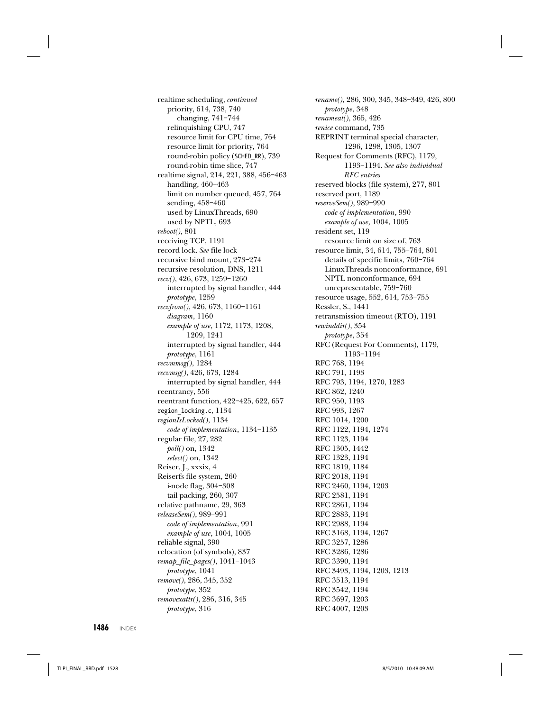realtime scheduling, continued priority, 614, 738, 740 changing, 741–744 relinquishing CPU, 747 resource limit for CPU time, 764 resource limit for priority, 764 round-robin policy (SCHED\_RR), 739 round-robin time slice, 747 realtime signal, 214, 221, 388, 456–463 handling, 460–463 limit on number queued, 457, 764 sending, 458–460 used by LinuxThreads, 690 used by NPTL, 693 reboot(), 801 receiving TCP, 1191 record lock. See file lock recursive bind mount, 273–274 recursive resolution, DNS, 1211 recv(), 426, 673, 1259–1260 interrupted by signal handler, 444 prototype, 1259 recvfrom(), 426, 673, 1160–1161 diagram, 1160 example of use, 1172, 1173, 1208, 1209, 1241 interrupted by signal handler, 444 prototype, 1161 recvmmsg(), 1284 recvmsg(), 426, 673, 1284 interrupted by signal handler, 444 reentrancy, 556 reentrant function, 422–425, 622, 657 region\_locking.c, 1134 regionIsLocked(), 1134 code of implementation, 1134–1135 regular file, 27, 282 poll() on, 1342 select() on, 1342 Reiser, J., xxxix, 4 Reiserfs file system, 260 i-node flag, 304–308 tail packing, 260, 307 relative pathname, 29, 363 releaseSem(), 989–991 code of implementation, 991 example of use, 1004, 1005 reliable signal, 390 relocation (of symbols), 837 remap\_file\_pages(), 1041–1043 prototype, 1041 remove(), 286, 345, 352 prototype, 352 removexattr(), 286, 316, 345

rename(), 286, 300, 345, 348–349, 426, 800 prototype, 348 renameat(), 365, 426 renice command, 735 REPRINT terminal special character, 1296, 1298, 1305, 1307 Request for Comments (RFC), 1179, 1193–1194. See also individual RFC entries reserved blocks (file system), 277, 801 reserved port, 1189 reserveSem(), 989–990 code of implementation, 990 example of use, 1004, 1005 resident set, 119 resource limit on size of, 763 resource limit, 34, 614, 755–764, 801 details of specific limits, 760–764 LinuxThreads nonconformance, 691 NPTL nonconformance, 694 unrepresentable, 759–760 resource usage, 552, 614, 753–755 Ressler, S., 1441 retransmission timeout (RTO), 1191 rewinddir(), 354 prototype, 354 RFC (Request For Comments), 1179, 1193–1194 RFC 768, 1194 RFC 791, 1193 RFC 793, 1194, 1270, 1283 RFC 862, 1240 RFC 950, 1193 RFC 993, 1267 RFC 1014, 1200 RFC 1122, 1194, 1274 RFC 1123, 1194 RFC 1305, 1442 RFC 1323, 1194 RFC 1819, 1184 RFC 2018, 1194 RFC 2460, 1194, 1203 RFC 2581, 1194 RFC 2861, 1194 RFC 2883, 1194 RFC 2988, 1194 RFC 3168, 1194, 1267 RFC 3257, 1286 RFC 3286, 1286 RFC 3390, 1194 RFC 3493, 1194, 1203, 1213 RFC 3513, 1194 RFC 3542, 1194 RFC 3697, 1203 RFC 4007, 1203

**1486** INDEX

prototype, 316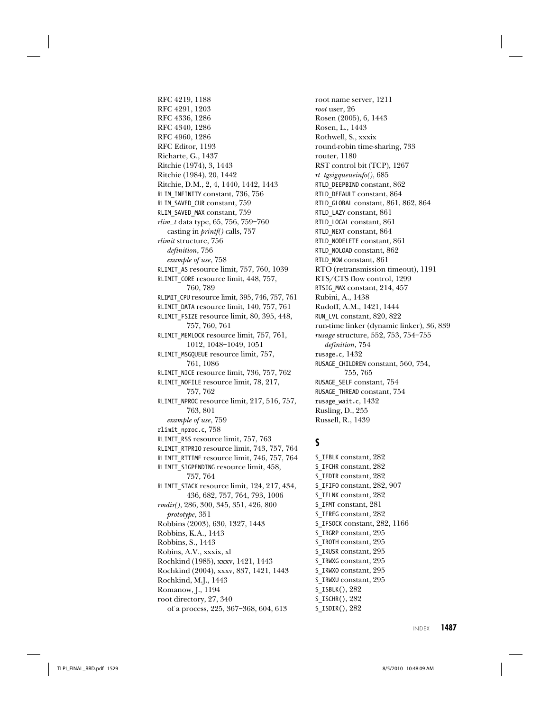RFC 4219, 1188 RFC 4291, 1203 RFC 4336, 1286 RFC 4340, 1286 RFC 4960, 1286 RFC Editor, 1193 Richarte, G., 1437 Ritchie (1974), 3, 1443 Ritchie (1984), 20, 1442 Ritchie, D.M., 2, 4, 1440, 1442, 1443 RLIM\_INFINITY constant, 736, 756 RLIM\_SAVED\_CUR constant, 759 RLIM\_SAVED\_MAX constant, 759 rlim\_t data type, 65, 756, 759–760 casting in printf() calls, 757 rlimit structure, 756 definition, 756 example of use, 758 RLIMIT\_AS resource limit, 757, 760, 1039 RLIMIT\_CORE resource limit, 448, 757, 760, 789 RLIMIT\_CPU resource limit, 395, 746, 757, 761 RLIMIT\_DATA resource limit, 140, 757, 761 RLIMIT\_FSIZE resource limit, 80, 395, 448, 757, 760, 761 RLIMIT\_MEMLOCK resource limit, 757, 761, 1012, 1048–1049, 1051 RLIMIT\_MSGQUEUE resource limit, 757, 761, 1086 RLIMIT\_NICE resource limit, 736, 757, 762 RLIMIT\_NOFILE resource limit, 78, 217, 757, 762 RLIMIT\_NPROC resource limit, 217, 516, 757, 763, 801 example of use, 759 rlimit\_nproc.c, 758 RLIMIT\_RSS resource limit, 757, 763 RLIMIT\_RTPRIO resource limit, 743, 757, 764 RLIMIT\_RTTIME resource limit, 746, 757, 764 RLIMIT\_SIGPENDING resource limit, 458, 757, 764 RLIMIT STACK resource limit, 124, 217, 434, 436, 682, 757, 764, 793, 1006 rmdir(), 286, 300, 345, 351, 426, 800 prototype, 351 Robbins (2003), 630, 1327, 1443 Robbins, K.A., 1443 Robbins, S., 1443 Robins, A.V., xxxix, xl Rochkind (1985), xxxv, 1421, 1443 Rochkind (2004), xxxv, 837, 1421, 1443 Rochkind, M.J., 1443 Romanow, J., 1194 root directory, 27, 340

of a process, 225, 367–368, 604, 613

root name server, 1211 root user, 26 Rosen (2005), 6, 1443 Rosen, L., 1443 Rothwell, S., xxxix round-robin time-sharing, 733 router, 1180 RST control bit (TCP), 1267 rt\_tgsigqueueinfo(), 685 RTLD\_DEEPBIND constant, 862 RTLD\_DEFAULT constant, 864 RTLD\_GLOBAL constant, 861, 862, 864 RTLD\_LAZY constant, 861 RTLD\_LOCAL constant, 861 RTLD\_NEXT constant, 864 RTLD\_NODELETE constant, 861 RTLD\_NOLOAD constant, 862 RTLD\_NOW constant, 861 RTO (retransmission timeout), 1191 RTS/CTS flow control, 1299 RTSIG MAX constant, 214, 457 Rubini, A., 1438 Rudoff, A.M., 1421, 1444 RUN\_LVL constant, 820, 822 run-time linker (dynamic linker), 36, 839 rusage structure, 552, 753, 754–755 definition, 754 rusage.c, 1432 RUSAGE\_CHILDREN constant, 560, 754, 755, 765 RUSAGE\_SELF constant, 754 RUSAGE\_THREAD constant, 754 rusage\_wait.c, 1432 Rusling, D., 255 Russell, R., 1439

#### **S**

S\_IFBLK constant, 282 S\_IFCHR constant, 282 S\_IFDIR constant, 282 S\_IFIFO constant, 282, 907 S\_IFLNK constant, 282 S\_IFMT constant, 281 S\_IFREG constant, 282 S\_IFSOCK constant, 282, 1166 S\_IRGRP constant, 295 S\_IROTH constant, 295 S\_IRUSR constant, 295 S\_IRWXG constant, 295 S\_IRWXO constant, 295 S\_IRWXU constant, 295 S\_ISBLK(), 282 S\_ISCHR(), 282 S\_ISDIR(), 282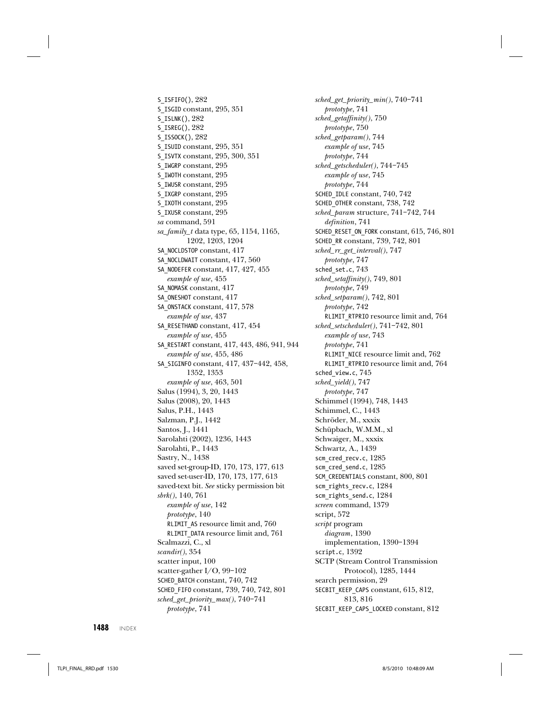S\_ISFIFO(), 282 S\_ISGID constant, 295, 351 S\_ISLNK(), 282 S\_ISREG(), 282 S\_ISSOCK(), 282 S\_ISUID constant, 295, 351 S\_ISVTX constant, 295, 300, 351 S\_IWGRP constant, 295 S\_IWOTH constant, 295 S\_IWUSR constant, 295 S\_IXGRP constant, 295 S\_IXOTH constant, 295 S\_IXUSR constant, 295 sa command, 591 sa\_family\_t data type, 65, 1154, 1165, 1202, 1203, 1204 SA\_NOCLDSTOP constant, 417 SA\_NOCLDWAIT constant, 417, 560 SA\_NODEFER constant, 417, 427, 455 example of use, 455 SA\_NOMASK constant, 417 SA\_ONESHOT constant, 417 SA\_ONSTACK constant, 417, 578 example of use, 437 SA\_RESETHAND constant, 417, 454 example of use, 455 SA\_RESTART constant, 417, 443, 486, 941, 944 example of use, 455, 486 SA\_SIGINFO constant, 417, 437–442, 458, 1352, 1353 example of use, 463, 501 Salus (1994), 3, 20, 1443 Salus (2008), 20, 1443 Salus, P.H., 1443 Salzman, P.J., 1442 Santos, J., 1441 Sarolahti (2002), 1236, 1443 Sarolahti, P., 1443 Sastry, N., 1438 saved set-group-ID, 170, 173, 177, 613 saved set-user-ID, 170, 173, 177, 613 saved-text bit. See sticky permission bit sbrk(), 140, 761 example of use, 142 prototype, 140 RLIMIT\_AS resource limit and, 760 RLIMIT\_DATA resource limit and, 761 Scalmazzi, C., xl scandir(), 354 scatter input, 100 scatter-gather I/O, 99–102 SCHED\_BATCH constant, 740, 742 SCHED\_FIFO constant, 739, 740, 742, 801 sched\_get\_priority\_max(), 740–741 prototype, 741

sched\_get\_priority\_min(), 740–741 prototype, 741 sched\_getaffinity(), 750 prototype, 750 sched\_getparam(), 744 example of use, 745 prototype, 744 sched\_getscheduler(), 744–745 example of use, 745 prototype, 744 SCHED\_IDLE constant, 740, 742 SCHED\_OTHER constant, 738, 742 sched\_param structure, 741–742, 744 definition, 741 SCHED\_RESET\_ON\_FORK constant, 615, 746, 801 SCHED\_RR constant, 739, 742, 801 sched\_rr\_get\_interval(), 747 prototype, 747 sched\_set.c, 743 sched\_setaffinity(), 749, 801 prototype, 749 sched\_setparam(), 742, 801 prototype, 742 RLIMIT\_RTPRIO resource limit and, 764 sched\_setscheduler(), 741–742, 801 example of use, 743 prototype, 741 RLIMIT\_NICE resource limit and, 762 RLIMIT\_RTPRIO resource limit and, 764 sched\_view.c, 745 sched\_yield(), 747 prototype, 747 Schimmel (1994), 748, 1443 Schimmel, C., 1443 Schröder, M., xxxix Schüpbach, W.M.M., xl Schwaiger, M., xxxix Schwartz, A., 1439 scm\_cred\_recv.c, 1285 scm\_cred\_send.c, 1285 SCM\_CREDENTIALS constant, 800, 801 scm\_rights\_recv.c, 1284 scm\_rights\_send.c, 1284 screen command, 1379 script, 572 script program diagram, 1390 implementation, 1390–1394 script.c, 1392 SCTP (Stream Control Transmission Protocol), 1285, 1444 search permission, 29 SECBIT KEEP CAPS constant, 615, 812, 813, 816 SECBIT KEEP CAPS LOCKED constant, 812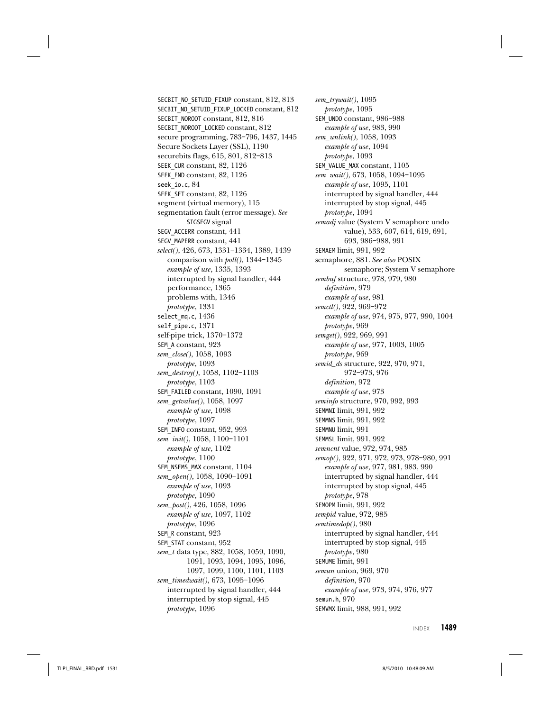SECBIT\_NO\_SETUID\_FIXUP constant, 812, 813 SECBIT\_NO\_SETUID\_FIXUP\_LOCKED constant, 812 SECBIT\_NOROOT constant, 812, 816 SECBIT\_NOROOT\_LOCKED constant, 812 secure programming, 783–796, 1437, 1445 Secure Sockets Layer (SSL), 1190 securebits flags, 615, 801, 812–813 SEEK CUR constant, 82, 1126 SEEK\_END constant, 82, 1126 seek\_io.c, 84 SEEK SET constant, 82, 1126 segment (virtual memory), 115 segmentation fault (error message). See SIGSEGV signal SEGV\_ACCERR constant, 441 SEGV\_MAPERR constant, 441 select(), 426, 673, 1331–1334, 1389, 1439 comparison with poll(), 1344–1345 example of use, 1335, 1393 interrupted by signal handler, 444 performance, 1365 problems with, 1346 prototype, 1331 select\_mq.c, 1436 self\_pipe.c, 1371 self-pipe trick, 1370–1372 SEM\_A constant, 923 sem\_close(), 1058, 1093 prototype, 1093 sem\_destroy(), 1058, 1102–1103 prototype, 1103 SEM\_FAILED constant, 1090, 1091 sem\_getvalue(), 1058, 1097 example of use, 1098 prototype, 1097 SEM\_INFO constant, 952, 993 sem\_init(), 1058, 1100–1101 example of use, 1102 prototype, 1100 SEM\_NSEMS\_MAX constant, 1104 sem\_open(), 1058, 1090–1091 example of use, 1093 prototype, 1090 sem\_post(), 426, 1058, 1096 example of use, 1097, 1102 prototype, 1096 SEM\_R constant, 923 SEM\_STAT constant, 952 sem\_t data type, 882, 1058, 1059, 1090, 1091, 1093, 1094, 1095, 1096, 1097, 1099, 1100, 1101, 1103 sem\_timedwait(), 673, 1095–1096 interrupted by signal handler, 444 interrupted by stop signal, 445 prototype, 1096

sem\_trywait(), 1095 prototype, 1095 SEM\_UNDO constant, 986–988 example of use, 983, 990 sem\_unlink(), 1058, 1093 example of use, 1094 prototype, 1093 SEM VALUE MAX constant,  $1105$ sem\_wait(), 673, 1058, 1094–1095 example of use, 1095, 1101 interrupted by signal handler, 444 interrupted by stop signal, 445 prototype, 1094 semadj value (System V semaphore undo value), 533, 607, 614, 619, 691, 693, 986–988, 991 SEMAEM limit, 991, 992 semaphore, 881. See also POSIX semaphore; System V semaphore sembuf structure, 978, 979, 980 definition, 979 example of use, 981 semctl(), 922, 969–972 example of use, 974, 975, 977, 990, 1004 prototype, 969 semget(), 922, 969, 991 example of use, 977, 1003, 1005 prototype, 969 semid\_ds structure, 922, 970, 971, 972–973, 976 definition, 972 example of use, 973 seminfo structure, 970, 992, 993 SEMMNI limit, 991, 992 SEMMNS limit, 991, 992 SEMMNU limit, 991 SEMMSL limit, 991, 992 semncnt value, 972, 974, 985 semop(), 922, 971, 972, 973, 978–980, 991 example of use, 977, 981, 983, 990 interrupted by signal handler, 444 interrupted by stop signal, 445 prototype, 978 SEMOPM limit, 991, 992 sempid value, 972, 985 semtimedop(), 980 interrupted by signal handler, 444 interrupted by stop signal, 445 prototype, 980 SEMUME limit, 991 semun union, 969, 970 definition, 970 example of use, 973, 974, 976, 977 semun.h, 970 SEMVMX limit, 988, 991, 992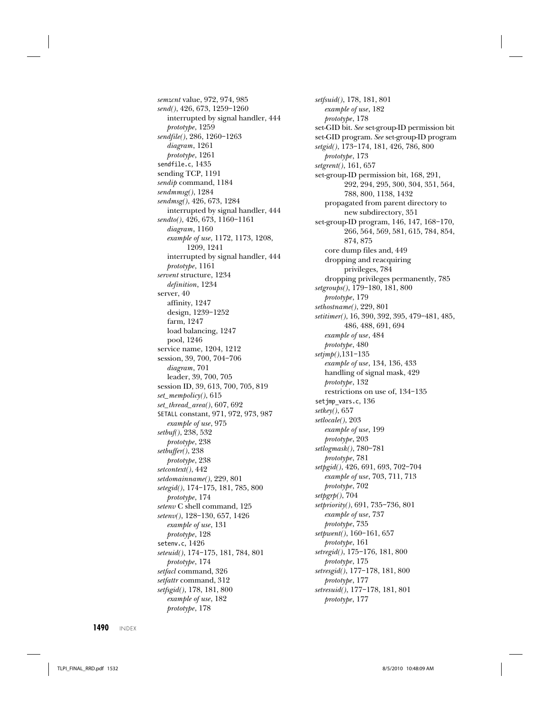semzcnt value, 972, 974, 985 send(), 426, 673, 1259–1260 interrupted by signal handler, 444 prototype, 1259 sendfile(), 286, 1260–1263 diagram, 1261 prototype, 1261 sendfile.c, 1435 sending TCP, 1191 sendip command, 1184 sendmmsg(), 1284 sendmsg(), 426, 673, 1284 interrupted by signal handler, 444 sendto(), 426, 673, 1160–1161 diagram, 1160 example of use, 1172, 1173, 1208, 1209, 1241 interrupted by signal handler, 444 prototype, 1161 servent structure, 1234 definition, 1234 server, 40 affinity, 1247 design, 1239–1252 farm, 1247 load balancing, 1247 pool, 1246 service name, 1204, 1212 session, 39, 700, 704–706 diagram, 701 leader, 39, 700, 705 session ID, 39, 613, 700, 705, 819 set\_mempolicy(), 615 set\_thread\_area(), 607, 692 SETALL constant, 971, 972, 973, 987 example of use, 975 setbuf(), 238, 532 prototype, 238 setbuffer(), 238 prototype, 238 setcontext(), 442 setdomainname(), 229, 801 setegid(), 174–175, 181, 785, 800 prototype, 174 setenv C shell command, 125 setenv(), 128–130, 657, 1426 example of use, 131 prototype, 128 setenv.c, 1426 seteuid(), 174–175, 181, 784, 801 prototype, 174 setfacl command, 326 setfattr command, 312 setfsgid(), 178, 181, 800 example of use, 182 prototype, 178

setfsuid(), 178, 181, 801 example of use, 182 prototype, 178 set-GID bit. See set-group-ID permission bit set-GID program. See set-group-ID program setgid(), 173–174, 181, 426, 786, 800 prototype, 173 setgrent(), 161, 657 set-group-ID permission bit, 168, 291, 292, 294, 295, 300, 304, 351, 564, 788, 800, 1138, 1432 propagated from parent directory to new subdirectory, 351 set-group-ID program, 146, 147, 168–170, 266, 564, 569, 581, 615, 784, 854, 874, 875 core dump files and, 449 dropping and reacquiring privileges, 784 dropping privileges permanently, 785 setgroups(), 179–180, 181, 800 prototype, 179 sethostname(), 229, 801 setitimer(), 16, 390, 392, 395, 479–481, 485, 486, 488, 691, 694 example of use, 484 prototype, 480 setjmp(),131-135 example of use, 134, 136, 433 handling of signal mask, 429 prototype, 132 restrictions on use of, 134–135 setjmp\_vars.c, 136 setkey(), 657 setlocale(), 203 example of use, 199 prototype, 203 setlogmask(), 780–781 prototype, 781 setpgid(), 426, 691, 693, 702–704 example of use, 703, 711, 713 prototype, 702  $setpgrp(), 704$ setpriority(), 691, 735–736, 801 example of use, 737 prototype, 735 setpwent(), 160–161, 657 prototype, 161 setregid(), 175–176, 181, 800 prototype, 175 setresgid(), 177–178, 181, 800 prototype, 177 setresuid(), 177–178, 181, 801 prototype, 177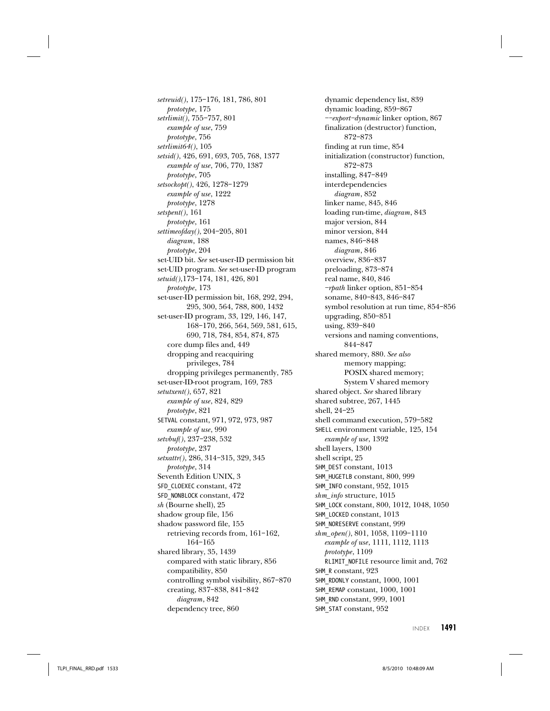setreuid(), 175–176, 181, 786, 801 prototype, 175 setrlimit(), 755–757, 801 example of use, 759 prototype, 756 setrlimit64(), 105 setsid(), 426, 691, 693, 705, 768, 1377 example of use, 706, 770, 1387 prototype, 705 setsockopt(), 426, 1278–1279 example of use, 1222 prototype, 1278 setspent(), 161 prototype, 161 settimeofday(), 204–205, 801 diagram, 188 prototype, 204 set-UID bit. See set-user-ID permission bit set-UID program. See set-user-ID program setuid(),173–174, 181, 426, 801 prototype, 173 set-user-ID permission bit, 168, 292, 294, 295, 300, 564, 788, 800, 1432 set-user-ID program, 33, 129, 146, 147, 168–170, 266, 564, 569, 581, 615, 690, 718, 784, 854, 874, 875 core dump files and, 449 dropping and reacquiring privileges, 784 dropping privileges permanently, 785 set-user-ID-root program, 169, 783 setutxent(), 657, 821 example of use, 824, 829 prototype, 821 SETVAL constant, 971, 972, 973, 987 example of use, 990 setvbuf(), 237–238, 532 prototype, 237 setxattr(), 286, 314–315, 329, 345 prototype, 314 Seventh Edition UNIX, 3 SFD\_CLOEXEC constant, 472 SFD\_NONBLOCK constant, 472 sh (Bourne shell), 25 shadow group file, 156 shadow password file, 155 retrieving records from, 161–162, 164–165 shared library, 35, 1439 compared with static library, 856 compatibility, 850 controlling symbol visibility, 867–870 creating, 837–838, 841–842 diagram, 842

dependency tree, 860

dynamic dependency list, 839 dynamic loading, 859–867 ––export–dynamic linker option, 867 finalization (destructor) function, 872–873 finding at run time, 854 initialization (constructor) function, 872–873 installing, 847–849 interdependencies diagram, 852 linker name, 845, 846 loading run-time, diagram, 843 major version, 844 minor version, 844 names, 846–848 diagram, 846 overview, 836–837 preloading, 873–874 real name, 840, 846 –rpath linker option, 851–854 soname, 840–843, 846–847 symbol resolution at run time, 854–856 upgrading, 850–851 using, 839–840 versions and naming conventions, 844–847 shared memory, 880. See also memory mapping; POSIX shared memory; System V shared memory shared object. See shared library shared subtree, 267, 1445 shell, 24–25 shell command execution, 579–582 SHELL environment variable, 125, 154 example of use, 1392 shell layers, 1300 shell script, 25 SHM\_DEST constant, 1013 SHM\_HUGETLB constant, 800, 999 SHM\_INFO constant, 952, 1015 shm\_info structure, 1015 SHM\_LOCK constant, 800, 1012, 1048, 1050 SHM\_LOCKED constant, 1013 SHM\_NORESERVE constant, 999 shm\_open(), 801, 1058, 1109–1110 example of use, 1111, 1112, 1113 prototype, 1109 RLIMIT\_NOFILE resource limit and, 762 SHM<sub>R</sub> constant, 923 SHM\_RDONLY constant, 1000, 1001 SHM\_REMAP constant, 1000, 1001 SHM\_RND constant, 999, 1001 SHM\_STAT constant, 952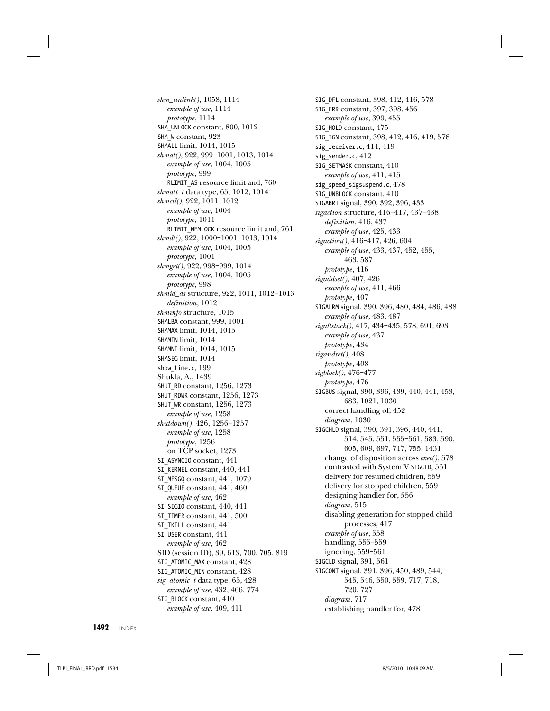shm\_unlink(), 1058, 1114 example of use, 1114 prototype, 1114 SHM\_UNLOCK constant, 800, 1012 SHM\_W constant, 923 SHMALL limit, 1014, 1015 shmat(), 922, 999–1001, 1013, 1014 example of use, 1004, 1005 prototype, 999 RLIMIT\_AS resource limit and, 760 shmatt\_t data type, 65, 1012, 1014 shmctl(), 922, 1011–1012 example of use, 1004 prototype, 1011 RLIMIT\_MEMLOCK resource limit and, 761 shmdt(), 922, 1000–1001, 1013, 1014 example of use, 1004, 1005 prototype, 1001 shmget(), 922, 998–999, 1014 example of use, 1004, 1005 prototype, 998 shmid\_ds structure, 922, 1011, 1012–1013 definition, 1012 shminfo structure, 1015 SHMLBA constant, 999, 1001 SHMMAX limit, 1014, 1015 SHMMIN limit, 1014 SHMMNI limit, 1014, 1015 SHMSEG limit, 1014 show\_time.c, 199 Shukla, A., 1439 SHUT\_RD constant, 1256, 1273 SHUT\_RDWR constant, 1256, 1273 SHUT\_WR constant, 1256, 1273 example of use, 1258 shutdown(), 426, 1256–1257 example of use, 1258 prototype, 1256 on TCP socket, 1273 SI\_ASYNCIO constant, 441 SI\_KERNEL constant, 440, 441 SI\_MESGQ constant, 441, 1079 SI\_QUEUE constant, 441, 460 example of use, 462 SI\_SIGIO constant, 440, 441 SI\_TIMER constant, 441, 500 SI\_TKILL constant, 441 SI\_USER constant, 441 example of use, 462 SID (session ID), 39, 613, 700, 705, 819 SIG ATOMIC MAX constant,  $428$ SIG ATOMIC MIN constant, 428 sig\_atomic\_t data type, 65, 428 example of use, 432, 466, 774 SIG\_BLOCK constant, 410 example of use, 409, 411

SIG\_DFL constant, 398, 412, 416, 578 SIG\_ERR constant, 397, 398, 456 example of use, 399, 455 SIG\_HOLD constant, 475 SIG\_IGN constant, 398, 412, 416, 419, 578 sig\_receiver.c, 414, 419 sig\_sender.c, 412 SIG SETMASK constant,  $410$ example of use, 411, 415 sig speed sigsuspend.c, 478 SIG UNBLOCK constant,  $410$ SIGABRT signal, 390, 392, 396, 433 sigaction structure, 416–417, 437–438 definition, 416, 437 example of use, 425, 433 sigaction(), 416–417, 426, 604 example of use, 433, 437, 452, 455, 463, 587 prototype, 416 sigaddset(), 407, 426 example of use, 411, 466 prototype, 407 SIGALRM signal, 390, 396, 480, 484, 486, 488 example of use, 483, 487 sigaltstack(), 417, 434–435, 578, 691, 693 example of use, 437 prototype, 434 sigandset(), 408 prototype, 408 sigblock(), 476–477 prototype, 476 SIGBUS signal, 390, 396, 439, 440, 441, 453, 683, 1021, 1030 correct handling of, 452 diagram, 1030 SIGCHLD signal, 390, 391, 396, 440, 441, 514, 545, 551, 555–561, 583, 590, 605, 609, 697, 717, 755, 1431 change of disposition across exec(), 578 contrasted with System V SIGCLD, 561 delivery for resumed children, 559 delivery for stopped children, 559 designing handler for, 556 diagram, 515 disabling generation for stopped child processes, 417 example of use, 558 handling, 555–559 ignoring, 559–561 SIGCLD signal, 391, 561 SIGCONT signal, 391, 396, 450, 489, 544, 545, 546, 550, 559, 717, 718, 720, 727 diagram, 717 establishing handler for, 478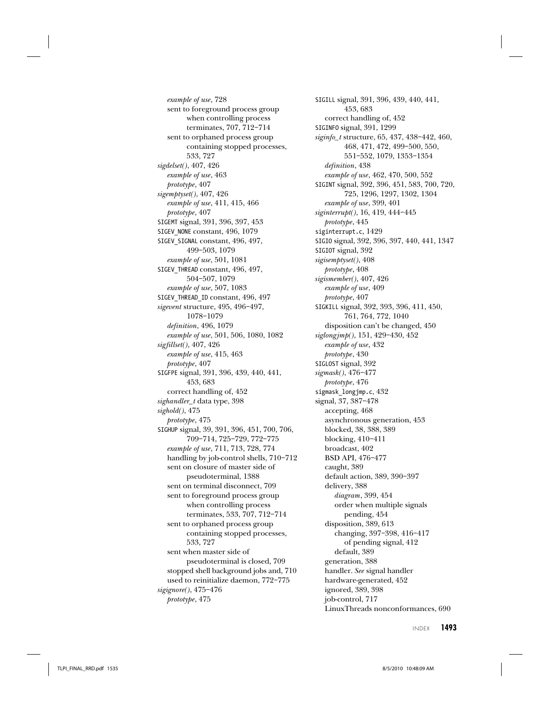example of use, 728 sent to foreground process group when controlling process terminates, 707, 712–714 sent to orphaned process group containing stopped processes, 533, 727 sigdelset(), 407, 426 example of use, 463 prototype, 407 sigemptyset(), 407, 426 example of use, 411, 415, 466 prototype, 407 SIGEMT signal, 391, 396, 397, 453 SIGEV\_NONE constant, 496, 1079 SIGEV\_SIGNAL constant, 496, 497, 499–503, 1079 example of use, 501, 1081 SIGEV\_THREAD constant, 496, 497, 504–507, 1079 example of use, 507, 1083 SIGEV\_THREAD\_ID constant, 496, 497 sigevent structure, 495, 496–497, 1078–1079 definition, 496, 1079 example of use, 501, 506, 1080, 1082 sigfillset(), 407, 426 example of use, 415, 463 prototype, 407 SIGFPE signal, 391, 396, 439, 440, 441, 453, 683 correct handling of, 452 sighandler\_t data type, 398 sighold(), 475 prototype, 475 SIGHUP signal, 39, 391, 396, 451, 700, 706, 709–714, 725–729, 772–775 example of use, 711, 713, 728, 774 handling by job-control shells, 710–712 sent on closure of master side of pseudoterminal, 1388 sent on terminal disconnect, 709 sent to foreground process group when controlling process terminates, 533, 707, 712–714 sent to orphaned process group containing stopped processes, 533, 727 sent when master side of pseudoterminal is closed, 709 stopped shell background jobs and, 710 used to reinitialize daemon, 772–775 sigignore(), 475–476 prototype, 475

SIGILL signal, 391, 396, 439, 440, 441, 453, 683 correct handling of, 452 SIGINFO signal, 391, 1299 siginfo\_t structure, 65, 437, 438-442, 460, 468, 471, 472, 499–500, 550, 551–552, 1079, 1353–1354 definition, 438 example of use, 462, 470, 500, 552 SIGINT signal, 392, 396, 451, 583, 700, 720, 725, 1296, 1297, 1302, 1304 example of use, 399, 401 siginterrupt(), 16, 419, 444–445 prototype, 445 siginterrupt.c, 1429 SIGIO signal, 392, 396, 397, 440, 441, 1347 SIGIOT signal, 392 sigisemptyset(), 408 prototype, 408 sigismember(), 407, 426 example of use, 409 prototype, 407 SIGKILL signal, 392, 393, 396, 411, 450, 761, 764, 772, 1040 disposition can't be changed, 450 siglongjmp(), 151, 429–430, 452 example of use, 432 prototype, 430 SIGLOST signal, 392 sigmask(), 476–477 prototype, 476 sigmask\_longjmp.c, 432 signal, 37, 387–478 accepting, 468 asynchronous generation, 453 blocked, 38, 388, 389 blocking, 410–411 broadcast, 402 BSD API, 476–477 caught, 389 default action, 389, 390–397 delivery, 388 diagram, 399, 454 order when multiple signals pending, 454 disposition, 389, 613 changing, 397–398, 416–417 of pending signal, 412 default, 389 generation, 388 handler. See signal handler hardware-generated, 452 ignored, 389, 398 job-control, 717 LinuxThreads nonconformances, 690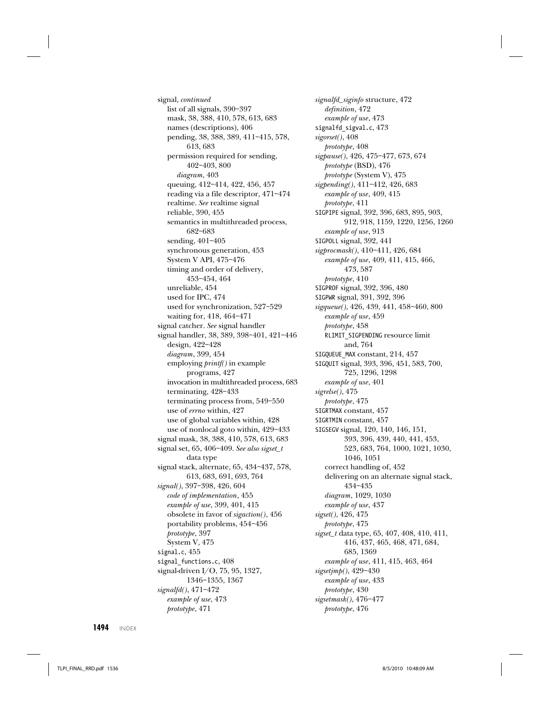signal, continued list of all signals, 390–397 mask, 38, 388, 410, 578, 613, 683 names (descriptions), 406 pending, 38, 388, 389, 411–415, 578, 613, 683 permission required for sending, 402–403, 800 diagram, 403 queuing, 412–414, 422, 456, 457 reading via a file descriptor, 471–474 realtime. See realtime signal reliable, 390, 455 semantics in multithreaded process, 682–683 sending, 401–405 synchronous generation, 453 System V API, 475–476 timing and order of delivery, 453–454, 464 unreliable, 454 used for IPC, 474 used for synchronization, 527–529 waiting for, 418, 464–471 signal catcher. See signal handler signal handler, 38, 389, 398–401, 421–446 design, 422–428 diagram, 399, 454 employing printf() in example programs, 427 invocation in multithreaded process, 683 terminating, 428–433 terminating process from, 549–550 use of errno within, 427 use of global variables within, 428 use of nonlocal goto within, 429–433 signal mask, 38, 388, 410, 578, 613, 683 signal set, 65, 406-409. See also sigset\_t data type signal stack, alternate, 65, 434–437, 578, 613, 683, 691, 693, 764 signal(), 397–398, 426, 604 code of implementation, 455 example of use, 399, 401, 415 obsolete in favor of sigaction(), 456 portability problems, 454–456 prototype, 397 System V, 475 signal.c, 455 signal functions.c, 408 signal-driven I/O, 75, 95, 1327, 1346–1355, 1367 signalfd(), 471–472 example of use, 473 prototype, 471

signalfd\_siginfo structure, 472 definition, 472 example of use, 473 signalfd\_sigval.c, 473 sigorset(), 408 prototype, 408 sigpause(), 426, 475–477, 673, 674 prototype (BSD), 476 prototype (System V), 475 sigpending(), 411–412, 426, 683 example of use, 409, 415 prototype, 411 SIGPIPE signal, 392, 396, 683, 895, 903, 912, 918, 1159, 1220, 1256, 1260 example of use, 913 SIGPOLL signal, 392, 441 sigprocmask(), 410–411, 426, 684 example of use, 409, 411, 415, 466, 473, 587 prototype, 410 SIGPROF signal, 392, 396, 480 SIGPWR signal, 391, 392, 396 sigqueue(), 426, 439, 441, 458–460, 800 example of use, 459 prototype, 458 RLIMIT\_SIGPENDING resource limit and, 764 SIGQUEUE\_MAX constant, 214, 457 SIGQUIT signal, 393, 396, 451, 583, 700, 725, 1296, 1298 example of use, 401 sigrelse(), 475 prototype, 475 SIGRTMAX constant, 457 SIGRTMIN constant, 457 SIGSEGV signal, 120, 140, 146, 151, 393, 396, 439, 440, 441, 453, 523, 683, 764, 1000, 1021, 1030, 1046, 1051 correct handling of, 452 delivering on an alternate signal stack, 434–435 diagram, 1029, 1030 example of use, 437 sigset(), 426, 475 prototype, 475 sigset\_t data type, 65, 407, 408, 410, 411, 416, 437, 465, 468, 471, 684, 685, 1369 example of use, 411, 415, 463, 464 sigsetjmp(), 429-430 example of use, 433 prototype, 430 sigsetmask(), 476–477 prototype, 476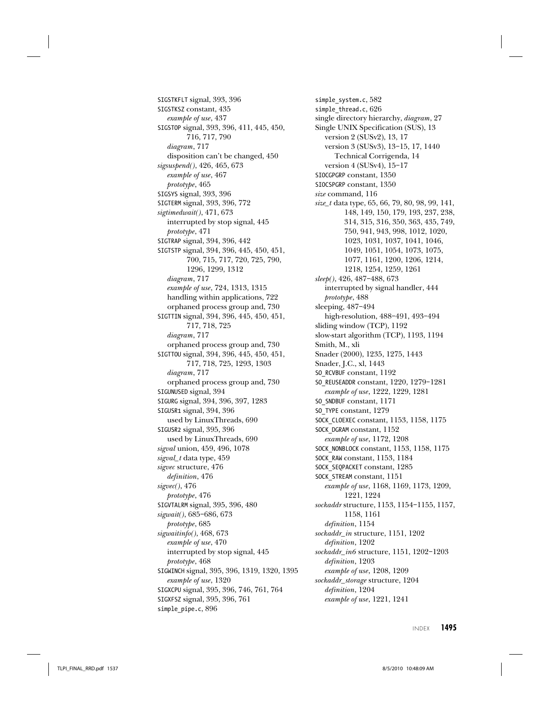SIGSTKFLT signal, 393, 396 SIGSTKSZ constant, 435 example of use, 437 SIGSTOP signal, 393, 396, 411, 445, 450, 716, 717, 790 diagram, 717 disposition can't be changed, 450 sigsuspend(), 426, 465, 673 example of use, 467 prototype, 465 SIGSYS signal, 393, 396 SIGTERM signal, 393, 396, 772 sigtimedwait(), 471, 673 interrupted by stop signal, 445 prototype, 471 SIGTRAP signal, 394, 396, 442 SIGTSTP signal, 394, 396, 445, 450, 451, 700, 715, 717, 720, 725, 790, 1296, 1299, 1312 diagram, 717 example of use, 724, 1313, 1315 handling within applications, 722 orphaned process group and, 730 SIGTTIN signal, 394, 396, 445, 450, 451, 717, 718, 725 diagram, 717 orphaned process group and, 730 SIGTTOU signal, 394, 396, 445, 450, 451, 717, 718, 725, 1293, 1303 diagram, 717 orphaned process group and, 730 SIGUNUSED signal, 394 SIGURG signal, 394, 396, 397, 1283 SIGUSR1 signal, 394, 396 used by LinuxThreads, 690 SIGUSR2 signal, 395, 396 used by LinuxThreads, 690 sigval union, 459, 496, 1078 sigval\_t data type, 459 sigvec structure, 476 definition, 476 sigvec(), 476 prototype, 476 SIGVTALRM signal, 395, 396, 480 sigwait(), 685–686, 673 prototype, 685 sigwaitinfo(), 468, 673 example of use, 470 interrupted by stop signal, 445 prototype, 468 SIGWINCH signal, 395, 396, 1319, 1320, 1395 example of use, 1320 SIGXCPU signal, 395, 396, 746, 761, 764 SIGXFSZ signal, 395, 396, 761 simple pipe.c, 896

simple\_system.c, 582 simple\_thread.c, 626 single directory hierarchy, diagram, 27 Single UNIX Specification (SUS), 13 version 2 (SUSv2), 13, 17 version 3 (SUSv3), 13–15, 17, 1440 Technical Corrigenda, 14 version 4 (SUSv4), 15–17 SIOCGPGRP constant, 1350 SIOCSPGRP constant, 1350 size command, 116 size\_t data type, 65, 66, 79, 80, 98, 99, 141, 148, 149, 150, 179, 193, 237, 238, 314, 315, 316, 350, 363, 435, 749, 750, 941, 943, 998, 1012, 1020, 1023, 1031, 1037, 1041, 1046, 1049, 1051, 1054, 1073, 1075, 1077, 1161, 1200, 1206, 1214, 1218, 1254, 1259, 1261 sleep(), 426, 487–488, 673 interrupted by signal handler, 444 prototype, 488 sleeping, 487–494 high-resolution, 488–491, 493–494 sliding window (TCP), 1192 slow-start algorithm (TCP), 1193, 1194 Smith, M., xli Snader (2000), 1235, 1275, 1443 Snader, J.C., xl, 1443 SO\_RCVBUF constant, 1192 SO\_REUSEADDR constant, 1220, 1279–1281 example of use, 1222, 1229, 1281 SO\_SNDBUF constant, 1171 SO\_TYPE constant, 1279 SOCK\_CLOEXEC constant, 1153, 1158, 1175 SOCK\_DGRAM constant, 1152 example of use, 1172, 1208 SOCK\_NONBLOCK constant, 1153, 1158, 1175 SOCK\_RAW constant, 1153, 1184 SOCK\_SEQPACKET constant, 1285 SOCK\_STREAM constant, 1151 example of use, 1168, 1169, 1173, 1209, 1221, 1224 sockaddr structure, 1153, 1154–1155, 1157, 1158, 1161 definition, 1154 sockaddr\_in structure, 1151, 1202 definition, 1202 sockaddr\_in6 structure, 1151, 1202–1203 definition, 1203 example of use, 1208, 1209 sockaddr\_storage structure, 1204 definition, 1204 example of use, 1221, 1241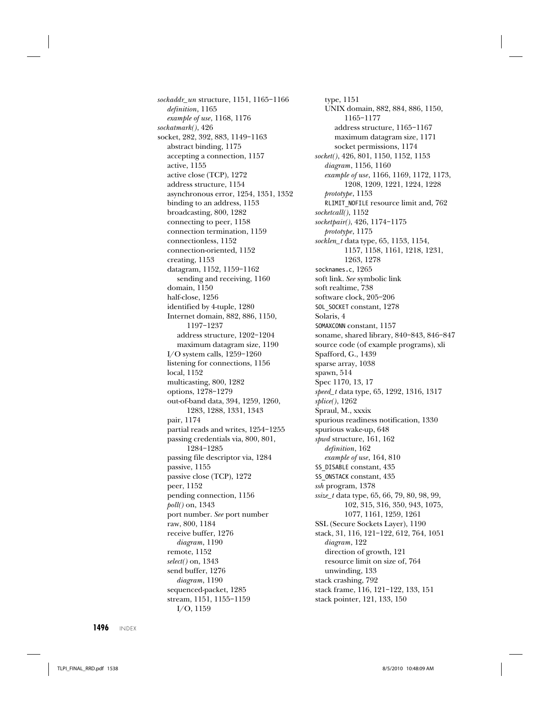sockaddr\_un structure, 1151, 1165–1166 definition, 1165 example of use, 1168, 1176 sockatmark(), 426 socket, 282, 392, 883, 1149–1163 abstract binding, 1175 accepting a connection, 1157 active, 1155 active close (TCP), 1272 address structure, 1154 asynchronous error, 1254, 1351, 1352 binding to an address, 1153 broadcasting, 800, 1282 connecting to peer, 1158 connection termination, 1159 connectionless, 1152 connection-oriented, 1152 creating, 1153 datagram, 1152, 1159–1162 sending and receiving, 1160 domain, 1150 half-close, 1256 identified by 4-tuple, 1280 Internet domain, 882, 886, 1150, 1197–1237 address structure, 1202–1204 maximum datagram size, 1190 I/O system calls, 1259–1260 listening for connections, 1156 local, 1152 multicasting, 800, 1282 options, 1278–1279 out-of-band data, 394, 1259, 1260, 1283, 1288, 1331, 1343 pair, 1174 partial reads and writes, 1254–1255 passing credentials via, 800, 801, 1284–1285 passing file descriptor via, 1284 passive, 1155 passive close (TCP), 1272 peer, 1152 pending connection, 1156 poll() on, 1343 port number. See port number raw, 800, 1184 receive buffer, 1276 diagram, 1190 remote, 1152 select() on, 1343 send buffer, 1276 diagram, 1190 sequenced-packet, 1285 stream, 1151, 1155–1159 I/O, 1159

type, 1151 UNIX domain, 882, 884, 886, 1150, 1165–1177 address structure, 1165–1167 maximum datagram size, 1171 socket permissions, 1174 socket(), 426, 801, 1150, 1152, 1153 diagram, 1156, 1160 example of use, 1166, 1169, 1172, 1173, 1208, 1209, 1221, 1224, 1228 prototype, 1153 RLIMIT\_NOFILE resource limit and, 762 socketcall(), 1152 socketpair(), 426, 1174–1175 prototype, 1175 socklen\_t data type, 65, 1153, 1154, 1157, 1158, 1161, 1218, 1231, 1263, 1278 socknames.c, 1265 soft link. See symbolic link soft realtime, 738 software clock, 205–206 SOL\_SOCKET constant, 1278 Solaris, 4 SOMAXCONN constant, 1157 soname, shared library, 840–843, 846–847 source code (of example programs), xli Spafford, G., 1439 sparse array, 1038 spawn, 514 Spec 1170, 13, 17 speed\_t data type, 65, 1292, 1316, 1317 splice(), 1262 Spraul, M., xxxix spurious readiness notification, 1330 spurious wake-up, 648 spwd structure, 161, 162 definition, 162 example of use, 164, 810 SS DISABLE constant,  $435$ SS\_ONSTACK constant, 435 ssh program, 1378  $size_t$  data type, 65, 66, 79, 80, 98, 99, 102, 315, 316, 350, 943, 1075, 1077, 1161, 1259, 1261 SSL (Secure Sockets Layer), 1190 stack, 31, 116, 121–122, 612, 764, 1051 diagram, 122 direction of growth, 121 resource limit on size of, 764 unwinding, 133 stack crashing, 792 stack frame, 116, 121–122, 133, 151 stack pointer, 121, 133, 150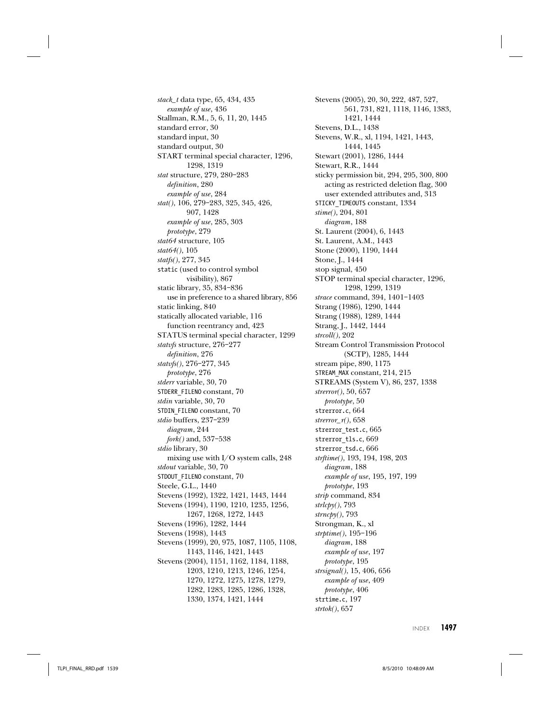stack\_t data type, 65, 434, 435 example of use, 436 Stallman, R.M., 5, 6, 11, 20, 1445 standard error, 30 standard input, 30 standard output, 30 START terminal special character, 1296, 1298, 1319 stat structure, 279, 280–283 definition, 280 example of use, 284 stat(), 106, 279–283, 325, 345, 426, 907, 1428 example of use, 285, 303 prototype, 279 stat64 structure, 105 stat64(), 105 statfs(), 277, 345 static (used to control symbol visibility), 867 static library, 35, 834–836 use in preference to a shared library, 856 static linking, 840 statically allocated variable, 116 function reentrancy and, 423 STATUS terminal special character, 1299 statvfs structure, 276–277 definition, 276 statvfs(), 276–277, 345 prototype, 276 stderr variable, 30, 70 STDERR\_FILENO constant, 70 stdin variable, 30, 70 STDIN\_FILENO constant, 70 stdio buffers, 237–239 diagram, 244 fork() and, 537–538 stdio library, 30 mixing use with I/O system calls, 248 stdout variable, 30, 70 STDOUT FILENO constant, 70 Steele, G.L., 1440 Stevens (1992), 1322, 1421, 1443, 1444 Stevens (1994), 1190, 1210, 1235, 1256, 1267, 1268, 1272, 1443 Stevens (1996), 1282, 1444 Stevens (1998), 1443 Stevens (1999), 20, 975, 1087, 1105, 1108, 1143, 1146, 1421, 1443 Stevens (2004), 1151, 1162, 1184, 1188, 1203, 1210, 1213, 1246, 1254, 1270, 1272, 1275, 1278, 1279, 1282, 1283, 1285, 1286, 1328, 1330, 1374, 1421, 1444

Stevens (2005), 20, 30, 222, 487, 527, 561, 731, 821, 1118, 1146, 1383, 1421, 1444 Stevens, D.L., 1438 Stevens, W.R., xl, 1194, 1421, 1443, 1444, 1445 Stewart (2001), 1286, 1444 Stewart, R.R., 1444 sticky permission bit, 294, 295, 300, 800 acting as restricted deletion flag, 300 user extended attributes and, 313 STICKY\_TIMEOUTS constant, 1334 stime(), 204, 801 diagram, 188 St. Laurent (2004), 6, 1443 St. Laurent, A.M., 1443 Stone (2000), 1190, 1444 Stone, J., 1444 stop signal, 450 STOP terminal special character, 1296, 1298, 1299, 1319 strace command, 394, 1401–1403 Strang (1986), 1290, 1444 Strang (1988), 1289, 1444 Strang, J., 1442, 1444 strcoll(), 202 Stream Control Transmission Protocol (SCTP), 1285, 1444 stream pipe, 890, 1175 STREAM\_MAX constant, 214, 215 STREAMS (System V), 86, 237, 1338 strerror(), 50, 657 prototype, 50 strerror.c, 664 strerror $r(r)$ , 658 strerror\_test.c, 665 strerror\_tls.c, 669 strerror\_tsd.c, 666 strftime(), 193, 194, 198, 203 diagram, 188 example of use, 195, 197, 199 prototype, 193 strip command, 834  $strlcby(), 793$ strncpy(), 793 Strongman, K., xl strptime(), 195–196 diagram, 188 example of use, 197 prototype, 195 strsignal(), 15, 406, 656 example of use, 409 prototype, 406 strtime.c, 197 strtok(), 657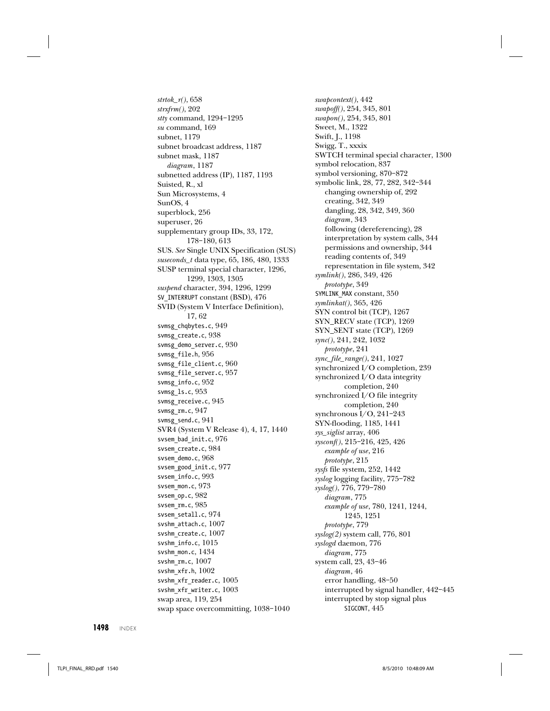$strtok_r(), 658$ strxfrm(), 202 stty command, 1294–1295 su command, 169 subnet, 1179 subnet broadcast address, 1187 subnet mask, 1187 diagram, 1187 subnetted address (IP), 1187, 1193 Suisted, R., xl Sun Microsystems, 4 SunOS, 4 superblock, 256 superuser, 26 supplementary group IDs, 33, 172, 178–180, 613 SUS. See Single UNIX Specification (SUS) suseconds\_t data type, 65, 186, 480, 1333 SUSP terminal special character, 1296, 1299, 1303, 1305 suspend character, 394, 1296, 1299 SV\_INTERRUPT constant (BSD), 476 SVID (System V Interface Definition), 17, 62 svmsg\_chqbytes.c, 949 svmsg\_create.c, 938 svmsg\_demo\_server.c, 930 svmsg\_file.h, 956 svmsg\_file\_client.c, 960 svmsg\_file\_server.c, 957 svmsg\_info.c, 952 svmsg\_ls.c, 953 svmsg\_receive.c, 945 svmsg\_rm.c, 947 svmsg\_send.c, 941 SVR4 (System V Release 4), 4, 17, 1440 svsem\_bad\_init.c, 976 svsem\_create.c, 984 svsem\_demo.c, 968 svsem\_good\_init.c, 977 svsem\_info.c, 993 svsem\_mon.c, 973 svsem op.c, 982 svsem rm.c, 985 svsem\_setall.c, 974 svshm\_attach.c, 1007 svshm\_create.c, 1007 svshm\_info.c, 1015 svshm mon.c, 1434 svshm\_rm.c,  $1007$ svshm\_xfr.h, 1002 svshm xfr reader.c, 1005 svshm xfr writer.c, 1003 swap area, 119, 254 swap space overcommitting, 1038–1040

swapcontext(), 442 swapoff(), 254, 345, 801 swapon(), 254, 345, 801 Sweet, M., 1322 Swift, J., 1198 Swigg, T., xxxix SWTCH terminal special character, 1300 symbol relocation, 837 symbol versioning, 870–872 symbolic link, 28, 77, 282, 342–344 changing ownership of, 292 creating, 342, 349 dangling, 28, 342, 349, 360 diagram, 343 following (dereferencing), 28 interpretation by system calls, 344 permissions and ownership, 344 reading contents of, 349 representation in file system, 342 symlink(), 286, 349, 426 prototype, 349 SYMLINK\_MAX constant, 350 symlinkat(), 365, 426 SYN control bit (TCP), 1267 SYN\_RECV state (TCP), 1269 SYN\_SENT state (TCP), 1269 sync(), 241, 242, 1032 prototype, 241 sync\_file\_range(), 241, 1027 synchronized I/O completion, 239 synchronized I/O data integrity completion, 240 synchronized I/O file integrity completion, 240 synchronous I/O, 241–243 SYN-flooding, 1185, 1441 sys\_siglist array, 406 sysconf(), 215–216, 425, 426 example of use, 216 prototype, 215 sysfs file system, 252, 1442 syslog logging facility, 775–782 syslog(), 776, 779–780 diagram, 775 example of use, 780, 1241, 1244, 1245, 1251 prototype, 779 syslog(2) system call, 776, 801 syslogd daemon, 776 diagram, 775 system call, 23, 43–46 diagram, 46 error handling, 48–50 interrupted by signal handler, 442–445 interrupted by stop signal plus SIGCONT, 445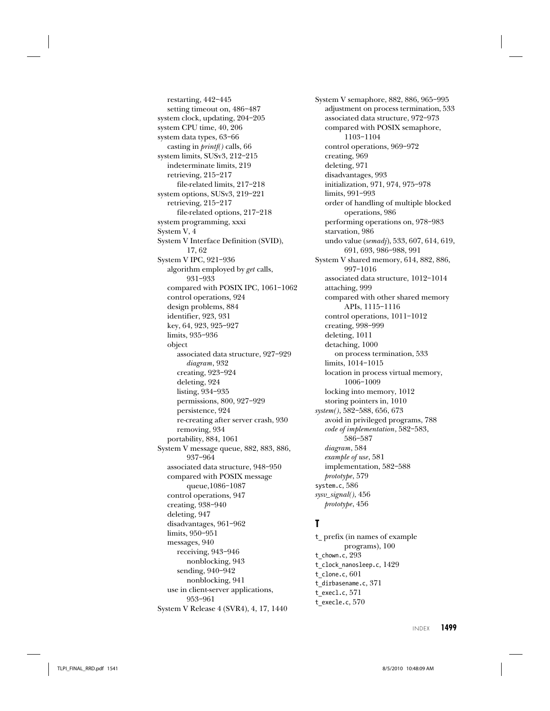restarting, 442–445 setting timeout on, 486–487 system clock, updating, 204–205 system CPU time, 40, 206 system data types, 63–66 casting in printf() calls, 66 system limits, SUSv3, 212–215 indeterminate limits, 219 retrieving, 215–217 file-related limits, 217–218 system options, SUSv3, 219–221 retrieving, 215–217 file-related options, 217–218 system programming, xxxi System V, 4 System V Interface Definition (SVID), 17, 62 System V IPC, 921–936 algorithm employed by get calls, 931–933 compared with POSIX IPC, 1061–1062 control operations, 924 design problems, 884 identifier, 923, 931 key, 64, 923, 925–927 limits, 935–936 object associated data structure, 927–929 diagram, 932 creating, 923–924 deleting, 924 listing, 934–935 permissions, 800, 927–929 persistence, 924 re-creating after server crash, 930 removing, 934 portability, 884, 1061 System V message queue, 882, 883, 886, 937–964 associated data structure, 948–950 compared with POSIX message queue,1086–1087 control operations, 947 creating, 938–940 deleting, 947 disadvantages, 961–962 limits, 950–951 messages, 940 receiving, 943–946 nonblocking, 943 sending, 940–942 nonblocking, 941 use in client-server applications, 953–961 System V Release 4 (SVR4), 4, 17, 1440

System V semaphore, 882, 886, 965–995 adjustment on process termination, 533 associated data structure, 972–973 compared with POSIX semaphore, 1103–1104 control operations, 969–972 creating, 969 deleting, 971 disadvantages, 993 initialization, 971, 974, 975–978 limits, 991–993 order of handling of multiple blocked operations, 986 performing operations on, 978–983 starvation, 986 undo value (semadj), 533, 607, 614, 619, 691, 693, 986–988, 991 System V shared memory, 614, 882, 886, 997–1016 associated data structure, 1012–1014 attaching, 999 compared with other shared memory APIs, 1115–1116 control operations, 1011–1012 creating, 998–999 deleting, 1011 detaching, 1000 on process termination, 533 limits, 1014–1015 location in process virtual memory, 1006–1009 locking into memory, 1012 storing pointers in, 1010 system(), 582–588, 656, 673 avoid in privileged programs, 788 code of implementation, 582–583, 586–587 diagram, 584 example of use, 581 implementation, 582–588 prototype, 579 system.c, 586 sysv\_signal(), 456 prototype, 456

#### **T**

t\_ prefix (in names of example programs), 100 t\_chown.c, 293 t clock nanosleep.c, 1429 t\_clone.c, 601 t\_dirbasename.c, 371 t\_execl.c, 571 t\_execle.c, 570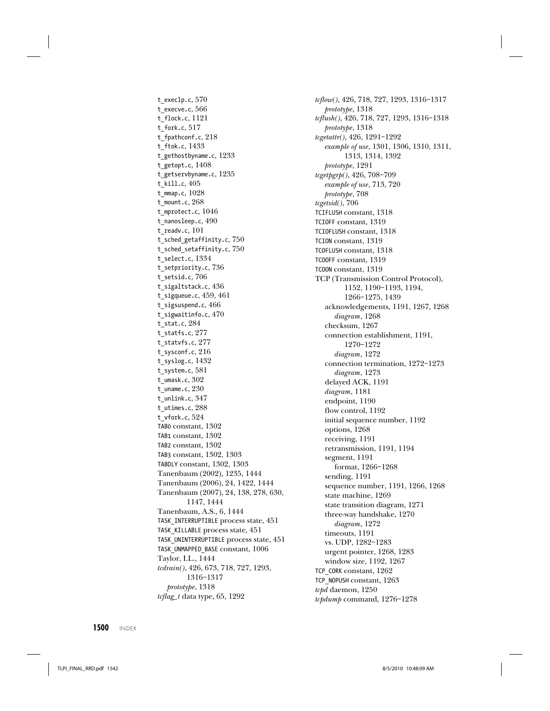t\_execlp.c, 570 t execve.c, 566 t\_flock.c, 1121 t\_fork.c, 517 t\_fpathconf.c, 218 t\_ftok.c, 1433 t\_gethostbyname.c, 1233 t getopt.c,  $1408$ t getservbyname.c, 1235 t\_kill.c, 405 t\_mmap.c, 1028 t\_mount.c, 268 t\_mprotect.c, 1046 t\_nanosleep.c, 490 t\_readv.c, 101 t\_sched\_getaffinity.c, 750 t\_sched\_setaffinity.c, 750 t\_select.c, 1334 t\_setpriority.c, 736 t\_setsid.c, 706 t\_sigaltstack.c, 436 t\_sigqueue.c, 459, 461 t\_sigsuspend.c, 466 t sigwaitinfo.c, 470 t\_stat.c, 284 t\_statfs.c, 277 t\_statvfs.c, 277 t\_sysconf.c, 216 t\_syslog.c, 1432 t\_system.c, 581 t umask.c,  $302$ t uname.c,  $230$ t\_unlink.c, 347 t\_utimes.c, 288 t\_vfork.c, 524 TAB0 constant, 1302 TAB1 constant, 1302 TAB2 constant, 1302 TAB3 constant, 1302, 1303 TABDLY constant, 1302, 1303 Tanenbaum (2002), 1235, 1444 Tanenbaum (2006), 24, 1422, 1444 Tanenbaum (2007), 24, 138, 278, 630, 1147, 1444 Tanenbaum, A.S., 6, 1444 TASK\_INTERRUPTIBLE process state, 451 TASK\_KILLABLE process state, 451 TASK\_UNINTERRUPTIBLE process state, 451 TASK\_UNMAPPED\_BASE constant, 1006 Taylor, I.L., 1444 tcdrain(), 426, 673, 718, 727, 1293, 1316–1317 prototype, 1318  $tcflag_t$  data type, 65, 1292

tcflow(), 426, 718, 727, 1293, 1316–1317 prototype, 1318 tcflush(), 426, 718, 727, 1293, 1316–1318 prototype, 1318 tcgetattr(), 426, 1291–1292 example of use, 1301, 1306, 1310, 1311, 1313, 1314, 1392 prototype, 1291 tcgetpgrp(), 426, 708–709 example of use, 713, 720 prototype, 708 tcgetsid(), 706 TCIFLUSH constant, 1318 TCIOFF constant, 1319 TCIOFLUSH constant, 1318 TCION constant, 1319 TCOFLUSH constant, 1318 TCOOFF constant, 1319 TCOON constant, 1319 TCP (Transmission Control Protocol), 1152, 1190–1193, 1194, 1266–1275, 1439 acknowledgements, 1191, 1267, 1268 diagram, 1268 checksum, 1267 connection establishment, 1191, 1270–1272 diagram, 1272 connection termination, 1272–1273 diagram, 1273 delayed ACK, 1191 diagram, 1181 endpoint, 1190 flow control, 1192 initial sequence number, 1192 options, 1268 receiving, 1191 retransmission, 1191, 1194 segment, 1191 format, 1266–1268 sending, 1191 sequence number, 1191, 1266, 1268 state machine, 1269 state transition diagram, 1271 three-way handshake, 1270 diagram, 1272 timeouts, 1191 vs. UDP, 1282–1283 urgent pointer, 1268, 1283 window size, 1192, 1267 TCP\_CORK constant, 1262 TCP\_NOPUSH constant, 1263 tcpd daemon, 1250 tcpdump command, 1276–1278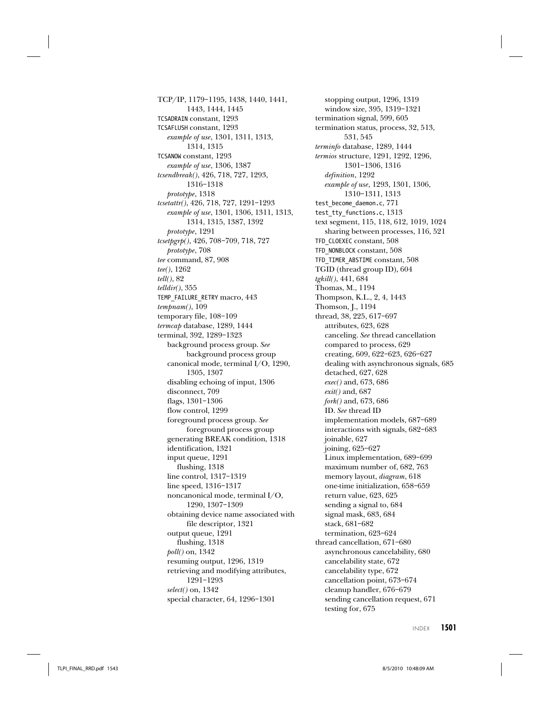TCP/IP, 1179–1195, 1438, 1440, 1441, 1443, 1444, 1445 TCSADRAIN constant, 1293 TCSAFLUSH constant, 1293 example of use, 1301, 1311, 1313, 1314, 1315 TCSANOW constant, 1293 example of use, 1306, 1387 tcsendbreak(), 426, 718, 727, 1293, 1316–1318 prototype, 1318 tcsetattr(), 426, 718, 727, 1291–1293 example of use, 1301, 1306, 1311, 1313, 1314, 1315, 1387, 1392 prototype, 1291 tcsetpgrp(), 426, 708–709, 718, 727 prototype, 708 tee command, 87, 908 tee(), 1262  $tell(), 82$  $telldir($ , 355 TEMP\_FAILURE\_RETRY macro, 443 tempnam(), 109 temporary file, 108–109 termcap database, 1289, 1444 terminal, 392, 1289–1323 background process group. See background process group canonical mode, terminal I/O, 1290, 1305, 1307 disabling echoing of input, 1306 disconnect, 709 flags, 1301–1306 flow control, 1299 foreground process group. See foreground process group generating BREAK condition, 1318 identification, 1321 input queue, 1291 flushing, 1318 line control, 1317–1319 line speed, 1316–1317 noncanonical mode, terminal I/O, 1290, 1307–1309 obtaining device name associated with file descriptor, 1321 output queue, 1291 flushing, 1318 poll() on, 1342 resuming output, 1296, 1319 retrieving and modifying attributes, 1291–1293 select() on, 1342 special character, 64, 1296–1301

stopping output, 1296, 1319 window size, 395, 1319–1321 termination signal, 599, 605 termination status, process, 32, 513, 531, 545 terminfo database, 1289, 1444 termios structure, 1291, 1292, 1296, 1301–1306, 1316 definition, 1292 example of use, 1293, 1301, 1306, 1310–1311, 1313 test become daemon.c, 771 test\_tty\_functions.c, 1313 text segment, 115, 118, 612, 1019, 1024 sharing between processes, 116, 521 TFD\_CLOEXEC constant, 508 TFD\_NONBLOCK constant, 508 TFD\_TIMER\_ABSTIME constant, 508 TGID (thread group ID), 604 tgkill(), 441, 684 Thomas, M., 1194 Thompson, K.L., 2, 4, 1443 Thomson, J., 1194 thread, 38, 225, 617–697 attributes, 623, 628 canceling. See thread cancellation compared to process, 629 creating, 609, 622–623, 626–627 dealing with asynchronous signals, 685 detached, 627, 628 exec() and, 673, 686 exit() and, 687 fork() and, 673, 686 ID. See thread ID implementation models, 687–689 interactions with signals, 682–683 joinable, 627 joining, 625–627 Linux implementation, 689–699 maximum number of, 682, 763 memory layout, diagram, 618 one-time initialization, 658–659 return value, 623, 625 sending a signal to, 684 signal mask, 683, 684 stack, 681–682 termination, 623–624 thread cancellation, 671–680 asynchronous cancelability, 680 cancelability state, 672 cancelability type, 672 cancellation point, 673–674 cleanup handler, 676–679 sending cancellation request, 671 testing for, 675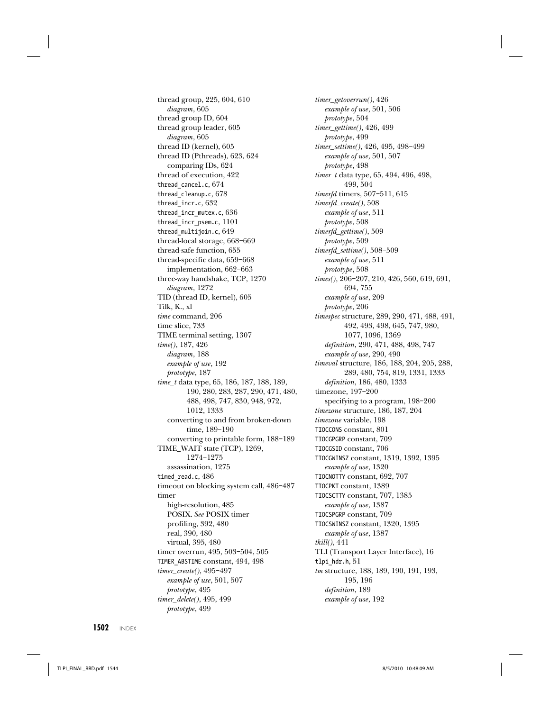thread group, 225, 604, 610 diagram, 605 thread group ID, 604 thread group leader, 605 diagram, 605 thread ID (kernel), 605 thread ID (Pthreads), 623, 624 comparing IDs, 624 thread of execution, 422 thread cancel.c, 674 thread cleanup.c, 678 thread\_incr.c, 632 thread\_incr\_mutex.c, 636 thread\_incr\_psem.c, 1101 thread\_multijoin.c, 649 thread-local storage, 668–669 thread-safe function, 655 thread-specific data, 659–668 implementation, 662–663 three-way handshake, TCP, 1270 diagram, 1272 TID (thread ID, kernel), 605 Tilk, K., xl time command, 206 time slice, 733 TIME terminal setting, 1307 time(), 187, 426 diagram, 188 example of use, 192 prototype, 187 time\_t data type, 65, 186, 187, 188, 189, 190, 280, 283, 287, 290, 471, 480, 488, 498, 747, 830, 948, 972, 1012, 1333 converting to and from broken-down time, 189–190 converting to printable form, 188–189 TIME\_WAIT state (TCP), 1269, 1274–1275 assassination, 1275 timed read.c, 486 timeout on blocking system call, 486–487 timer high-resolution, 485 POSIX. See POSIX timer profiling, 392, 480 real, 390, 480 virtual, 395, 480 timer overrun, 495, 503–504, 505 TIMER\_ABSTIME constant, 494, 498 timer\_create(), 495–497 example of use, 501, 507 prototype, 495 timer\_delete(), 495, 499 prototype, 499

timer\_getoverrun(), 426 example of use, 501, 506 prototype, 504 timer\_gettime(), 426, 499 prototype, 499 timer\_settime(), 426, 495, 498–499 example of use, 501, 507 prototype, 498 timer\_t data type, 65, 494, 496, 498, 499, 504 timerfd timers, 507–511, 615 timerfd\_create(), 508 example of use, 511 prototype, 508 timerfd\_gettime(), 509 prototype, 509 timerfd\_settime(), 508–509 example of use, 511 prototype, 508 times(), 206–207, 210, 426, 560, 619, 691, 694, 755 example of use, 209 prototype, 206 timespec structure, 289, 290, 471, 488, 491, 492, 493, 498, 645, 747, 980, 1077, 1096, 1369 definition, 290, 471, 488, 498, 747 example of use, 290, 490 timeval structure, 186, 188, 204, 205, 288, 289, 480, 754, 819, 1331, 1333 definition, 186, 480, 1333 timezone, 197–200 specifying to a program, 198–200 timezone structure, 186, 187, 204 timezone variable, 198 TIOCCONS constant, 801 TIOCGPGRP constant, 709 TIOCGSID constant, 706 TIOCGWINSZ constant, 1319, 1392, 1395 example of use, 1320 TIOCNOTTY constant, 692, 707 TIOCPKT constant, 1389 TIOCSCTTY constant, 707, 1385 example of use, 1387 TIOCSPGRP constant, 709 TIOCSWINSZ constant, 1320, 1395 example of use, 1387 tkill(), 441 TLI (Transport Layer Interface), 16 tlpi hdr.h, 51 tm structure, 188, 189, 190, 191, 193, 195, 196 definition, 189 example of use, 192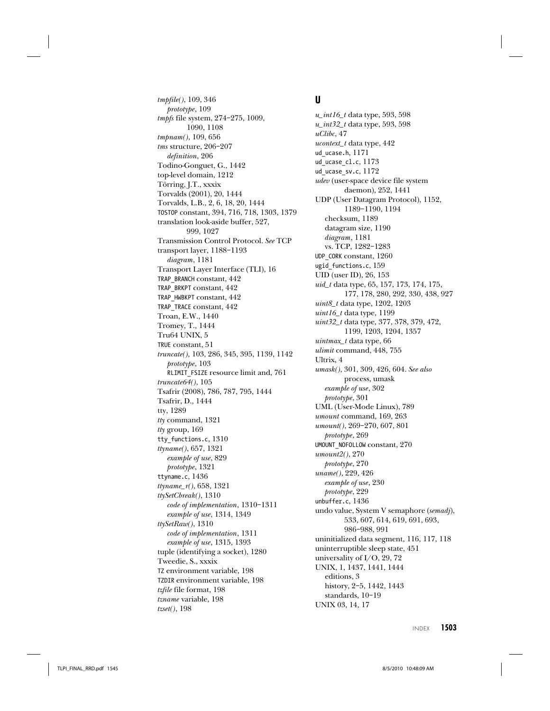tmpfile(), 109, 346 prototype, 109 tmpfs file system, 274–275, 1009, 1090, 1108 tmpnam(), 109, 656 tms structure, 206–207 definition, 206 Todino-Gonguet, G., 1442 top-level domain, 1212 Törring, J.T., xxxix Torvalds (2001), 20, 1444 Torvalds, L.B., 2, 6, 18, 20, 1444 TOSTOP constant, 394, 716, 718, 1303, 1379 translation look-aside buffer, 527, 999, 1027 Transmission Control Protocol. See TCP transport layer, 1188–1193 diagram, 1181 Transport Layer Interface (TLI), 16 TRAP\_BRANCH constant, 442 TRAP\_BRKPT constant, 442 TRAP\_HWBKPT constant, 442 TRAP\_TRACE constant, 442 Troan, E.W., 1440 Tromey, T., 1444 Tru64 UNIX, 5 TRUE constant, 51 truncate(), 103, 286, 345, 395, 1139, 1142 prototype, 103 RLIMIT\_FSIZE resource limit and, 761 truncate64(), 105 Tsafrir (2008), 786, 787, 795, 1444 Tsafrir, D., 1444 tty, 1289 tty command, 1321 tty group, 169 tty\_functions.c, 1310 ttyname(), 657, 1321 example of use, 829 prototype, 1321 ttyname.c, 1436 ttyname\_r(), 658, 1321 ttySetCbreak(), 1310 code of implementation, 1310–1311 example of use, 1314, 1349 ttySetRaw(), 1310 code of implementation, 1311 example of use, 1315, 1393 tuple (identifying a socket), 1280 Tweedie, S., xxxix TZ environment variable, 198 TZDIR environment variable, 198 tzfile file format, 198 tzname variable, 198

#### **U**

 $u\_int16_t$  data type, 593, 598  $u\_int32_t$  data type, 593, 598 uClibc, 47 ucontext\_t data type, 442 ud\_ucase.h, 1171 ud\_ucase\_cl.c, 1173 ud\_ucase\_sv.c, 1172 udev (user-space device file system daemon), 252, 1441 UDP (User Datagram Protocol), 1152, 1189–1190, 1194 checksum, 1189 datagram size, 1190 diagram, 1181 vs. TCP, 1282–1283 UDP\_CORK constant, 1260 ugid functions.c, 159 UID (user ID), 26, 153 uid\_t data type, 65, 157, 173, 174, 175, 177, 178, 280, 292, 330, 438, 927 uint8\_t data type, 1202, 1203  $uint16_t$  data type, 1199 uint32\_t data type, 377, 378, 379, 472, 1199, 1203, 1204, 1357 uintmax\_t data type, 66 ulimit command, 448, 755 Ultrix, 4 umask(), 301, 309, 426, 604. See also process, umask example of use, 302 prototype, 301 UML (User-Mode Linux), 789 umount command, 169, 263 umount(), 269–270, 607, 801 prototype, 269 UMOUNT\_NOFOLLOW constant, 270 umount2(), 270 prototype, 270 uname(), 229, 426 example of use, 230 prototype, 229 unbuffer.c, 1436 undo value, System V semaphore (semadj), 533, 607, 614, 619, 691, 693, 986–988, 991 uninitialized data segment, 116, 117, 118 uninterruptible sleep state, 451 universality of I/O, 29, 72 UNIX, 1, 1437, 1441, 1444 editions, 3 history, 2–5, 1442, 1443 standards, 10–19 UNIX 03, 14, 17

INDEX **1503**

tzset(), 198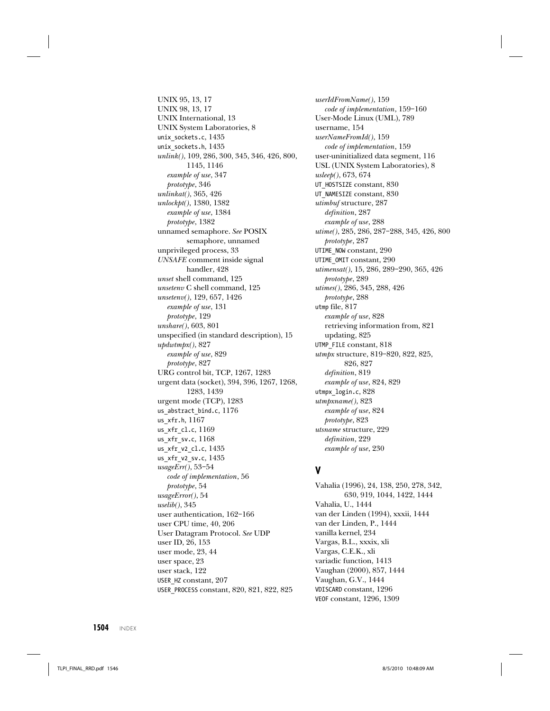UNIX 95, 13, 17 UNIX 98, 13, 17 UNIX International, 13 UNIX System Laboratories, 8 unix\_sockets.c, 1435 unix\_sockets.h, 1435 unlink(), 109, 286, 300, 345, 346, 426, 800, 1145, 1146 example of use, 347 prototype, 346 unlinkat(), 365, 426 unlockpt(), 1380, 1382 example of use, 1384 prototype, 1382 unnamed semaphore. See POSIX semaphore, unnamed unprivileged process, 33 UNSAFE comment inside signal handler, 428 unset shell command, 125 unsetenv C shell command, 125 unsetenv(), 129, 657, 1426 example of use, 131 prototype, 129 unshare(), 603, 801 unspecified (in standard description), 15 updwtmpx(), 827 example of use, 829 prototype, 827 URG control bit, TCP, 1267, 1283 urgent data (socket), 394, 396, 1267, 1268, 1283, 1439 urgent mode (TCP), 1283 us\_abstract\_bind.c, 1176 us\_xfr.h, 1167 us\_xfr\_cl.c, 1169 us\_xfr\_sv.c, 1168 us\_xfr\_v2\_cl.c, 1435 us\_xfr\_v2\_sv.c, 1435 usageErr(), 53–54 code of implementation, 56 prototype, 54 usageError(), 54 uselib(), 345 user authentication, 162–166 user CPU time, 40, 206 User Datagram Protocol. See UDP user ID, 26, 153 user mode, 23, 44 user space, 23 user stack, 122 USER\_HZ constant, 207 USER\_PROCESS constant, 820, 821, 822, 825

userIdFromName(), 159 code of implementation, 159–160 User-Mode Linux (UML), 789 username, 154 userNameFromId(), 159 code of implementation, 159 user-uninitialized data segment, 116 USL (UNIX System Laboratories), 8 usleep(), 673, 674 UT\_HOSTSIZE constant, 830 UT\_NAMESIZE constant, 830 utimbuf structure, 287 definition, 287 example of use, 288 utime(), 285, 286, 287–288, 345, 426, 800 prototype, 287 UTIME\_NOW constant, 290 UTIME\_OMIT constant, 290 utimensat(), 15, 286, 289–290, 365, 426 prototype, 289 utimes(), 286, 345, 288, 426 prototype, 288 utmp file, 817 example of use, 828 retrieving information from, 821 updating, 825 UTMP\_FILE constant, 818 utmpx structure, 819–820, 822, 825, 826, 827 definition, 819 example of use, 824, 829 utmpx\_login.c, 828 utmpxname(), 823 example of use, 824 prototype, 823 utsname structure, 229 definition, 229 example of use, 230

## **V**

Vahalia (1996), 24, 138, 250, 278, 342, 630, 919, 1044, 1422, 1444 Vahalia, U., 1444 van der Linden (1994), xxxii, 1444 van der Linden, P., 1444 vanilla kernel, 234 Vargas, B.L., xxxix, xli Vargas, C.E.K., xli variadic function, 1413 Vaughan (2000), 857, 1444 Vaughan, G.V., 1444 VDISCARD constant, 1296 VEOF constant, 1296, 1309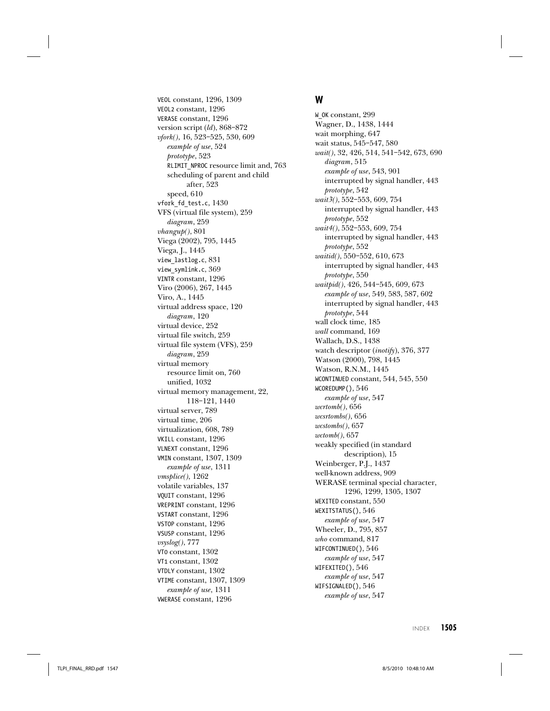VEOL constant, 1296, 1309 VEOL2 constant, 1296 VERASE constant, 1296 version script (ld), 868-872 vfork(), 16, 523–525, 530, 609 example of use, 524 prototype, 523 RLIMIT\_NPROC resource limit and, 763 scheduling of parent and child after, 523 speed, 610 vfork\_fd\_test.c, 1430 VFS (virtual file system), 259 diagram, 259 vhangup(), 801 Viega (2002), 795, 1445 Viega, J., 1445 view\_lastlog.c, 831 view\_symlink.c, 369 VINTR constant, 1296 Viro (2006), 267, 1445 Viro, A., 1445 virtual address space, 120 diagram, 120 virtual device, 252 virtual file switch, 259 virtual file system (VFS), 259 diagram, 259 virtual memory resource limit on, 760 unified, 1032 virtual memory management, 22, 118–121, 1440 virtual server, 789 virtual time, 206 virtualization, 608, 789 VKILL constant, 1296 VLNEXT constant, 1296 VMIN constant, 1307, 1309 example of use, 1311 vmsplice(), 1262 volatile variables, 137 VQUIT constant, 1296 VREPRINT constant, 1296 VSTART constant, 1296 VSTOP constant, 1296 VSUSP constant, 1296 vsyslog(), 777 VT0 constant, 1302 VT1 constant, 1302 VTDLY constant, 1302 VTIME constant, 1307, 1309 example of use, 1311 VWERASE constant, 1296

## **W**

W\_OK constant, 299 Wagner, D., 1438, 1444 wait morphing, 647 wait status, 545–547, 580 wait(), 32, 426, 514, 541–542, 673, 690 diagram, 515 example of use, 543, 901 interrupted by signal handler, 443 prototype, 542 wait3(), 552–553, 609, 754 interrupted by signal handler, 443 prototype, 552 wait4(), 552–553, 609, 754 interrupted by signal handler, 443 prototype, 552 waitid(), 550–552, 610, 673 interrupted by signal handler, 443 prototype, 550 waitpid(), 426, 544–545, 609, 673 example of use, 549, 583, 587, 602 interrupted by signal handler, 443 prototype, 544 wall clock time, 185 wall command, 169 Wallach, D.S., 1438 watch descriptor (inotify), 376, 377 Watson (2000), 798, 1445 Watson, R.N.M., 1445 WCONTINUED constant, 544, 545, 550 WCOREDUMP(), 546 example of use, 547 wcrtomb(), 656 wcsrtombs(), 656 wcstombs(), 657 wctomb(), 657 weakly specified (in standard description), 15 Weinberger, P.J., 1437 well-known address, 909 WERASE terminal special character, 1296, 1299, 1305, 1307 WEXITED constant, 550 WEXITSTATUS(), 546 example of use, 547 Wheeler, D., 795, 857 who command, 817 WIFCONTINUED(), 546 example of use, 547 WIFEXITED(), 546 example of use, 547 WIFSIGNALED(), 546 example of use, 547